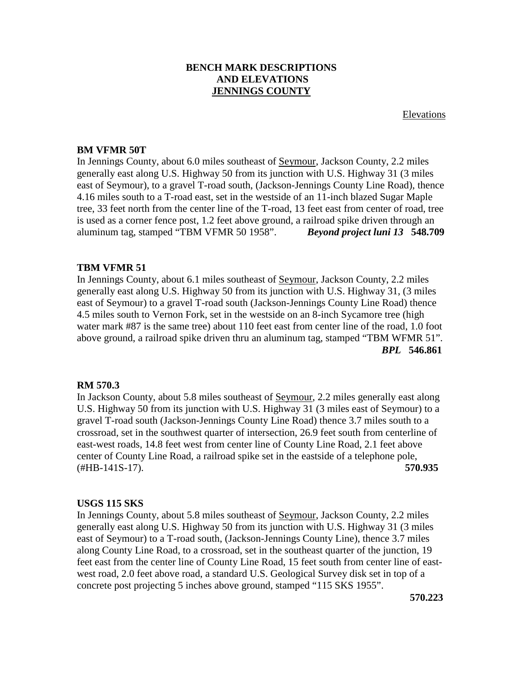# **BENCH MARK DESCRIPTIONS AND ELEVATIONS JENNINGS COUNTY**

Elevations

### **BM VFMR 50T**

In Jennings County, about 6.0 miles southeast of Seymour, Jackson County, 2.2 miles generally east along U.S. Highway 50 from its junction with U.S. Highway 31 (3 miles east of Seymour), to a gravel T-road south, (Jackson-Jennings County Line Road), thence 4.16 miles south to a T-road east, set in the westside of an 11-inch blazed Sugar Maple tree, 33 feet north from the center line of the T-road, 13 feet east from center of road, tree is used as a corner fence post, 1.2 feet above ground, a railroad spike driven through an aluminum tag, stamped "TBM VFMR 50 1958". *Beyond project luni 13* **548.709**

### **TBM VFMR 51**

In Jennings County, about 6.1 miles southeast of Seymour, Jackson County, 2.2 miles generally east along U.S. Highway 50 from its junction with U.S. Highway 31, (3 miles east of Seymour) to a gravel T-road south (Jackson-Jennings County Line Road) thence 4.5 miles south to Vernon Fork, set in the westside on an 8-inch Sycamore tree (high water mark #87 is the same tree) about 110 feet east from center line of the road, 1.0 foot above ground, a railroad spike driven thru an aluminum tag, stamped "TBM WFMR 51".  *BPL* **546.861**

### **RM 570.3**

In Jackson County, about 5.8 miles southeast of <u>Seymour</u>, 2.2 miles generally east along U.S. Highway 50 from its junction with U.S. Highway 31 (3 miles east of Seymour) to a gravel T-road south (Jackson-Jennings County Line Road) thence 3.7 miles south to a crossroad, set in the southwest quarter of intersection, 26.9 feet south from centerline of east-west roads, 14.8 feet west from center line of County Line Road, 2.1 feet above center of County Line Road, a railroad spike set in the eastside of a telephone pole, (#HB-141S-17). **570.935**

### **USGS 115 SKS**

In Jennings County, about 5.8 miles southeast of Seymour, Jackson County, 2.2 miles generally east along U.S. Highway 50 from its junction with U.S. Highway 31 (3 miles east of Seymour) to a T-road south, (Jackson-Jennings County Line), thence 3.7 miles along County Line Road, to a crossroad, set in the southeast quarter of the junction, 19 feet east from the center line of County Line Road, 15 feet south from center line of eastwest road, 2.0 feet above road, a standard U.S. Geological Survey disk set in top of a concrete post projecting 5 inches above ground, stamped "115 SKS 1955".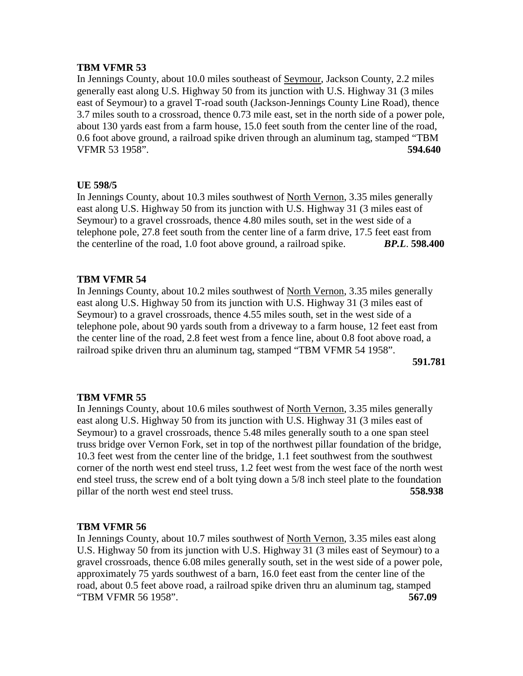In Jennings County, about 10.0 miles southeast of Seymour, Jackson County, 2.2 miles generally east along U.S. Highway 50 from its junction with U.S. Highway 31 (3 miles east of Seymour) to a gravel T-road south (Jackson-Jennings County Line Road), thence 3.7 miles south to a crossroad, thence 0.73 mile east, set in the north side of a power pole, about 130 yards east from a farm house, 15.0 feet south from the center line of the road, 0.6 foot above ground, a railroad spike driven through an aluminum tag, stamped "TBM VFMR 53 1958". **594.640**

# **UE 598/5**

In Jennings County, about 10.3 miles southwest of North Vernon, 3.35 miles generally east along U.S. Highway 50 from its junction with U.S. Highway 31 (3 miles east of Seymour) to a gravel crossroads, thence 4.80 miles south, set in the west side of a telephone pole, 27.8 feet south from the center line of a farm drive, 17.5 feet east from the centerline of the road, 1.0 foot above ground, a railroad spike. *BP.L*. **598.400**

# **TBM VFMR 54**

In Jennings County, about 10.2 miles southwest of North Vernon, 3.35 miles generally east along U.S. Highway 50 from its junction with U.S. Highway 31 (3 miles east of Seymour) to a gravel crossroads, thence 4.55 miles south, set in the west side of a telephone pole, about 90 yards south from a driveway to a farm house, 12 feet east from the center line of the road, 2.8 feet west from a fence line, about 0.8 foot above road, a railroad spike driven thru an aluminum tag, stamped "TBM VFMR 54 1958".

**591.781**

### **TBM VFMR 55**

In Jennings County, about 10.6 miles southwest of North Vernon, 3.35 miles generally east along U.S. Highway 50 from its junction with U.S. Highway 31 (3 miles east of Seymour) to a gravel crossroads, thence 5.48 miles generally south to a one span steel truss bridge over Vernon Fork, set in top of the northwest pillar foundation of the bridge, 10.3 feet west from the center line of the bridge, 1.1 feet southwest from the southwest corner of the north west end steel truss, 1.2 feet west from the west face of the north west end steel truss, the screw end of a bolt tying down a 5/8 inch steel plate to the foundation pillar of the north west end steel truss. **558.938**

### **TBM VFMR 56**

In Jennings County, about 10.7 miles southwest of North Vernon, 3.35 miles east along U.S. Highway 50 from its junction with U.S. Highway 31 (3 miles east of Seymour) to a gravel crossroads, thence 6.08 miles generally south, set in the west side of a power pole, approximately 75 yards southwest of a barn, 16.0 feet east from the center line of the road, about 0.5 feet above road, a railroad spike driven thru an aluminum tag, stamped "TBM VFMR 56 1958". **567.09**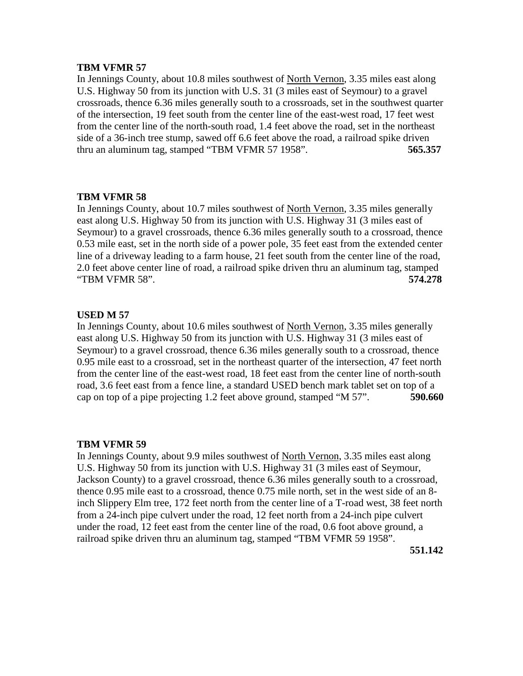In Jennings County, about 10.8 miles southwest of North Vernon, 3.35 miles east along U.S. Highway 50 from its junction with U.S. 31 (3 miles east of Seymour) to a gravel crossroads, thence 6.36 miles generally south to a crossroads, set in the southwest quarter of the intersection, 19 feet south from the center line of the east-west road, 17 feet west from the center line of the north-south road, 1.4 feet above the road, set in the northeast side of a 36-inch tree stump, sawed off 6.6 feet above the road, a railroad spike driven thru an aluminum tag, stamped "TBM VFMR 57 1958". **565.357**

### **TBM VFMR 58**

In Jennings County, about 10.7 miles southwest of North Vernon, 3.35 miles generally east along U.S. Highway 50 from its junction with U.S. Highway 31 (3 miles east of Seymour) to a gravel crossroads, thence 6.36 miles generally south to a crossroad, thence 0.53 mile east, set in the north side of a power pole, 35 feet east from the extended center line of a driveway leading to a farm house, 21 feet south from the center line of the road, 2.0 feet above center line of road, a railroad spike driven thru an aluminum tag, stamped "TBM VFMR 58". **574.278**

### **USED M 57**

In Jennings County, about 10.6 miles southwest of North Vernon, 3.35 miles generally east along U.S. Highway 50 from its junction with U.S. Highway 31 (3 miles east of Seymour) to a gravel crossroad, thence 6.36 miles generally south to a crossroad, thence 0.95 mile east to a crossroad, set in the northeast quarter of the intersection, 47 feet north from the center line of the east-west road, 18 feet east from the center line of north-south road, 3.6 feet east from a fence line, a standard USED bench mark tablet set on top of a cap on top of a pipe projecting 1.2 feet above ground, stamped "M 57". **590.660**

### **TBM VFMR 59**

In Jennings County, about 9.9 miles southwest of North Vernon, 3.35 miles east along U.S. Highway 50 from its junction with U.S. Highway 31 (3 miles east of Seymour, Jackson County) to a gravel crossroad, thence 6.36 miles generally south to a crossroad, thence 0.95 mile east to a crossroad, thence 0.75 mile north, set in the west side of an 8 inch Slippery Elm tree, 172 feet north from the center line of a T-road west, 38 feet north from a 24-inch pipe culvert under the road, 12 feet north from a 24-inch pipe culvert under the road, 12 feet east from the center line of the road, 0.6 foot above ground, a railroad spike driven thru an aluminum tag, stamped "TBM VFMR 59 1958".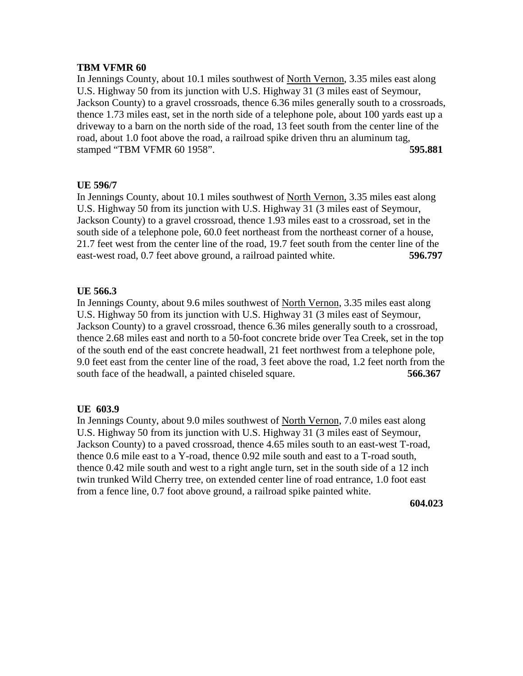In Jennings County, about 10.1 miles southwest of North Vernon, 3.35 miles east along U.S. Highway 50 from its junction with U.S. Highway 31 (3 miles east of Seymour, Jackson County) to a gravel crossroads, thence 6.36 miles generally south to a crossroads, thence 1.73 miles east, set in the north side of a telephone pole, about 100 yards east up a driveway to a barn on the north side of the road, 13 feet south from the center line of the road, about 1.0 foot above the road, a railroad spike driven thru an aluminum tag, stamped "TBM VFMR 60 1958". **595.881**

# **UE 596/7**

In Jennings County, about 10.1 miles southwest of North Vernon, 3.35 miles east along U.S. Highway 50 from its junction with U.S. Highway 31 (3 miles east of Seymour, Jackson County) to a gravel crossroad, thence 1.93 miles east to a crossroad, set in the south side of a telephone pole, 60.0 feet northeast from the northeast corner of a house, 21.7 feet west from the center line of the road, 19.7 feet south from the center line of the east-west road, 0.7 feet above ground, a railroad painted white. **596.797**

# **UE 566.3**

In Jennings County, about 9.6 miles southwest of North Vernon, 3.35 miles east along U.S. Highway 50 from its junction with U.S. Highway 31 (3 miles east of Seymour, Jackson County) to a gravel crossroad, thence 6.36 miles generally south to a crossroad, thence 2.68 miles east and north to a 50-foot concrete bride over Tea Creek, set in the top of the south end of the east concrete headwall, 21 feet northwest from a telephone pole, 9.0 feet east from the center line of the road, 3 feet above the road, 1.2 feet north from the south face of the headwall, a painted chiseled square. **566.367**

# **UE 603.9**

In Jennings County, about 9.0 miles southwest of North Vernon, 7.0 miles east along U.S. Highway 50 from its junction with U.S. Highway 31 (3 miles east of Seymour, Jackson County) to a paved crossroad, thence 4.65 miles south to an east-west T-road, thence 0.6 mile east to a Y-road, thence 0.92 mile south and east to a T-road south, thence 0.42 mile south and west to a right angle turn, set in the south side of a 12 inch twin trunked Wild Cherry tree, on extended center line of road entrance, 1.0 foot east from a fence line, 0.7 foot above ground, a railroad spike painted white.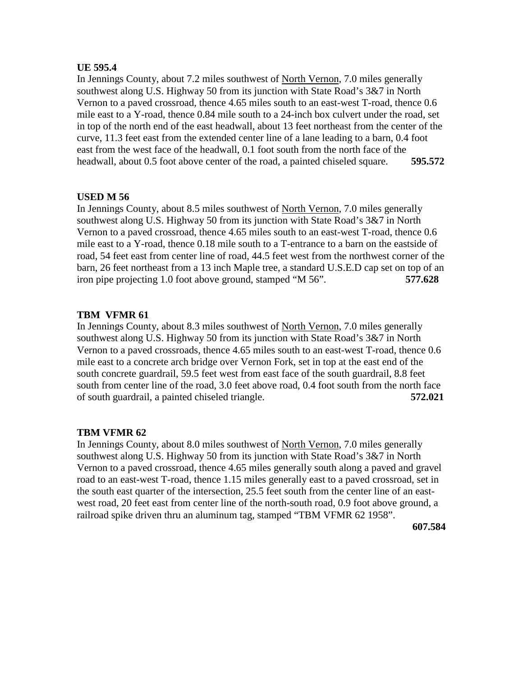# **UE 595.4**

In Jennings County, about 7.2 miles southwest of North Vernon, 7.0 miles generally southwest along U.S. Highway 50 from its junction with State Road's 3&7 in North Vernon to a paved crossroad, thence 4.65 miles south to an east-west T-road, thence 0.6 mile east to a Y-road, thence 0.84 mile south to a 24-inch box culvert under the road, set in top of the north end of the east headwall, about 13 feet northeast from the center of the curve, 11.3 feet east from the extended center line of a lane leading to a barn, 0.4 foot east from the west face of the headwall, 0.1 foot south from the north face of the headwall, about 0.5 foot above center of the road, a painted chiseled square. **595.572**

# **USED M 56**

In Jennings County, about 8.5 miles southwest of North Vernon, 7.0 miles generally southwest along U.S. Highway 50 from its junction with State Road's 3&7 in North Vernon to a paved crossroad, thence 4.65 miles south to an east-west T-road, thence 0.6 mile east to a Y-road, thence 0.18 mile south to a T-entrance to a barn on the eastside of road, 54 feet east from center line of road, 44.5 feet west from the northwest corner of the barn, 26 feet northeast from a 13 inch Maple tree, a standard U.S.E.D cap set on top of an iron pipe projecting 1.0 foot above ground, stamped "M 56". **577.628**

# **TBM VFMR 61**

In Jennings County, about 8.3 miles southwest of North Vernon, 7.0 miles generally southwest along U.S. Highway 50 from its junction with State Road's 3&7 in North Vernon to a paved crossroads, thence 4.65 miles south to an east-west T-road, thence 0.6 mile east to a concrete arch bridge over Vernon Fork, set in top at the east end of the south concrete guardrail, 59.5 feet west from east face of the south guardrail, 8.8 feet south from center line of the road, 3.0 feet above road, 0.4 foot south from the north face of south guardrail, a painted chiseled triangle. **572.021**

# **TBM VFMR 62**

In Jennings County, about 8.0 miles southwest of North Vernon, 7.0 miles generally southwest along U.S. Highway 50 from its junction with State Road's 3&7 in North Vernon to a paved crossroad, thence 4.65 miles generally south along a paved and gravel road to an east-west T-road, thence 1.15 miles generally east to a paved crossroad, set in the south east quarter of the intersection, 25.5 feet south from the center line of an eastwest road, 20 feet east from center line of the north-south road, 0.9 foot above ground, a railroad spike driven thru an aluminum tag, stamped "TBM VFMR 62 1958".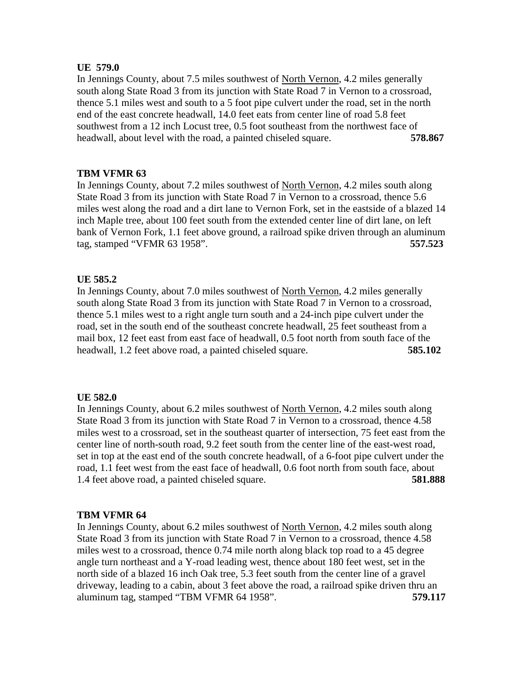### **UE 579.0**

In Jennings County, about 7.5 miles southwest of North Vernon, 4.2 miles generally south along State Road 3 from its junction with State Road 7 in Vernon to a crossroad, thence 5.1 miles west and south to a 5 foot pipe culvert under the road, set in the north end of the east concrete headwall, 14.0 feet eats from center line of road 5.8 feet southwest from a 12 inch Locust tree, 0.5 foot southeast from the northwest face of headwall, about level with the road, a painted chiseled square. **578.867**

# **TBM VFMR 63**

In Jennings County, about 7.2 miles southwest of North Vernon, 4.2 miles south along State Road 3 from its junction with State Road 7 in Vernon to a crossroad, thence 5.6 miles west along the road and a dirt lane to Vernon Fork, set in the eastside of a blazed 14 inch Maple tree, about 100 feet south from the extended center line of dirt lane, on left bank of Vernon Fork, 1.1 feet above ground, a railroad spike driven through an aluminum tag, stamped "VFMR 63 1958". **557.523**

# **UE 585.2**

In Jennings County, about 7.0 miles southwest of North Vernon, 4.2 miles generally south along State Road 3 from its junction with State Road 7 in Vernon to a crossroad, thence 5.1 miles west to a right angle turn south and a 24-inch pipe culvert under the road, set in the south end of the southeast concrete headwall, 25 feet southeast from a mail box, 12 feet east from east face of headwall, 0.5 foot north from south face of the headwall, 1.2 feet above road, a painted chiseled square. **585.102**

# **UE 582.0**

In Jennings County, about 6.2 miles southwest of North Vernon, 4.2 miles south along State Road 3 from its junction with State Road 7 in Vernon to a crossroad, thence 4.58 miles west to a crossroad, set in the southeast quarter of intersection, 75 feet east from the center line of north-south road, 9.2 feet south from the center line of the east-west road, set in top at the east end of the south concrete headwall, of a 6-foot pipe culvert under the road, 1.1 feet west from the east face of headwall, 0.6 foot north from south face, about 1.4 feet above road, a painted chiseled square. **581.888**

# **TBM VFMR 64**

In Jennings County, about 6.2 miles southwest of North Vernon, 4.2 miles south along State Road 3 from its junction with State Road 7 in Vernon to a crossroad, thence 4.58 miles west to a crossroad, thence 0.74 mile north along black top road to a 45 degree angle turn northeast and a Y-road leading west, thence about 180 feet west, set in the north side of a blazed 16 inch Oak tree, 5.3 feet south from the center line of a gravel driveway, leading to a cabin, about 3 feet above the road, a railroad spike driven thru an aluminum tag, stamped "TBM VFMR 64 1958". **579.117**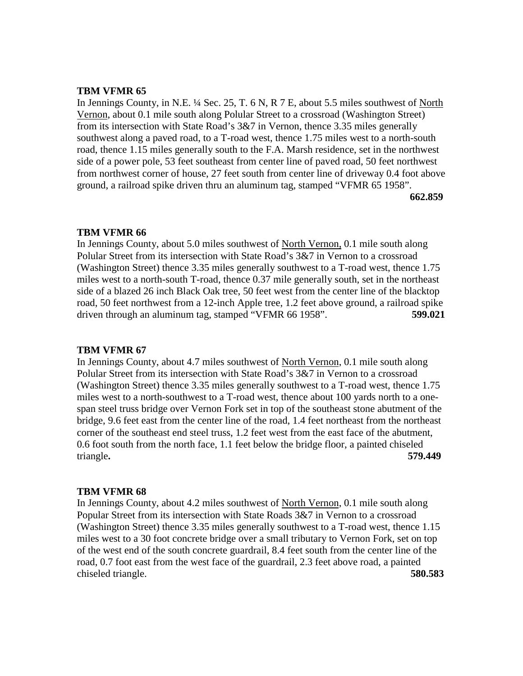In Jennings County, in N.E. <sup>1</sup>/<sub>4</sub> Sec. 25, T. 6 N, R 7 E, about 5.5 miles southwest of <u>North</u> Vernon, about 0.1 mile south along Polular Street to a crossroad (Washington Street) from its intersection with State Road's 3&7 in Vernon, thence 3.35 miles generally southwest along a paved road, to a T-road west, thence 1.75 miles west to a north-south road, thence 1.15 miles generally south to the F.A. Marsh residence, set in the northwest side of a power pole, 53 feet southeast from center line of paved road, 50 feet northwest from northwest corner of house, 27 feet south from center line of driveway 0.4 foot above ground, a railroad spike driven thru an aluminum tag, stamped "VFMR 65 1958". **662.859**

### **TBM VFMR 66**

In Jennings County, about 5.0 miles southwest of North Vernon, 0.1 mile south along Polular Street from its intersection with State Road's 3&7 in Vernon to a crossroad (Washington Street) thence 3.35 miles generally southwest to a T-road west, thence 1.75 miles west to a north-south T-road, thence 0.37 mile generally south, set in the northeast side of a blazed 26 inch Black Oak tree, 50 feet west from the center line of the blacktop road, 50 feet northwest from a 12-inch Apple tree, 1.2 feet above ground, a railroad spike driven through an aluminum tag, stamped "VFMR 66 1958". **599.021**

### **TBM VFMR 67**

In Jennings County, about 4.7 miles southwest of North Vernon, 0.1 mile south along Polular Street from its intersection with State Road's 3&7 in Vernon to a crossroad (Washington Street) thence 3.35 miles generally southwest to a T-road west, thence 1.75 miles west to a north-southwest to a T-road west, thence about 100 yards north to a onespan steel truss bridge over Vernon Fork set in top of the southeast stone abutment of the bridge, 9.6 feet east from the center line of the road, 1.4 feet northeast from the northeast corner of the southeast end steel truss, 1.2 feet west from the east face of the abutment, 0.6 foot south from the north face, 1.1 feet below the bridge floor, a painted chiseled triangle**. 579.449**

### **TBM VFMR 68**

In Jennings County, about 4.2 miles southwest of North Vernon, 0.1 mile south along Popular Street from its intersection with State Roads 3&7 in Vernon to a crossroad (Washington Street) thence 3.35 miles generally southwest to a T-road west, thence 1.15 miles west to a 30 foot concrete bridge over a small tributary to Vernon Fork, set on top of the west end of the south concrete guardrail, 8.4 feet south from the center line of the road, 0.7 foot east from the west face of the guardrail, 2.3 feet above road, a painted chiseled triangle. **580.583**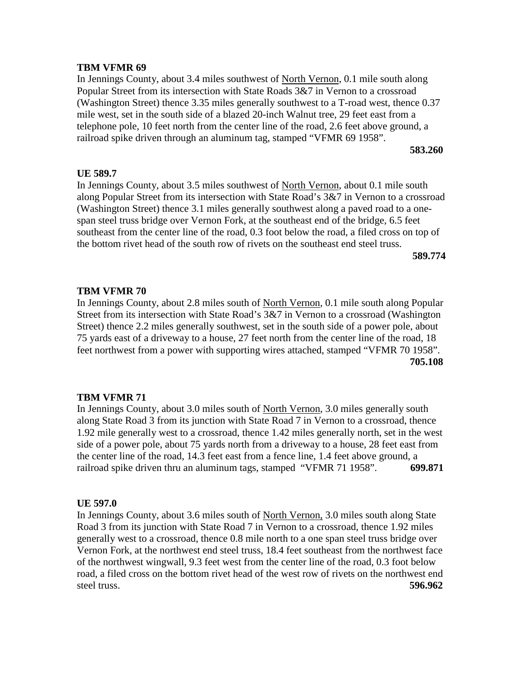In Jennings County, about 3.4 miles southwest of North Vernon, 0.1 mile south along Popular Street from its intersection with State Roads 3&7 in Vernon to a crossroad (Washington Street) thence 3.35 miles generally southwest to a T-road west, thence 0.37 mile west, set in the south side of a blazed 20-inch Walnut tree, 29 feet east from a telephone pole, 10 feet north from the center line of the road, 2.6 feet above ground, a railroad spike driven through an aluminum tag, stamped "VFMR 69 1958".

**583.260**

### **UE 589.7**

In Jennings County, about 3.5 miles southwest of North Vernon, about 0.1 mile south along Popular Street from its intersection with State Road's 3&7 in Vernon to a crossroad (Washington Street) thence 3.1 miles generally southwest along a paved road to a onespan steel truss bridge over Vernon Fork, at the southeast end of the bridge, 6.5 feet southeast from the center line of the road, 0.3 foot below the road, a filed cross on top of the bottom rivet head of the south row of rivets on the southeast end steel truss.

**589.774**

### **TBM VFMR 70**

In Jennings County, about 2.8 miles south of North Vernon, 0.1 mile south along Popular Street from its intersection with State Road's 3&7 in Vernon to a crossroad (Washington Street) thence 2.2 miles generally southwest, set in the south side of a power pole, about 75 yards east of a driveway to a house, 27 feet north from the center line of the road, 18 feet northwest from a power with supporting wires attached, stamped "VFMR 70 1958". **705.108**

### **TBM VFMR 71**

In Jennings County, about 3.0 miles south of North Vernon, 3.0 miles generally south along State Road 3 from its junction with State Road 7 in Vernon to a crossroad, thence 1.92 mile generally west to a crossroad, thence 1.42 miles generally north, set in the west side of a power pole, about 75 yards north from a driveway to a house, 28 feet east from the center line of the road, 14.3 feet east from a fence line, 1.4 feet above ground, a railroad spike driven thru an aluminum tags, stamped "VFMR 71 1958". **699.871**

### **UE 597.0**

In Jennings County, about 3.6 miles south of North Vernon, 3.0 miles south along State Road 3 from its junction with State Road 7 in Vernon to a crossroad, thence 1.92 miles generally west to a crossroad, thence 0.8 mile north to a one span steel truss bridge over Vernon Fork, at the northwest end steel truss, 18.4 feet southeast from the northwest face of the northwest wingwall, 9.3 feet west from the center line of the road, 0.3 foot below road, a filed cross on the bottom rivet head of the west row of rivets on the northwest end steel truss. **596.962**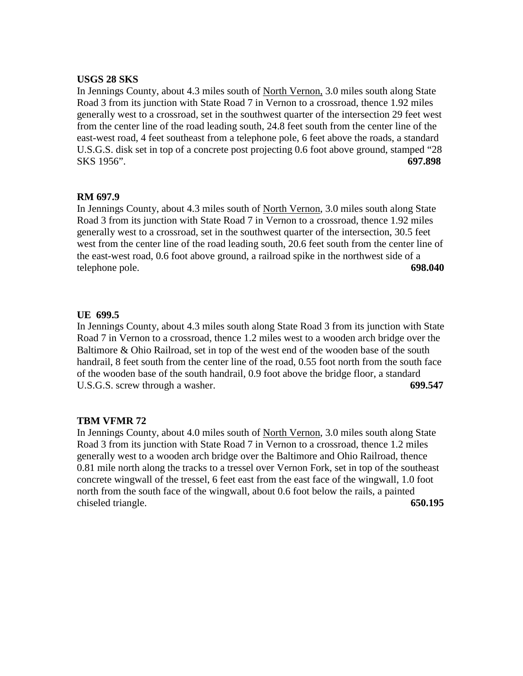# **USGS 28 SKS**

In Jennings County, about 4.3 miles south of North Vernon, 3.0 miles south along State Road 3 from its junction with State Road 7 in Vernon to a crossroad, thence 1.92 miles generally west to a crossroad, set in the southwest quarter of the intersection 29 feet west from the center line of the road leading south, 24.8 feet south from the center line of the east-west road, 4 feet southeast from a telephone pole, 6 feet above the roads, a standard U.S.G.S. disk set in top of a concrete post projecting 0.6 foot above ground, stamped "28 SKS 1956". **697.898**

# **RM 697.9**

In Jennings County, about 4.3 miles south of North Vernon, 3.0 miles south along State Road 3 from its junction with State Road 7 in Vernon to a crossroad, thence 1.92 miles generally west to a crossroad, set in the southwest quarter of the intersection, 30.5 feet west from the center line of the road leading south, 20.6 feet south from the center line of the east-west road, 0.6 foot above ground, a railroad spike in the northwest side of a telephone pole. **698.040**

# **UE 699.5**

In Jennings County, about 4.3 miles south along State Road 3 from its junction with State Road 7 in Vernon to a crossroad, thence 1.2 miles west to a wooden arch bridge over the Baltimore & Ohio Railroad, set in top of the west end of the wooden base of the south handrail, 8 feet south from the center line of the road, 0.55 foot north from the south face of the wooden base of the south handrail, 0.9 foot above the bridge floor, a standard U.S.G.S. screw through a washer. **699.547**

# **TBM VFMR 72**

In Jennings County, about 4.0 miles south of North Vernon, 3.0 miles south along State Road 3 from its junction with State Road 7 in Vernon to a crossroad, thence 1.2 miles generally west to a wooden arch bridge over the Baltimore and Ohio Railroad, thence 0.81 mile north along the tracks to a tressel over Vernon Fork, set in top of the southeast concrete wingwall of the tressel, 6 feet east from the east face of the wingwall, 1.0 foot north from the south face of the wingwall, about 0.6 foot below the rails, a painted chiseled triangle. **650.195**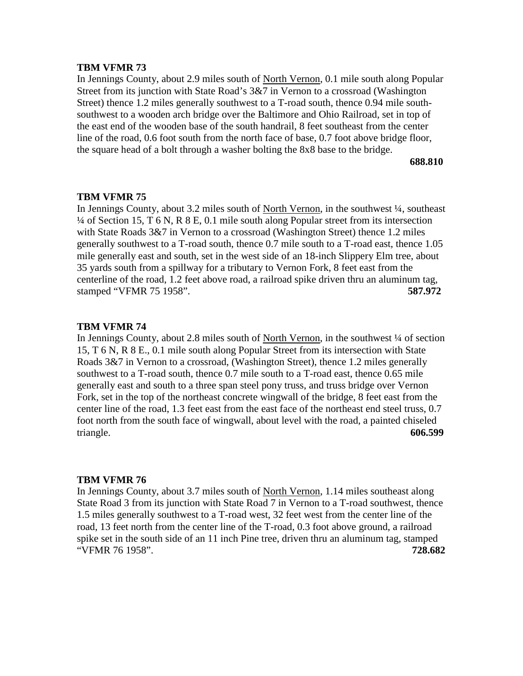In Jennings County, about 2.9 miles south of North Vernon, 0.1 mile south along Popular Street from its junction with State Road's 3&7 in Vernon to a crossroad (Washington Street) thence 1.2 miles generally southwest to a T-road south, thence 0.94 mile southsouthwest to a wooden arch bridge over the Baltimore and Ohio Railroad, set in top of the east end of the wooden base of the south handrail, 8 feet southeast from the center line of the road, 0.6 foot south from the north face of base, 0.7 foot above bridge floor, the square head of a bolt through a washer bolting the 8x8 base to the bridge.

### **688.810**

## **TBM VFMR 75**

In Jennings County, about 3.2 miles south of North Vernon, in the southwest ¼, southeast ¼ of Section 15, T 6 N, R 8 E, 0.1 mile south along Popular street from its intersection with State Roads 3&7 in Vernon to a crossroad (Washington Street) thence 1.2 miles generally southwest to a T-road south, thence 0.7 mile south to a T-road east, thence 1.05 mile generally east and south, set in the west side of an 18-inch Slippery Elm tree, about 35 yards south from a spillway for a tributary to Vernon Fork, 8 feet east from the centerline of the road, 1.2 feet above road, a railroad spike driven thru an aluminum tag, stamped "VFMR 75 1958". **587.972**

### **TBM VFMR 74**

In Jennings County, about 2.8 miles south of North Vernon, in the southwest  $\frac{1}{4}$  of section 15, T 6 N, R 8 E., 0.1 mile south along Popular Street from its intersection with State Roads 3&7 in Vernon to a crossroad, (Washington Street), thence 1.2 miles generally southwest to a T-road south, thence 0.7 mile south to a T-road east, thence 0.65 mile generally east and south to a three span steel pony truss, and truss bridge over Vernon Fork, set in the top of the northeast concrete wingwall of the bridge, 8 feet east from the center line of the road, 1.3 feet east from the east face of the northeast end steel truss, 0.7 foot north from the south face of wingwall, about level with the road, a painted chiseled triangle. **606.599**

### **TBM VFMR 76**

In Jennings County, about 3.7 miles south of North Vernon, 1.14 miles southeast along State Road 3 from its junction with State Road 7 in Vernon to a T-road southwest, thence 1.5 miles generally southwest to a T-road west, 32 feet west from the center line of the road, 13 feet north from the center line of the T-road, 0.3 foot above ground, a railroad spike set in the south side of an 11 inch Pine tree, driven thru an aluminum tag, stamped "VFMR 76 1958". **728.682**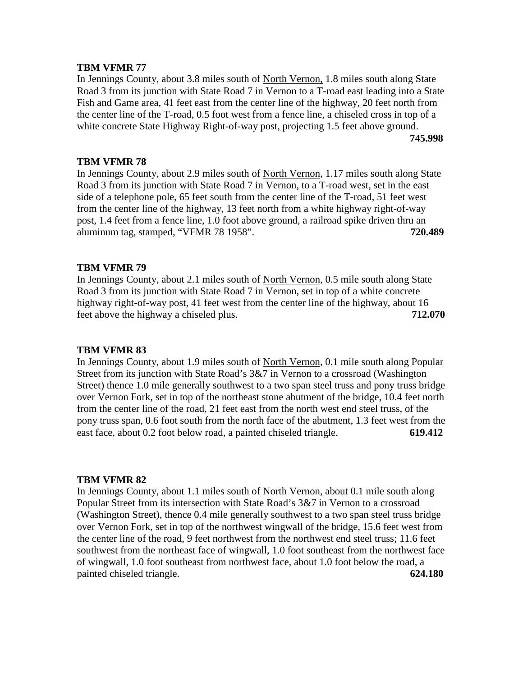In Jennings County, about 3.8 miles south of North Vernon, 1.8 miles south along State Road 3 from its junction with State Road 7 in Vernon to a T-road east leading into a State Fish and Game area, 41 feet east from the center line of the highway, 20 feet north from the center line of the T-road, 0.5 foot west from a fence line, a chiseled cross in top of a white concrete State Highway Right-of-way post, projecting 1.5 feet above ground. **745.998**

# **TBM VFMR 78**

In Jennings County, about 2.9 miles south of North Vernon, 1.17 miles south along State Road 3 from its junction with State Road 7 in Vernon, to a T-road west, set in the east side of a telephone pole, 65 feet south from the center line of the T-road, 51 feet west from the center line of the highway, 13 feet north from a white highway right-of-way post, 1.4 feet from a fence line, 1.0 foot above ground, a railroad spike driven thru an aluminum tag, stamped, "VFMR 78 1958". **720.489**

# **TBM VFMR 79**

In Jennings County, about 2.1 miles south of North Vernon, 0.5 mile south along State Road 3 from its junction with State Road 7 in Vernon, set in top of a white concrete highway right-of-way post, 41 feet west from the center line of the highway, about 16 feet above the highway a chiseled plus. **712.070**

# **TBM VFMR 83**

In Jennings County, about 1.9 miles south of North Vernon, 0.1 mile south along Popular Street from its junction with State Road's 3&7 in Vernon to a crossroad (Washington Street) thence 1.0 mile generally southwest to a two span steel truss and pony truss bridge over Vernon Fork, set in top of the northeast stone abutment of the bridge, 10.4 feet north from the center line of the road, 21 feet east from the north west end steel truss, of the pony truss span, 0.6 foot south from the north face of the abutment, 1.3 feet west from the east face, about 0.2 foot below road, a painted chiseled triangle. **619.412**

# **TBM VFMR 82**

In Jennings County, about 1.1 miles south of North Vernon, about 0.1 mile south along Popular Street from its intersection with State Road's 3&7 in Vernon to a crossroad (Washington Street), thence 0.4 mile generally southwest to a two span steel truss bridge over Vernon Fork, set in top of the northwest wingwall of the bridge, 15.6 feet west from the center line of the road, 9 feet northwest from the northwest end steel truss; 11.6 feet southwest from the northeast face of wingwall, 1.0 foot southeast from the northwest face of wingwall, 1.0 foot southeast from northwest face, about 1.0 foot below the road, a painted chiseled triangle. **624.180**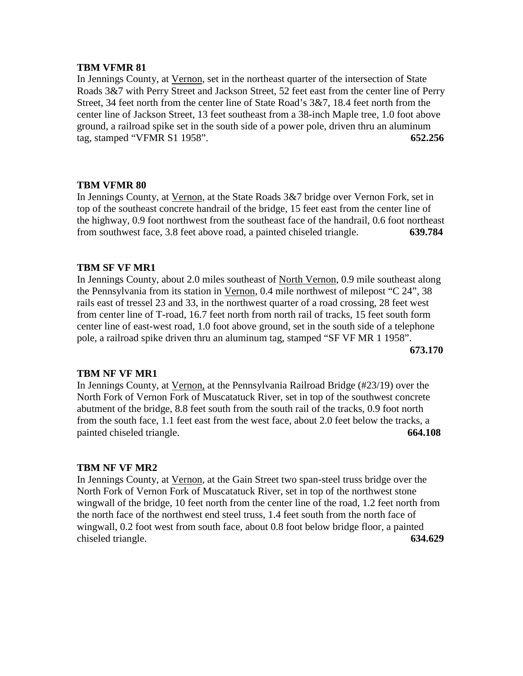In Jennings County, at Vernon, set in the northeast quarter of the intersection of State Roads 3&7 with Perry Street and Jackson Street, 52 feet east from the center line of Perry Street, 34 feet north from the center line of State Road's 3&7, 18.4 feet north from the center line of Jackson Street, 13 feet southeast from a 38-inch Maple tree, 1.0 foot above ground, a railroad spike set in the south side of a power pole, driven thru an aluminum tag, stamped "VFMR S1 1958". **652.256**

# **TBM VFMR 80**

In Jennings County, at Vernon, at the State Roads 3&7 bridge over Vernon Fork, set in top of the southeast concrete handrail of the bridge, 15 feet east from the center line of the highway, 0.9 foot northwest from the southeast face of the handrail, 0.6 foot northeast from southwest face, 3.8 feet above road, a painted chiseled triangle. **639.784**

# **TBM SF VF MR1**

In Jennings County, about 2.0 miles southeast of North Vernon, 0.9 mile southeast along the Pennsylvania from its station in Vernon, 0.4 mile northwest of milepost "C 24", 38 rails east of tressel 23 and 33, in the northwest quarter of a road crossing, 28 feet west from center line of T-road, 16.7 feet north from north rail of tracks, 15 feet south form center line of east-west road, 1.0 foot above ground, set in the south side of a telephone pole, a railroad spike driven thru an aluminum tag, stamped "SF VF MR 1 1958". **673.170**

# **TBM NF VF MR1**

In Jennings County, at Vernon, at the Pennsylvania Railroad Bridge (#23/19) over the North Fork of Vernon Fork of Muscatatuck River, set in top of the southwest concrete abutment of the bridge, 8.8 feet south from the south rail of the tracks, 0.9 foot north from the south face, 1.1 feet east from the west face, about 2.0 feet below the tracks, a painted chiseled triangle. **664.108**

### **TBM NF VF MR2**

In Jennings County, at Vernon, at the Gain Street two span-steel truss bridge over the North Fork of Vernon Fork of Muscatatuck River, set in top of the northwest stone wingwall of the bridge, 10 feet north from the center line of the road, 1.2 feet north from the north face of the northwest end steel truss, 1.4 feet south from the north face of wingwall, 0.2 foot west from south face, about 0.8 foot below bridge floor, a painted chiseled triangle. **634.629**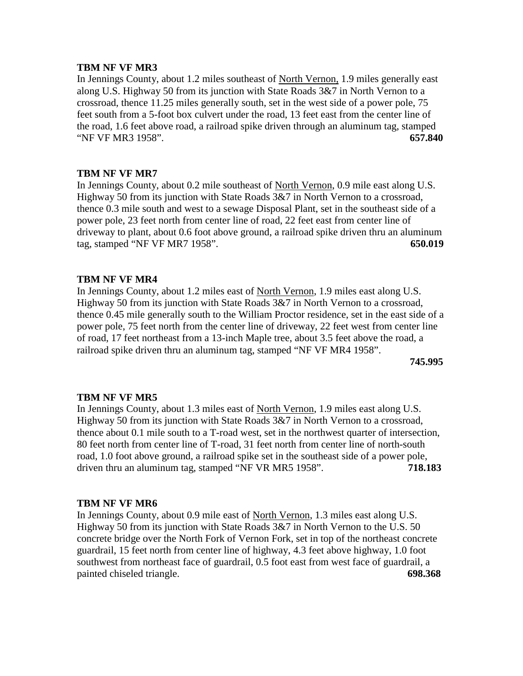### **TBM NF VF MR3**

In Jennings County, about 1.2 miles southeast of North Vernon, 1.9 miles generally east along U.S. Highway 50 from its junction with State Roads 3&7 in North Vernon to a crossroad, thence 11.25 miles generally south, set in the west side of a power pole, 75 feet south from a 5-foot box culvert under the road, 13 feet east from the center line of the road, 1.6 feet above road, a railroad spike driven through an aluminum tag, stamped "NF VF MR3 1958". **657.840**

# **TBM NF VF MR7**

In Jennings County, about 0.2 mile southeast of North Vernon, 0.9 mile east along U.S. Highway 50 from its junction with State Roads 3&7 in North Vernon to a crossroad, thence 0.3 mile south and west to a sewage Disposal Plant, set in the southeast side of a power pole, 23 feet north from center line of road, 22 feet east from center line of driveway to plant, about 0.6 foot above ground, a railroad spike driven thru an aluminum tag, stamped "NF VF MR7 1958". **650.019**

# **TBM NF VF MR4**

In Jennings County, about 1.2 miles east of North Vernon, 1.9 miles east along U.S. Highway 50 from its junction with State Roads 3&7 in North Vernon to a crossroad, thence 0.45 mile generally south to the William Proctor residence, set in the east side of a power pole, 75 feet north from the center line of driveway, 22 feet west from center line of road, 17 feet northeast from a 13-inch Maple tree, about 3.5 feet above the road, a railroad spike driven thru an aluminum tag, stamped "NF VF MR4 1958".

**745.995**

### **TBM NF VF MR5**

In Jennings County, about 1.3 miles east of North Vernon, 1.9 miles east along U.S. Highway 50 from its junction with State Roads 3&7 in North Vernon to a crossroad, thence about 0.1 mile south to a T-road west, set in the northwest quarter of intersection, 80 feet north from center line of T-road, 31 feet north from center line of north-south road, 1.0 foot above ground, a railroad spike set in the southeast side of a power pole, driven thru an aluminum tag, stamped "NF VR MR5 1958". **718.183**

### **TBM NF VF MR6**

In Jennings County, about 0.9 mile east of North Vernon, 1.3 miles east along U.S. Highway 50 from its junction with State Roads 3&7 in North Vernon to the U.S. 50 concrete bridge over the North Fork of Vernon Fork, set in top of the northeast concrete guardrail, 15 feet north from center line of highway, 4.3 feet above highway, 1.0 foot southwest from northeast face of guardrail, 0.5 foot east from west face of guardrail, a painted chiseled triangle. **698.368**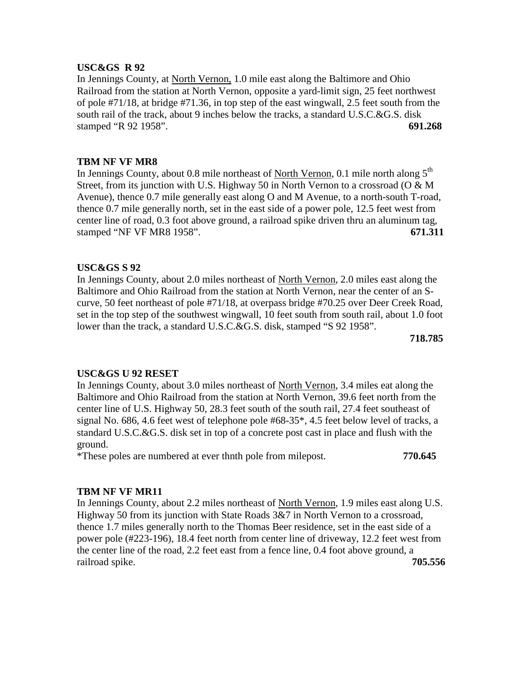### **USC&GS R 92**

In Jennings County, at North Vernon, 1.0 mile east along the Baltimore and Ohio Railroad from the station at North Vernon, opposite a yard-limit sign, 25 feet northwest of pole #71/18, at bridge #71.36, in top step of the east wingwall, 2.5 feet south from the south rail of the track, about 9 inches below the tracks, a standard U.S.C.&G.S. disk stamped "R 92 1958". **691.268**

# **TBM NF VF MR8**

In Jennings County, about 0.8 mile northeast of North Vernon, 0.1 mile north along  $5<sup>th</sup>$ Street, from its junction with U.S. Highway 50 in North Vernon to a crossroad (O & M Avenue), thence 0.7 mile generally east along O and M Avenue, to a north-south T-road, thence 0.7 mile generally north, set in the east side of a power pole, 12.5 feet west from center line of road, 0.3 foot above ground, a railroad spike driven thru an aluminum tag, stamped "NF VF MR8 1958". **671.311**

# **USC&GS S 92**

In Jennings County, about 2.0 miles northeast of North Vernon, 2.0 miles east along the Baltimore and Ohio Railroad from the station at North Vernon, near the center of an Scurve, 50 feet northeast of pole #71/18, at overpass bridge #70.25 over Deer Creek Road, set in the top step of the southwest wingwall, 10 feet south from south rail, about 1.0 foot lower than the track, a standard U.S.C.&G.S. disk, stamped "S 92 1958".

**718.785**

# **USC&GS U 92 RESET**

In Jennings County, about 3.0 miles northeast of North Vernon, 3.4 miles eat along the Baltimore and Ohio Railroad from the station at North Vernon, 39.6 feet north from the center line of U.S. Highway 50, 28.3 feet south of the south rail, 27.4 feet southeast of signal No. 686, 4.6 feet west of telephone pole #68-35\*, 4.5 feet below level of tracks, a standard U.S.C.&G.S. disk set in top of a concrete post cast in place and flush with the ground.

\*These poles are numbered at ever thnth pole from milepost. **770.645**

# **TBM NF VF MR11**

In Jennings County, about 2.2 miles northeast of North Vernon, 1.9 miles east along U.S. Highway 50 from its junction with State Roads 3&7 in North Vernon to a crossroad, thence 1.7 miles generally north to the Thomas Beer residence, set in the east side of a power pole (#223-196), 18.4 feet north from center line of driveway, 12.2 feet west from the center line of the road, 2.2 feet east from a fence line, 0.4 foot above ground, a railroad spike. **705.556**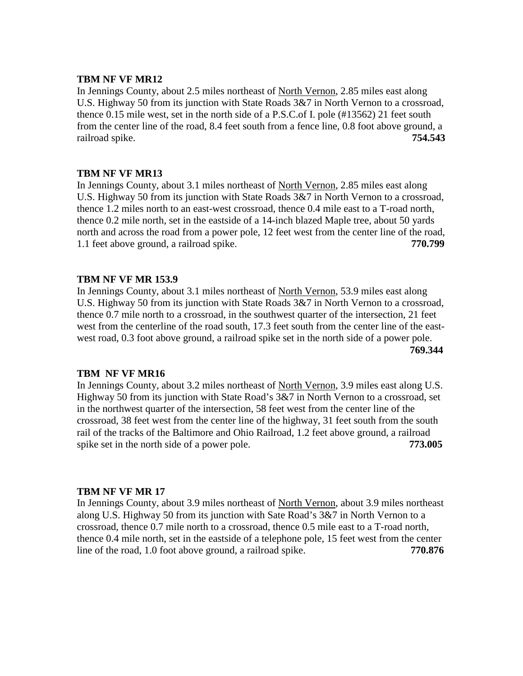### **TBM NF VF MR12**

In Jennings County, about 2.5 miles northeast of North Vernon, 2.85 miles east along U.S. Highway 50 from its junction with State Roads 3&7 in North Vernon to a crossroad, thence 0.15 mile west, set in the north side of a P.S.C.of I. pole (#13562) 21 feet south from the center line of the road, 8.4 feet south from a fence line, 0.8 foot above ground, a railroad spike. **754.543**

# **TBM NF VF MR13**

In Jennings County, about 3.1 miles northeast of North Vernon, 2.85 miles east along U.S. Highway 50 from its junction with State Roads 3&7 in North Vernon to a crossroad, thence 1.2 miles north to an east-west crossroad, thence 0.4 mile east to a T-road north, thence 0.2 mile north, set in the eastside of a 14-inch blazed Maple tree, about 50 yards north and across the road from a power pole, 12 feet west from the center line of the road, 1.1 feet above ground, a railroad spike. **770.799**

# **TBM NF VF MR 153.9**

In Jennings County, about 3.1 miles northeast of North Vernon, 53.9 miles east along U.S. Highway 50 from its junction with State Roads 3&7 in North Vernon to a crossroad, thence 0.7 mile north to a crossroad, in the southwest quarter of the intersection, 21 feet west from the centerline of the road south, 17.3 feet south from the center line of the eastwest road, 0.3 foot above ground, a railroad spike set in the north side of a power pole. **769.344**

# **TBM NF VF MR16**

In Jennings County, about 3.2 miles northeast of North Vernon, 3.9 miles east along U.S. Highway 50 from its junction with State Road's 3&7 in North Vernon to a crossroad, set in the northwest quarter of the intersection, 58 feet west from the center line of the crossroad, 38 feet west from the center line of the highway, 31 feet south from the south rail of the tracks of the Baltimore and Ohio Railroad, 1.2 feet above ground, a railroad spike set in the north side of a power pole. **773.005** 

### **TBM NF VF MR 17**

In Jennings County, about 3.9 miles northeast of North Vernon, about 3.9 miles northeast along U.S. Highway 50 from its junction with Sate Road's 3&7 in North Vernon to a crossroad, thence 0.7 mile north to a crossroad, thence 0.5 mile east to a T-road north, thence 0.4 mile north, set in the eastside of a telephone pole, 15 feet west from the center line of the road, 1.0 foot above ground, a railroad spike. **770.876**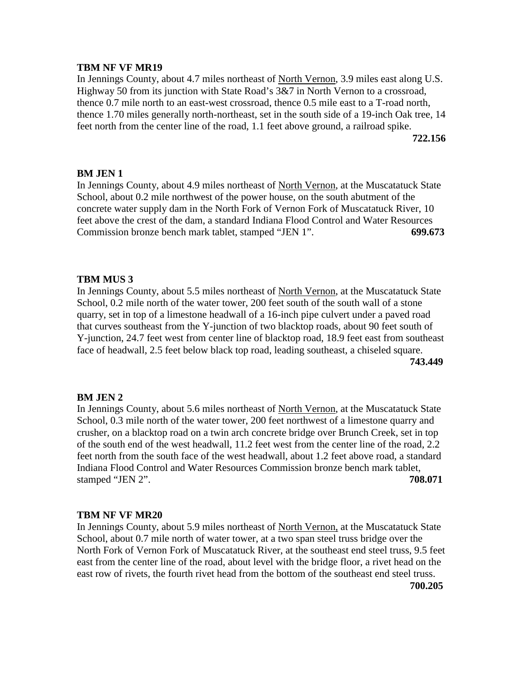### **TBM NF VF MR19**

In Jennings County, about 4.7 miles northeast of North Vernon, 3.9 miles east along U.S. Highway 50 from its junction with State Road's 3&7 in North Vernon to a crossroad, thence 0.7 mile north to an east-west crossroad, thence 0.5 mile east to a T-road north, thence 1.70 miles generally north-northeast, set in the south side of a 19-inch Oak tree, 14 feet north from the center line of the road, 1.1 feet above ground, a railroad spike. **722.156**

### **BM JEN 1**

In Jennings County, about 4.9 miles northeast of North Vernon, at the Muscatatuck State School, about 0.2 mile northwest of the power house, on the south abutment of the concrete water supply dam in the North Fork of Vernon Fork of Muscatatuck River, 10 feet above the crest of the dam, a standard Indiana Flood Control and Water Resources Commission bronze bench mark tablet, stamped "JEN 1". **699.673**

### **TBM MUS 3**

In Jennings County, about 5.5 miles northeast of North Vernon, at the Muscatatuck State School, 0.2 mile north of the water tower, 200 feet south of the south wall of a stone quarry, set in top of a limestone headwall of a 16-inch pipe culvert under a paved road that curves southeast from the Y-junction of two blacktop roads, about 90 feet south of Y-junction, 24.7 feet west from center line of blacktop road, 18.9 feet east from southeast face of headwall, 2.5 feet below black top road, leading southeast, a chiseled square. **743.449**

### **BM JEN 2**

In Jennings County, about 5.6 miles northeast of North Vernon, at the Muscatatuck State School, 0.3 mile north of the water tower, 200 feet northwest of a limestone quarry and crusher, on a blacktop road on a twin arch concrete bridge over Brunch Creek, set in top of the south end of the west headwall, 11.2 feet west from the center line of the road, 2.2 feet north from the south face of the west headwall, about 1.2 feet above road, a standard Indiana Flood Control and Water Resources Commission bronze bench mark tablet, stamped "JEN 2". **708.071**

### **TBM NF VF MR20**

In Jennings County, about 5.9 miles northeast of North Vernon, at the Muscatatuck State School, about 0.7 mile north of water tower, at a two span steel truss bridge over the North Fork of Vernon Fork of Muscatatuck River, at the southeast end steel truss, 9.5 feet east from the center line of the road, about level with the bridge floor, a rivet head on the east row of rivets, the fourth rivet head from the bottom of the southeast end steel truss. **700.205**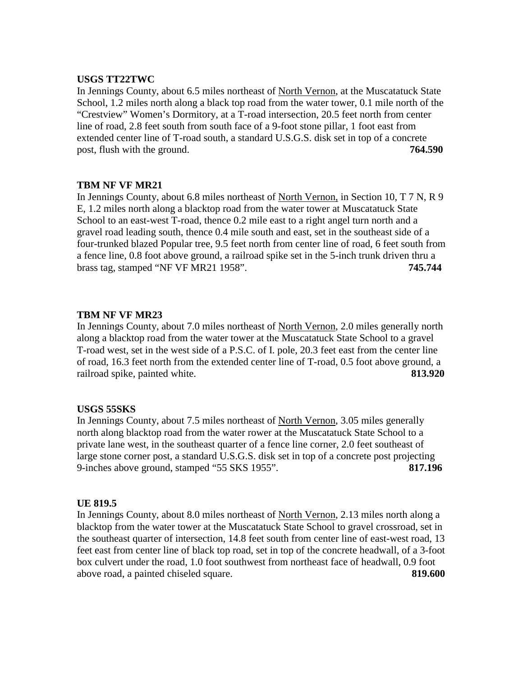## **USGS TT22TWC**

In Jennings County, about 6.5 miles northeast of North Vernon, at the Muscatatuck State School, 1.2 miles north along a black top road from the water tower, 0.1 mile north of the "Crestview" Women's Dormitory, at a T-road intersection, 20.5 feet north from center line of road, 2.8 feet south from south face of a 9-foot stone pillar, 1 foot east from extended center line of T-road south, a standard U.S.G.S. disk set in top of a concrete post, flush with the ground. **764.590**

# **TBM NF VF MR21**

In Jennings County, about 6.8 miles northeast of North Vernon, in Section 10, T 7 N, R 9 E, 1.2 miles north along a blacktop road from the water tower at Muscatatuck State School to an east-west T-road, thence 0.2 mile east to a right angel turn north and a gravel road leading south, thence 0.4 mile south and east, set in the southeast side of a four-trunked blazed Popular tree, 9.5 feet north from center line of road, 6 feet south from a fence line, 0.8 foot above ground, a railroad spike set in the 5-inch trunk driven thru a brass tag, stamped "NF VF MR21 1958". **745.744**

# **TBM NF VF MR23**

In Jennings County, about 7.0 miles northeast of North Vernon, 2.0 miles generally north along a blacktop road from the water tower at the Muscatatuck State School to a gravel T-road west, set in the west side of a P.S.C. of I. pole, 20.3 feet east from the center line of road, 16.3 feet north from the extended center line of T-road, 0.5 foot above ground, a railroad spike, painted white. **813.920**

# **USGS 55SKS**

In Jennings County, about 7.5 miles northeast of North Vernon, 3.05 miles generally north along blacktop road from the water rower at the Muscatatuck State School to a private lane west, in the southeast quarter of a fence line corner, 2.0 feet southeast of large stone corner post, a standard U.S.G.S. disk set in top of a concrete post projecting 9-inches above ground, stamped "55 SKS 1955". **817.196**

### **UE 819.5**

In Jennings County, about 8.0 miles northeast of North Vernon, 2.13 miles north along a blacktop from the water tower at the Muscatatuck State School to gravel crossroad, set in the southeast quarter of intersection, 14.8 feet south from center line of east-west road, 13 feet east from center line of black top road, set in top of the concrete headwall, of a 3-foot box culvert under the road, 1.0 foot southwest from northeast face of headwall, 0.9 foot above road, a painted chiseled square. **819.600**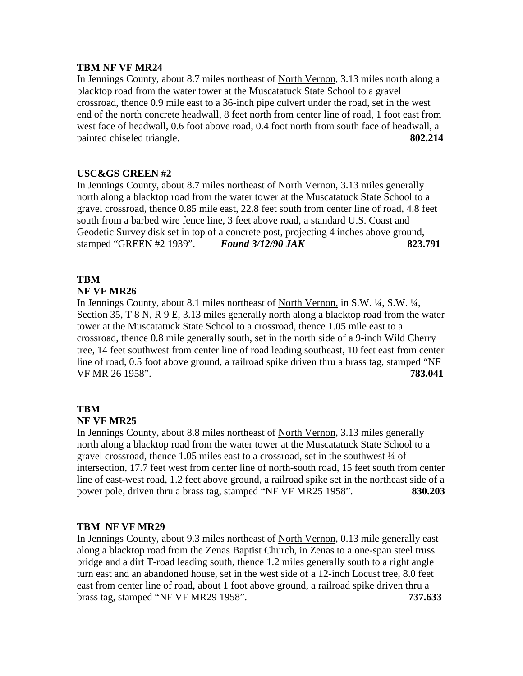# **TBM NF VF MR24**

In Jennings County, about 8.7 miles northeast of North Vernon, 3.13 miles north along a blacktop road from the water tower at the Muscatatuck State School to a gravel crossroad, thence 0.9 mile east to a 36-inch pipe culvert under the road, set in the west end of the north concrete headwall, 8 feet north from center line of road, 1 foot east from west face of headwall, 0.6 foot above road, 0.4 foot north from south face of headwall, a painted chiseled triangle. **802.214**

# **USC&GS GREEN #2**

In Jennings County, about 8.7 miles northeast of North Vernon, 3.13 miles generally north along a blacktop road from the water tower at the Muscatatuck State School to a gravel crossroad, thence 0.85 mile east, 22.8 feet south from center line of road, 4.8 feet south from a barbed wire fence line, 3 feet above road, a standard U.S. Coast and Geodetic Survey disk set in top of a concrete post, projecting 4 inches above ground, stamped "GREEN #2 1939". *Found 3/12/90 JAK* **823.791**

# **TBM**

# **NF VF MR26**

In Jennings County, about 8.1 miles northeast of North Vernon, in S.W. ¼, S.W. ¼, Section 35, T 8 N, R 9 E, 3.13 miles generally north along a blacktop road from the water tower at the Muscatatuck State School to a crossroad, thence 1.05 mile east to a crossroad, thence 0.8 mile generally south, set in the north side of a 9-inch Wild Cherry tree, 14 feet southwest from center line of road leading southeast, 10 feet east from center line of road, 0.5 foot above ground, a railroad spike driven thru a brass tag, stamped "NF VF MR 26 1958". **783.041**

# **TBM**

# **NF VF MR25**

In Jennings County, about 8.8 miles northeast of North Vernon, 3.13 miles generally north along a blacktop road from the water tower at the Muscatatuck State School to a gravel crossroad, thence 1.05 miles east to a crossroad, set in the southwest ¼ of intersection, 17.7 feet west from center line of north-south road, 15 feet south from center line of east-west road, 1.2 feet above ground, a railroad spike set in the northeast side of a power pole, driven thru a brass tag, stamped "NF VF MR25 1958". **830.203**

# **TBM NF VF MR29**

In Jennings County, about 9.3 miles northeast of North Vernon, 0.13 mile generally east along a blacktop road from the Zenas Baptist Church, in Zenas to a one-span steel truss bridge and a dirt T-road leading south, thence 1.2 miles generally south to a right angle turn east and an abandoned house, set in the west side of a 12-inch Locust tree, 8.0 feet east from center line of road, about 1 foot above ground, a railroad spike driven thru a brass tag, stamped "NF VF MR29 1958". **737.633**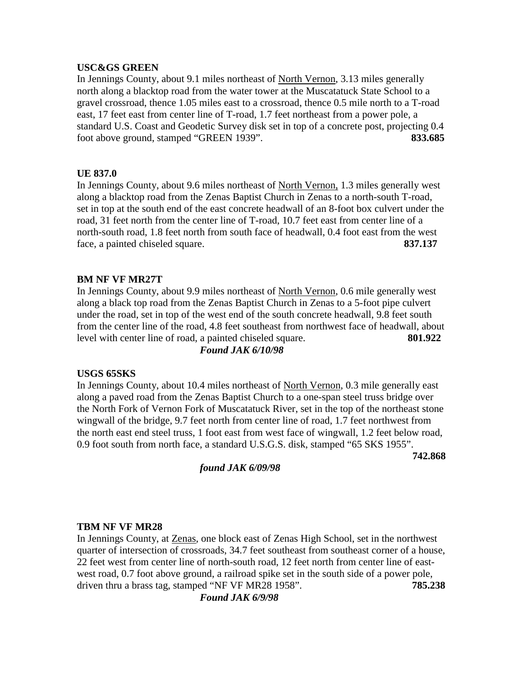### **USC&GS GREEN**

In Jennings County, about 9.1 miles northeast of North Vernon, 3.13 miles generally north along a blacktop road from the water tower at the Muscatatuck State School to a gravel crossroad, thence 1.05 miles east to a crossroad, thence 0.5 mile north to a T-road east, 17 feet east from center line of T-road, 1.7 feet northeast from a power pole, a standard U.S. Coast and Geodetic Survey disk set in top of a concrete post, projecting 0.4 foot above ground, stamped "GREEN 1939". **833.685**

# **UE 837.0**

In Jennings County, about 9.6 miles northeast of North Vernon, 1.3 miles generally west along a blacktop road from the Zenas Baptist Church in Zenas to a north-south T-road, set in top at the south end of the east concrete headwall of an 8-foot box culvert under the road, 31 feet north from the center line of T-road, 10.7 feet east from center line of a north-south road, 1.8 feet north from south face of headwall, 0.4 foot east from the west face, a painted chiseled square. **837.137**

# **BM NF VF MR27T**

In Jennings County, about 9.9 miles northeast of North Vernon, 0.6 mile generally west along a black top road from the Zenas Baptist Church in Zenas to a 5-foot pipe culvert under the road, set in top of the west end of the south concrete headwall, 9.8 feet south from the center line of the road, 4.8 feet southeast from northwest face of headwall, about level with center line of road, a painted chiseled square. **801.922** *Found JAK 6/10/98*

### **USGS 65SKS**

In Jennings County, about 10.4 miles northeast of North Vernon, 0.3 mile generally east along a paved road from the Zenas Baptist Church to a one-span steel truss bridge over the North Fork of Vernon Fork of Muscatatuck River, set in the top of the northeast stone wingwall of the bridge, 9.7 feet north from center line of road, 1.7 feet northwest from the north east end steel truss, 1 foot east from west face of wingwall, 1.2 feet below road, 0.9 foot south from north face, a standard U.S.G.S. disk, stamped "65 SKS 1955".

**742.868**

*found JAK 6/09/98*

### **TBM NF VF MR28**

In Jennings County, at Zenas, one block east of Zenas High School, set in the northwest quarter of intersection of crossroads, 34.7 feet southeast from southeast corner of a house, 22 feet west from center line of north-south road, 12 feet north from center line of eastwest road, 0.7 foot above ground, a railroad spike set in the south side of a power pole, driven thru a brass tag, stamped "NF VF MR28 1958". **785.238**

*Found JAK 6/9/98*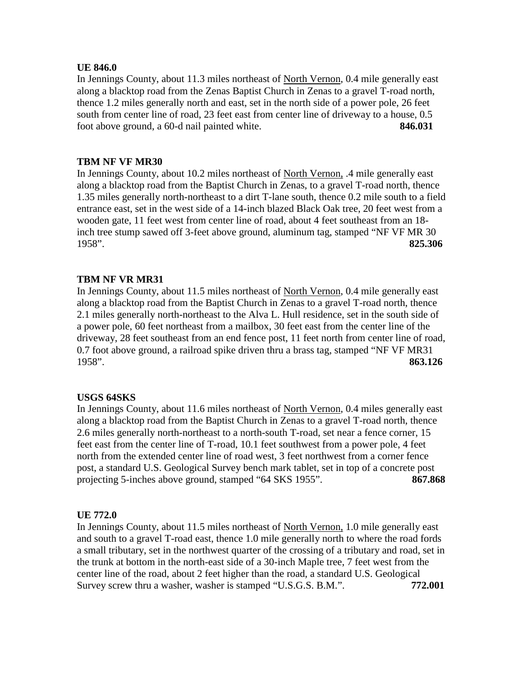# **UE 846.0**

In Jennings County, about 11.3 miles northeast of North Vernon, 0.4 mile generally east along a blacktop road from the Zenas Baptist Church in Zenas to a gravel T-road north, thence 1.2 miles generally north and east, set in the north side of a power pole, 26 feet south from center line of road, 23 feet east from center line of driveway to a house, 0.5 foot above ground, a 60-d nail painted white. **846.031**

# **TBM NF VF MR30**

In Jennings County, about 10.2 miles northeast of North Vernon, .4 mile generally east along a blacktop road from the Baptist Church in Zenas, to a gravel T-road north, thence 1.35 miles generally north-northeast to a dirt T-lane south, thence 0.2 mile south to a field entrance east, set in the west side of a 14-inch blazed Black Oak tree, 20 feet west from a wooden gate, 11 feet west from center line of road, about 4 feet southeast from an 18 inch tree stump sawed off 3-feet above ground, aluminum tag, stamped "NF VF MR 30 1958". **825.306**

# **TBM NF VR MR31**

In Jennings County, about 11.5 miles northeast of North Vernon, 0.4 mile generally east along a blacktop road from the Baptist Church in Zenas to a gravel T-road north, thence 2.1 miles generally north-northeast to the Alva L. Hull residence, set in the south side of a power pole, 60 feet northeast from a mailbox, 30 feet east from the center line of the driveway, 28 feet southeast from an end fence post, 11 feet north from center line of road, 0.7 foot above ground, a railroad spike driven thru a brass tag, stamped "NF VF MR31 1958". **863.126**

# **USGS 64SKS**

In Jennings County, about 11.6 miles northeast of North Vernon, 0.4 miles generally east along a blacktop road from the Baptist Church in Zenas to a gravel T-road north, thence 2.6 miles generally north-northeast to a north-south T-road, set near a fence corner, 15 feet east from the center line of T-road, 10.1 feet southwest from a power pole, 4 feet north from the extended center line of road west, 3 feet northwest from a corner fence post, a standard U.S. Geological Survey bench mark tablet, set in top of a concrete post projecting 5-inches above ground, stamped "64 SKS 1955". **867.868**

### **UE 772.0**

In Jennings County, about 11.5 miles northeast of North Vernon, 1.0 mile generally east and south to a gravel T-road east, thence 1.0 mile generally north to where the road fords a small tributary, set in the northwest quarter of the crossing of a tributary and road, set in the trunk at bottom in the north-east side of a 30-inch Maple tree, 7 feet west from the center line of the road, about 2 feet higher than the road, a standard U.S. Geological Survey screw thru a washer, washer is stamped "U.S.G.S. B.M.". **772.001**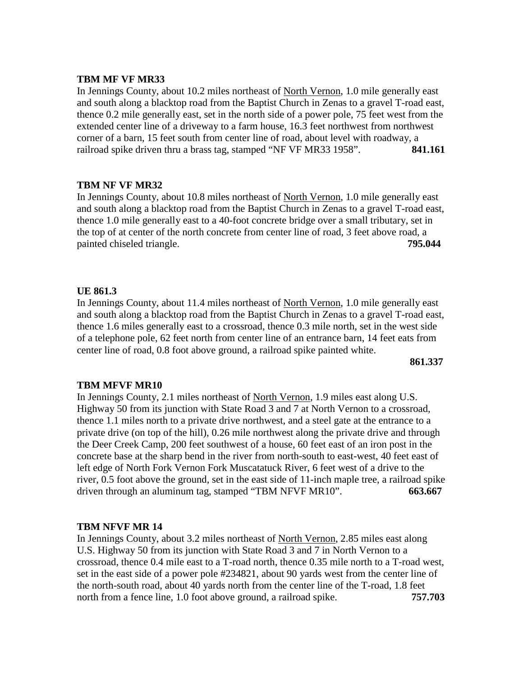### **TBM MF VF MR33**

In Jennings County, about 10.2 miles northeast of North Vernon, 1.0 mile generally east and south along a blacktop road from the Baptist Church in Zenas to a gravel T-road east, thence 0.2 mile generally east, set in the north side of a power pole, 75 feet west from the extended center line of a driveway to a farm house, 16.3 feet northwest from northwest corner of a barn, 15 feet south from center line of road, about level with roadway, a railroad spike driven thru a brass tag, stamped "NF VF MR33 1958". **841.161**

# **TBM NF VF MR32**

In Jennings County, about 10.8 miles northeast of North Vernon, 1.0 mile generally east and south along a blacktop road from the Baptist Church in Zenas to a gravel T-road east, thence 1.0 mile generally east to a 40-foot concrete bridge over a small tributary, set in the top of at center of the north concrete from center line of road, 3 feet above road, a painted chiseled triangle. **795.044** 

# **UE 861.3**

In Jennings County, about 11.4 miles northeast of North Vernon, 1.0 mile generally east and south along a blacktop road from the Baptist Church in Zenas to a gravel T-road east, thence 1.6 miles generally east to a crossroad, thence 0.3 mile north, set in the west side of a telephone pole, 62 feet north from center line of an entrance barn, 14 feet eats from center line of road, 0.8 foot above ground, a railroad spike painted white.

**861.337**

# **TBM MFVF MR10**

In Jennings County, 2.1 miles northeast of North Vernon, 1.9 miles east along U.S. Highway 50 from its junction with State Road 3 and 7 at North Vernon to a crossroad, thence 1.1 miles north to a private drive northwest, and a steel gate at the entrance to a private drive (on top of the hill), 0.26 mile northwest along the private drive and through the Deer Creek Camp, 200 feet southwest of a house, 60 feet east of an iron post in the concrete base at the sharp bend in the river from north-south to east-west, 40 feet east of left edge of North Fork Vernon Fork Muscatatuck River, 6 feet west of a drive to the river, 0.5 foot above the ground, set in the east side of 11-inch maple tree, a railroad spike driven through an aluminum tag, stamped "TBM NFVF MR10". **663.667**

# **TBM NFVF MR 14**

In Jennings County, about 3.2 miles northeast of North Vernon, 2.85 miles east along U.S. Highway 50 from its junction with State Road 3 and 7 in North Vernon to a crossroad, thence 0.4 mile east to a T-road north, thence 0.35 mile north to a T-road west, set in the east side of a power pole #234821, about 90 yards west from the center line of the north-south road, about 40 yards north from the center line of the T-road, 1.8 feet north from a fence line, 1.0 foot above ground, a railroad spike. **757.703**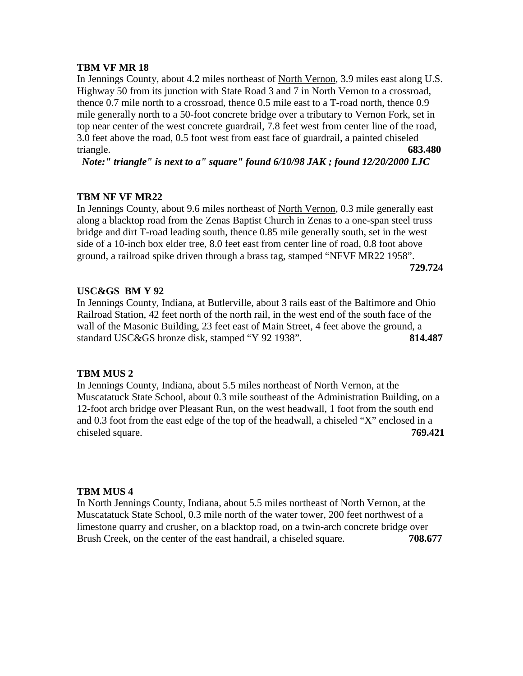In Jennings County, about 4.2 miles northeast of North Vernon, 3.9 miles east along U.S. Highway 50 from its junction with State Road 3 and 7 in North Vernon to a crossroad, thence 0.7 mile north to a crossroad, thence 0.5 mile east to a T-road north, thence 0.9 mile generally north to a 50-foot concrete bridge over a tributary to Vernon Fork, set in top near center of the west concrete guardrail, 7.8 feet west from center line of the road, 3.0 feet above the road, 0.5 foot west from east face of guardrail, a painted chiseled triangle. **683.480**

*Note:" triangle" is next to a" square" found 6/10/98 JAK ; found 12/20/2000 LJC*

# **TBM NF VF MR22**

In Jennings County, about 9.6 miles northeast of North Vernon, 0.3 mile generally east along a blacktop road from the Zenas Baptist Church in Zenas to a one-span steel truss bridge and dirt T-road leading south, thence 0.85 mile generally south, set in the west side of a 10-inch box elder tree, 8.0 feet east from center line of road, 0.8 foot above ground, a railroad spike driven through a brass tag, stamped "NFVF MR22 1958".

**729.724**

# **USC&GS BM Y 92**

In Jennings County, Indiana, at Butlerville, about 3 rails east of the Baltimore and Ohio Railroad Station, 42 feet north of the north rail, in the west end of the south face of the wall of the Masonic Building, 23 feet east of Main Street, 4 feet above the ground, a standard USC&GS bronze disk, stamped "Y 92 1938". **814.487**

### **TBM MUS 2**

In Jennings County, Indiana, about 5.5 miles northeast of North Vernon, at the Muscatatuck State School, about 0.3 mile southeast of the Administration Building, on a 12-foot arch bridge over Pleasant Run, on the west headwall, 1 foot from the south end and 0.3 foot from the east edge of the top of the headwall, a chiseled "X" enclosed in a chiseled square. **769.421**

### **TBM MUS 4**

In North Jennings County, Indiana, about 5.5 miles northeast of North Vernon, at the Muscatatuck State School, 0.3 mile north of the water tower, 200 feet northwest of a limestone quarry and crusher, on a blacktop road, on a twin-arch concrete bridge over Brush Creek, on the center of the east handrail, a chiseled square. **708.677**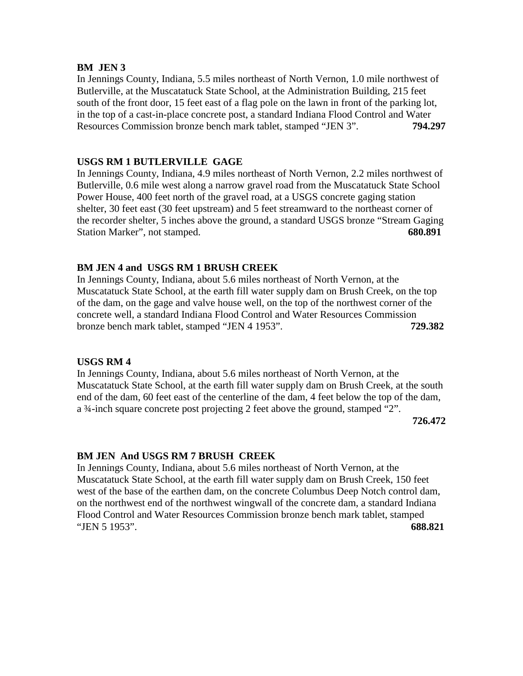### **BM JEN 3**

In Jennings County, Indiana, 5.5 miles northeast of North Vernon, 1.0 mile northwest of Butlerville, at the Muscatatuck State School, at the Administration Building, 215 feet south of the front door, 15 feet east of a flag pole on the lawn in front of the parking lot, in the top of a cast-in-place concrete post, a standard Indiana Flood Control and Water Resources Commission bronze bench mark tablet, stamped "JEN 3". **794.297**

### **USGS RM 1 BUTLERVILLE GAGE**

In Jennings County, Indiana, 4.9 miles northeast of North Vernon, 2.2 miles northwest of Butlerville, 0.6 mile west along a narrow gravel road from the Muscatatuck State School Power House, 400 feet north of the gravel road, at a USGS concrete gaging station shelter, 30 feet east (30 feet upstream) and 5 feet streamward to the northeast corner of the recorder shelter, 5 inches above the ground, a standard USGS bronze "Stream Gaging Station Marker", not stamped. **680.891** 

# **BM JEN 4 and USGS RM 1 BRUSH CREEK**

In Jennings County, Indiana, about 5.6 miles northeast of North Vernon, at the Muscatatuck State School, at the earth fill water supply dam on Brush Creek, on the top of the dam, on the gage and valve house well, on the top of the northwest corner of the concrete well, a standard Indiana Flood Control and Water Resources Commission bronze bench mark tablet, stamped "JEN 4 1953". **729.382**

## **USGS RM 4**

In Jennings County, Indiana, about 5.6 miles northeast of North Vernon, at the Muscatatuck State School, at the earth fill water supply dam on Brush Creek, at the south end of the dam, 60 feet east of the centerline of the dam, 4 feet below the top of the dam, a ¾-inch square concrete post projecting 2 feet above the ground, stamped "2".

**726.472**

# **BM JEN And USGS RM 7 BRUSH CREEK**

In Jennings County, Indiana, about 5.6 miles northeast of North Vernon, at the Muscatatuck State School, at the earth fill water supply dam on Brush Creek, 150 feet west of the base of the earthen dam, on the concrete Columbus Deep Notch control dam, on the northwest end of the northwest wingwall of the concrete dam, a standard Indiana Flood Control and Water Resources Commission bronze bench mark tablet, stamped "JEN 5 1953". **688.821**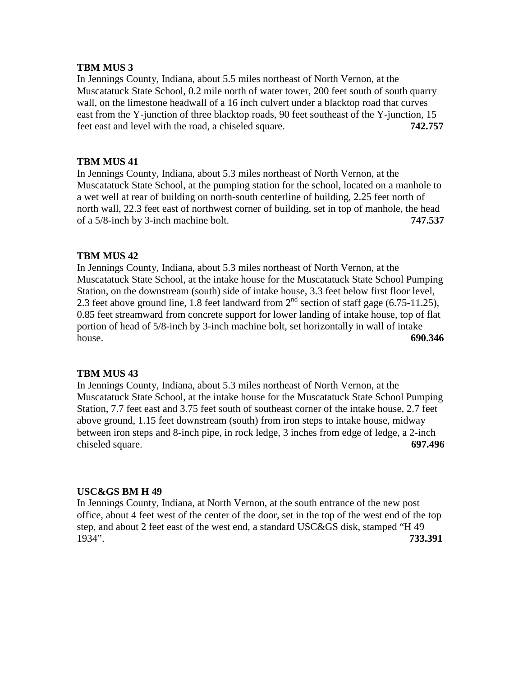### **TBM MUS 3**

In Jennings County, Indiana, about 5.5 miles northeast of North Vernon, at the Muscatatuck State School, 0.2 mile north of water tower, 200 feet south of south quarry wall, on the limestone headwall of a 16 inch culvert under a blacktop road that curves east from the Y-junction of three blacktop roads, 90 feet southeast of the Y-junction, 15 feet east and level with the road, a chiseled square. **742.757**

# **TBM MUS 41**

In Jennings County, Indiana, about 5.3 miles northeast of North Vernon, at the Muscatatuck State School, at the pumping station for the school, located on a manhole to a wet well at rear of building on north-south centerline of building, 2.25 feet north of north wall, 22.3 feet east of northwest corner of building, set in top of manhole, the head of a 5/8-inch by 3-inch machine bolt. **747.537**

# **TBM MUS 42**

In Jennings County, Indiana, about 5.3 miles northeast of North Vernon, at the Muscatatuck State School, at the intake house for the Muscatatuck State School Pumping Station, on the downstream (south) side of intake house, 3.3 feet below first floor level, 2.3 feet above ground line, 1.8 feet landward from  $2<sup>nd</sup>$  section of staff gage (6.75-11.25), 0.85 feet streamward from concrete support for lower landing of intake house, top of flat portion of head of 5/8-inch by 3-inch machine bolt, set horizontally in wall of intake house. **690.346**

### **TBM MUS 43**

In Jennings County, Indiana, about 5.3 miles northeast of North Vernon, at the Muscatatuck State School, at the intake house for the Muscatatuck State School Pumping Station, 7.7 feet east and 3.75 feet south of southeast corner of the intake house, 2.7 feet above ground, 1.15 feet downstream (south) from iron steps to intake house, midway between iron steps and 8-inch pipe, in rock ledge, 3 inches from edge of ledge, a 2-inch chiseled square. **697.496**

### **USC&GS BM H 49**

In Jennings County, Indiana, at North Vernon, at the south entrance of the new post office, about 4 feet west of the center of the door, set in the top of the west end of the top step, and about 2 feet east of the west end, a standard USC&GS disk, stamped "H 49 1934". **733.391**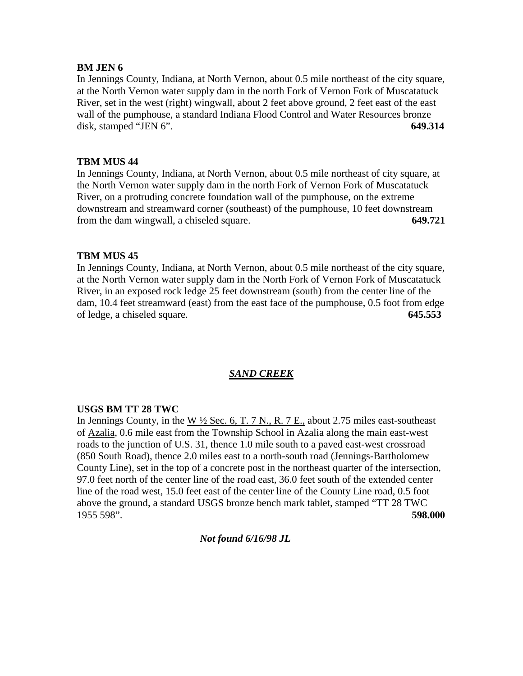# **BM JEN 6**

In Jennings County, Indiana, at North Vernon, about 0.5 mile northeast of the city square, at the North Vernon water supply dam in the north Fork of Vernon Fork of Muscatatuck River, set in the west (right) wingwall, about 2 feet above ground, 2 feet east of the east wall of the pumphouse, a standard Indiana Flood Control and Water Resources bronze disk, stamped "JEN 6". **649.314**

# **TBM MUS 44**

In Jennings County, Indiana, at North Vernon, about 0.5 mile northeast of city square, at the North Vernon water supply dam in the north Fork of Vernon Fork of Muscatatuck River, on a protruding concrete foundation wall of the pumphouse, on the extreme downstream and streamward corner (southeast) of the pumphouse, 10 feet downstream from the dam wingwall, a chiseled square. **649.721**

# **TBM MUS 45**

In Jennings County, Indiana, at North Vernon, about 0.5 mile northeast of the city square, at the North Vernon water supply dam in the North Fork of Vernon Fork of Muscatatuck River, in an exposed rock ledge 25 feet downstream (south) from the center line of the dam, 10.4 feet streamward (east) from the east face of the pumphouse, 0.5 foot from edge of ledge, a chiseled square. **645.553**

# *SAND CREEK*

# **USGS BM TT 28 TWC**

In Jennings County, in the W  $\frac{1}{2}$  Sec. 6, T. 7 N., R. 7 E., about 2.75 miles east-southeast of Azalia, 0.6 mile east from the Township School in Azalia along the main east-west roads to the junction of U.S. 31, thence 1.0 mile south to a paved east-west crossroad (850 South Road), thence 2.0 miles east to a north-south road (Jennings-Bartholomew County Line), set in the top of a concrete post in the northeast quarter of the intersection, 97.0 feet north of the center line of the road east, 36.0 feet south of the extended center line of the road west, 15.0 feet east of the center line of the County Line road, 0.5 foot above the ground, a standard USGS bronze bench mark tablet, stamped "TT 28 TWC 1955 598". **598.000**

# *Not found 6/16/98 JL*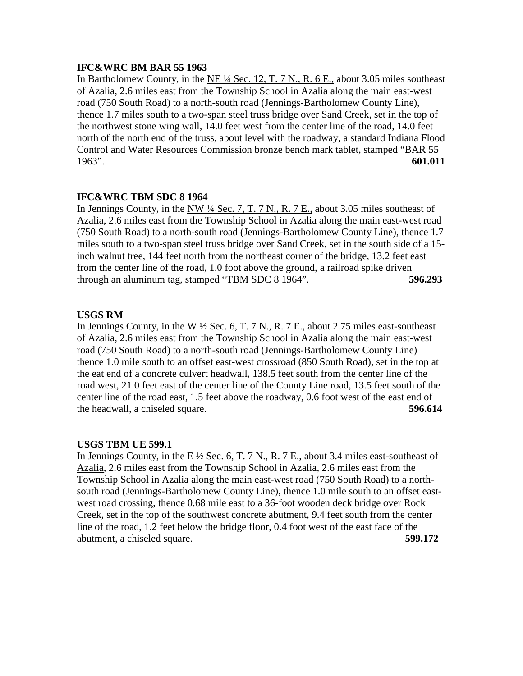## **IFC&WRC BM BAR 55 1963**

In Bartholomew County, in the NE  $\frac{1}{4}$  Sec. 12, T. 7 N., R. 6 E., about 3.05 miles southeast of Azalia, 2.6 miles east from the Township School in Azalia along the main east-west road (750 South Road) to a north-south road (Jennings-Bartholomew County Line), thence 1.7 miles south to a two-span steel truss bridge over Sand Creek, set in the top of the northwest stone wing wall, 14.0 feet west from the center line of the road, 14.0 feet north of the north end of the truss, about level with the roadway, a standard Indiana Flood Control and Water Resources Commission bronze bench mark tablet, stamped "BAR 55 1963". **601.011**

# **IFC&WRC TBM SDC 8 1964**

In Jennings County, in the NW ¼ Sec. 7, T. 7 N., R. 7 E., about 3.05 miles southeast of Azalia, 2.6 miles east from the Township School in Azalia along the main east-west road (750 South Road) to a north-south road (Jennings-Bartholomew County Line), thence 1.7 miles south to a two-span steel truss bridge over Sand Creek, set in the south side of a 15 inch walnut tree, 144 feet north from the northeast corner of the bridge, 13.2 feet east from the center line of the road, 1.0 foot above the ground, a railroad spike driven through an aluminum tag, stamped "TBM SDC 8 1964". **596.293**

# **USGS RM**

In Jennings County, in the W  $\frac{1}{2}$  Sec. 6, T. 7 N., R. 7 E., about 2.75 miles east-southeast of Azalia, 2.6 miles east from the Township School in Azalia along the main east-west road (750 South Road) to a north-south road (Jennings-Bartholomew County Line) thence 1.0 mile south to an offset east-west crossroad (850 South Road), set in the top at the eat end of a concrete culvert headwall, 138.5 feet south from the center line of the road west, 21.0 feet east of the center line of the County Line road, 13.5 feet south of the center line of the road east, 1.5 feet above the roadway, 0.6 foot west of the east end of the headwall, a chiseled square. **596.614**

# **USGS TBM UE 599.1**

In Jennings County, in the E ½ Sec. 6, T. 7 N., R. 7 E., about 3.4 miles east-southeast of Azalia, 2.6 miles east from the Township School in Azalia, 2.6 miles east from the Township School in Azalia along the main east-west road (750 South Road) to a northsouth road (Jennings-Bartholomew County Line), thence 1.0 mile south to an offset eastwest road crossing, thence 0.68 mile east to a 36-foot wooden deck bridge over Rock Creek, set in the top of the southwest concrete abutment, 9.4 feet south from the center line of the road, 1.2 feet below the bridge floor, 0.4 foot west of the east face of the abutment, a chiseled square. **599.172**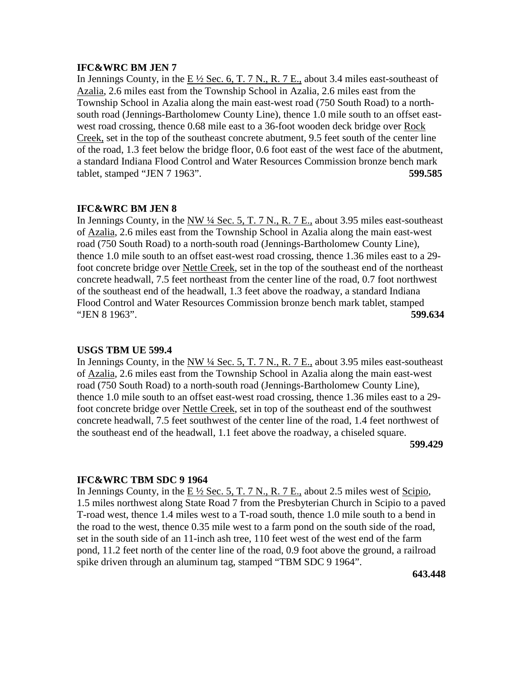### **IFC&WRC BM JEN 7**

In Jennings County, in the  $E\frac{1}{2}$  Sec. 6, T. 7 N., R. 7 E., about 3.4 miles east-southeast of Azalia, 2.6 miles east from the Township School in Azalia, 2.6 miles east from the Township School in Azalia along the main east-west road (750 South Road) to a northsouth road (Jennings-Bartholomew County Line), thence 1.0 mile south to an offset eastwest road crossing, thence 0.68 mile east to a 36-foot wooden deck bridge over Rock Creek, set in the top of the southeast concrete abutment, 9.5 feet south of the center line of the road, 1.3 feet below the bridge floor, 0.6 foot east of the west face of the abutment, a standard Indiana Flood Control and Water Resources Commission bronze bench mark tablet, stamped "JEN 7 1963". **599.585**

### **IFC&WRC BM JEN 8**

In Jennings County, in the NW <sup>1</sup>/4 Sec. 5, T. 7 N., R. 7 E., about 3.95 miles east-southeast of Azalia, 2.6 miles east from the Township School in Azalia along the main east-west road (750 South Road) to a north-south road (Jennings-Bartholomew County Line), thence 1.0 mile south to an offset east-west road crossing, thence 1.36 miles east to a 29 foot concrete bridge over Nettle Creek, set in the top of the southeast end of the northeast concrete headwall, 7.5 feet northeast from the center line of the road, 0.7 foot northwest of the southeast end of the headwall, 1.3 feet above the roadway, a standard Indiana Flood Control and Water Resources Commission bronze bench mark tablet, stamped "JEN 8 1963". **599.634**

### **USGS TBM UE 599.4**

In Jennings County, in the NW ¼ Sec. 5, T. 7 N., R. 7 E., about 3.95 miles east-southeast of Azalia, 2.6 miles east from the Township School in Azalia along the main east-west road (750 South Road) to a north-south road (Jennings-Bartholomew County Line), thence 1.0 mile south to an offset east-west road crossing, thence 1.36 miles east to a 29 foot concrete bridge over Nettle Creek, set in top of the southeast end of the southwest concrete headwall, 7.5 feet southwest of the center line of the road, 1.4 feet northwest of the southeast end of the headwall, 1.1 feet above the roadway, a chiseled square. **599.429**

# **IFC&WRC TBM SDC 9 1964**

In Jennings County, in the  $E\frac{1}{2}$  Sec. 5, T. 7 N., R. 7 E., about 2.5 miles west of Scipio, 1.5 miles northwest along State Road 7 from the Presbyterian Church in Scipio to a paved T-road west, thence 1.4 miles west to a T-road south, thence 1.0 mile south to a bend in the road to the west, thence 0.35 mile west to a farm pond on the south side of the road, set in the south side of an 11-inch ash tree, 110 feet west of the west end of the farm pond, 11.2 feet north of the center line of the road, 0.9 foot above the ground, a railroad spike driven through an aluminum tag, stamped "TBM SDC 9 1964".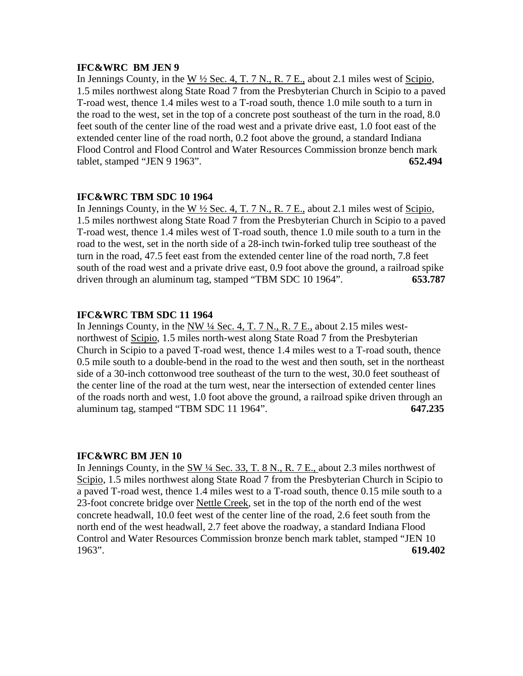# **IFC&WRC BM JEN 9**

In Jennings County, in the W  $\frac{1}{2}$  Sec. 4, T. 7 N., R. 7 E., about 2.1 miles west of Scipio, 1.5 miles northwest along State Road 7 from the Presbyterian Church in Scipio to a paved T-road west, thence 1.4 miles west to a T-road south, thence 1.0 mile south to a turn in the road to the west, set in the top of a concrete post southeast of the turn in the road, 8.0 feet south of the center line of the road west and a private drive east, 1.0 foot east of the extended center line of the road north, 0.2 foot above the ground, a standard Indiana Flood Control and Flood Control and Water Resources Commission bronze bench mark tablet, stamped "JEN 9 1963". **652.494**

# **IFC&WRC TBM SDC 10 1964**

In Jennings County, in the W ½ Sec. 4, T. 7 N., R. 7 E., about 2.1 miles west of Scipio, 1.5 miles northwest along State Road 7 from the Presbyterian Church in Scipio to a paved T-road west, thence 1.4 miles west of T-road south, thence 1.0 mile south to a turn in the road to the west, set in the north side of a 28-inch twin-forked tulip tree southeast of the turn in the road, 47.5 feet east from the extended center line of the road north, 7.8 feet south of the road west and a private drive east, 0.9 foot above the ground, a railroad spike driven through an aluminum tag, stamped "TBM SDC 10 1964". **653.787**

# **IFC&WRC TBM SDC 11 1964**

In Jennings County, in the NW ¼ Sec. 4, T. 7 N., R. 7 E., about 2.15 miles westnorthwest of Scipio, 1.5 miles north-west along State Road 7 from the Presbyterian Church in Scipio to a paved T-road west, thence 1.4 miles west to a T-road south, thence 0.5 mile south to a double-bend in the road to the west and then south, set in the northeast side of a 30-inch cottonwood tree southeast of the turn to the west, 30.0 feet southeast of the center line of the road at the turn west, near the intersection of extended center lines of the roads north and west, 1.0 foot above the ground, a railroad spike driven through an aluminum tag, stamped "TBM SDC 11 1964". **647.235**

### **IFC&WRC BM JEN 10**

In Jennings County, in the  $\frac{SW 14 \text{ Sec. 33, T. 8 N. R. 7 E.}$  about 2.3 miles northwest of Scipio, 1.5 miles northwest along State Road 7 from the Presbyterian Church in Scipio to a paved T-road west, thence 1.4 miles west to a T-road south, thence 0.15 mile south to a 23-foot concrete bridge over Nettle Creek, set in the top of the north end of the west concrete headwall, 10.0 feet west of the center line of the road, 2.6 feet south from the north end of the west headwall, 2.7 feet above the roadway, a standard Indiana Flood Control and Water Resources Commission bronze bench mark tablet, stamped "JEN 10 1963". **619.402**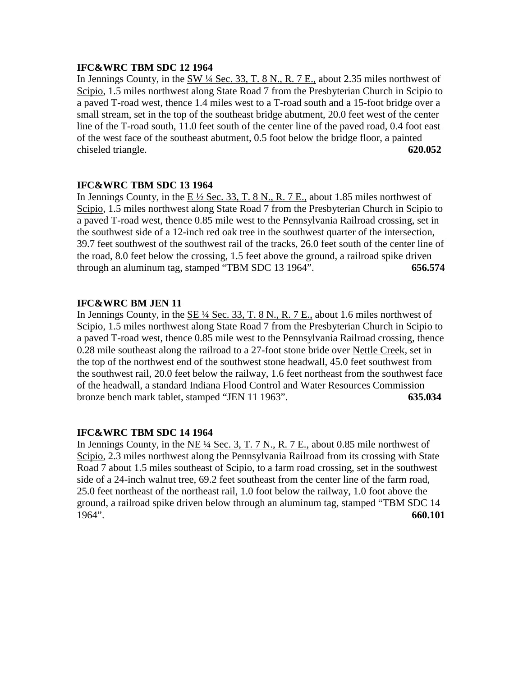# **IFC&WRC TBM SDC 12 1964**

In Jennings County, in the  $\underline{SW 4}$  Sec. 33, T. 8 N., R. 7 E., about 2.35 miles northwest of Scipio, 1.5 miles northwest along State Road 7 from the Presbyterian Church in Scipio to a paved T-road west, thence 1.4 miles west to a T-road south and a 15-foot bridge over a small stream, set in the top of the southeast bridge abutment, 20.0 feet west of the center line of the T-road south, 11.0 feet south of the center line of the paved road, 0.4 foot east of the west face of the southeast abutment, 0.5 foot below the bridge floor, a painted chiseled triangle. **620.052**

# **IFC&WRC TBM SDC 13 1964**

In Jennings County, in the  $E\frac{1}{2}$  Sec. 33, T. 8 N., R. 7 E., about 1.85 miles northwest of Scipio, 1.5 miles northwest along State Road 7 from the Presbyterian Church in Scipio to a paved T-road west, thence 0.85 mile west to the Pennsylvania Railroad crossing, set in the southwest side of a 12-inch red oak tree in the southwest quarter of the intersection, 39.7 feet southwest of the southwest rail of the tracks, 26.0 feet south of the center line of the road, 8.0 feet below the crossing, 1.5 feet above the ground, a railroad spike driven through an aluminum tag, stamped "TBM SDC 13 1964". **656.574**

# **IFC&WRC BM JEN 11**

In Jennings County, in the  $\underline{SE \frac{1}{4} \text{Sec. 33, T. 8 N.}}$ , R. 7 E., about 1.6 miles northwest of Scipio, 1.5 miles northwest along State Road 7 from the Presbyterian Church in Scipio to a paved T-road west, thence 0.85 mile west to the Pennsylvania Railroad crossing, thence 0.28 mile southeast along the railroad to a 27-foot stone bride over Nettle Creek, set in the top of the northwest end of the southwest stone headwall, 45.0 feet southwest from the southwest rail, 20.0 feet below the railway, 1.6 feet northeast from the southwest face of the headwall, a standard Indiana Flood Control and Water Resources Commission bronze bench mark tablet, stamped "JEN 11 1963". **635.034**

# **IFC&WRC TBM SDC 14 1964**

In Jennings County, in the NE ¼ Sec. 3, T. 7 N., R. 7 E., about 0.85 mile northwest of Scipio, 2.3 miles northwest along the Pennsylvania Railroad from its crossing with State Road 7 about 1.5 miles southeast of Scipio, to a farm road crossing, set in the southwest side of a 24-inch walnut tree, 69.2 feet southeast from the center line of the farm road, 25.0 feet northeast of the northeast rail, 1.0 foot below the railway, 1.0 foot above the ground, a railroad spike driven below through an aluminum tag, stamped "TBM SDC 14 1964". **660.101**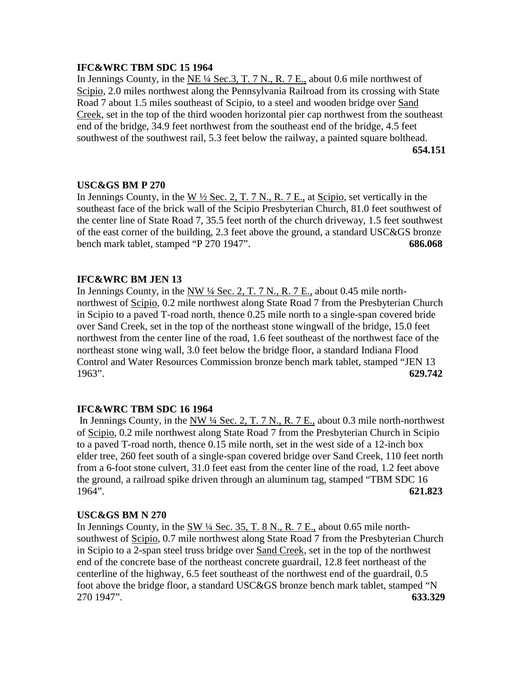# **IFC&WRC TBM SDC 15 1964**

In Jennings County, in the  $NE \frac{1}{4}$  Sec. 3, T. 7 N., R. 7 E., about 0.6 mile northwest of Scipio, 2.0 miles northwest along the Pennsylvania Railroad from its crossing with State Road 7 about 1.5 miles southeast of Scipio, to a steel and wooden bridge over Sand Creek, set in the top of the third wooden horizontal pier cap northwest from the southeast end of the bridge, 34.9 feet northwest from the southeast end of the bridge, 4.5 feet southwest of the southwest rail, 5.3 feet below the railway, a painted square bolthead.  **654.151**

# **USC&GS BM P 270**

In Jennings County, in the W  $\frac{1}{2}$  Sec. 2, T. 7 N., R. 7 E., at Scipio, set vertically in the southeast face of the brick wall of the Scipio Presbyterian Church, 81.0 feet southwest of the center line of State Road 7, 35.5 feet north of the church driveway, 1.5 feet southwest of the east corner of the building, 2.3 feet above the ground, a standard USC&GS bronze bench mark tablet, stamped "P 270 1947". **686.068**

# **IFC&WRC BM JEN 13**

In Jennings County, in the NW  $\frac{1}{4}$  Sec. 2, T. 7 N., R. 7 E., about 0.45 mile northnorthwest of Scipio, 0.2 mile northwest along State Road 7 from the Presbyterian Church in Scipio to a paved T-road north, thence 0.25 mile north to a single-span covered bride over Sand Creek, set in the top of the northeast stone wingwall of the bridge, 15.0 feet northwest from the center line of the road, 1.6 feet southeast of the northwest face of the northeast stone wing wall, 3.0 feet below the bridge floor, a standard Indiana Flood Control and Water Resources Commission bronze bench mark tablet, stamped "JEN 13 1963". **629.742**

# **IFC&WRC TBM SDC 16 1964**

 In Jennings County, in the NW ¼ Sec. 2, T. 7 N., R. 7 E., about 0.3 mile north-northwest of Scipio, 0.2 mile northwest along State Road 7 from the Presbyterian Church in Scipio to a paved T-road north, thence 0.15 mile north, set in the west side of a 12-inch box elder tree, 260 feet south of a single-span covered bridge over Sand Creek, 110 feet north from a 6-foot stone culvert, 31.0 feet east from the center line of the road, 1.2 feet above the ground, a railroad spike driven through an aluminum tag, stamped "TBM SDC 16 1964". **621.823**

# **USC&GS BM N 270**

In Jennings County, in the SW ¼ Sec. 35, T. 8 N., R. 7 E., about 0.65 mile northsouthwest of Scipio, 0.7 mile northwest along State Road 7 from the Presbyterian Church in Scipio to a 2-span steel truss bridge over Sand Creek, set in the top of the northwest end of the concrete base of the northeast concrete guardrail, 12.8 feet northeast of the centerline of the highway, 6.5 feet southeast of the northwest end of the guardrail, 0.5 foot above the bridge floor, a standard USC&GS bronze bench mark tablet, stamped "N 270 1947". **633.329**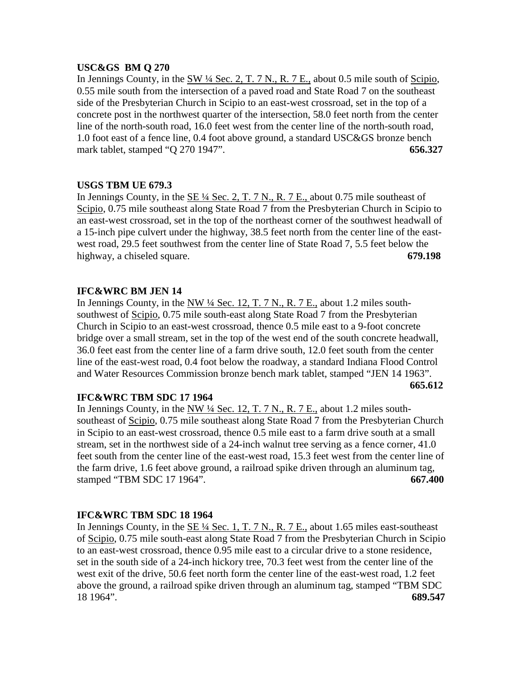# **USC&GS BM Q 270**

In Jennings County, in the  $SW\frac{1}{4}$  Sec. 2, T. 7 N., R. 7 E., about 0.5 mile south of Scipio, 0.55 mile south from the intersection of a paved road and State Road 7 on the southeast side of the Presbyterian Church in Scipio to an east-west crossroad, set in the top of a concrete post in the northwest quarter of the intersection, 58.0 feet north from the center line of the north-south road, 16.0 feet west from the center line of the north-south road, 1.0 foot east of a fence line, 0.4 foot above ground, a standard USC&GS bronze bench mark tablet, stamped "Q 270 1947". **656.327**

# **USGS TBM UE 679.3**

In Jennings County, in the  $SE\frac{1}{4}$  Sec. 2, T. 7 N., R. 7 E., about 0.75 mile southeast of Scipio, 0.75 mile southeast along State Road 7 from the Presbyterian Church in Scipio to an east-west crossroad, set in the top of the northeast corner of the southwest headwall of a 15-inch pipe culvert under the highway, 38.5 feet north from the center line of the eastwest road, 29.5 feet southwest from the center line of State Road 7, 5.5 feet below the highway, a chiseled square. **679.198**

# **IFC&WRC BM JEN 14**

In Jennings County, in the NW ¼ Sec. 12, T. 7 N., R. 7 E., about 1.2 miles southsouthwest of Scipio, 0.75 mile south-east along State Road 7 from the Presbyterian Church in Scipio to an east-west crossroad, thence 0.5 mile east to a 9-foot concrete bridge over a small stream, set in the top of the west end of the south concrete headwall, 36.0 feet east from the center line of a farm drive south, 12.0 feet south from the center line of the east-west road, 0.4 foot below the roadway, a standard Indiana Flood Control and Water Resources Commission bronze bench mark tablet, stamped "JEN 14 1963".

**665.612**

# **IFC&WRC TBM SDC 17 1964**

In Jennings County, in the NW ¼ Sec. 12, T. 7 N., R. 7 E., about 1.2 miles southsoutheast of Scipio, 0.75 mile southeast along State Road 7 from the Presbyterian Church in Scipio to an east-west crossroad, thence 0.5 mile east to a farm drive south at a small stream, set in the northwest side of a 24-inch walnut tree serving as a fence corner, 41.0 feet south from the center line of the east-west road, 15.3 feet west from the center line of the farm drive, 1.6 feet above ground, a railroad spike driven through an aluminum tag, stamped "TBM SDC 17 1964". **667.400**

### **IFC&WRC TBM SDC 18 1964**

In Jennings County, in the SE ¼ Sec. 1, T. 7 N., R. 7 E., about 1.65 miles east-southeast of Scipio, 0.75 mile south-east along State Road 7 from the Presbyterian Church in Scipio to an east-west crossroad, thence 0.95 mile east to a circular drive to a stone residence, set in the south side of a 24-inch hickory tree, 70.3 feet west from the center line of the west exit of the drive, 50.6 feet north form the center line of the east-west road, 1.2 feet above the ground, a railroad spike driven through an aluminum tag, stamped "TBM SDC 18 1964". **689.547**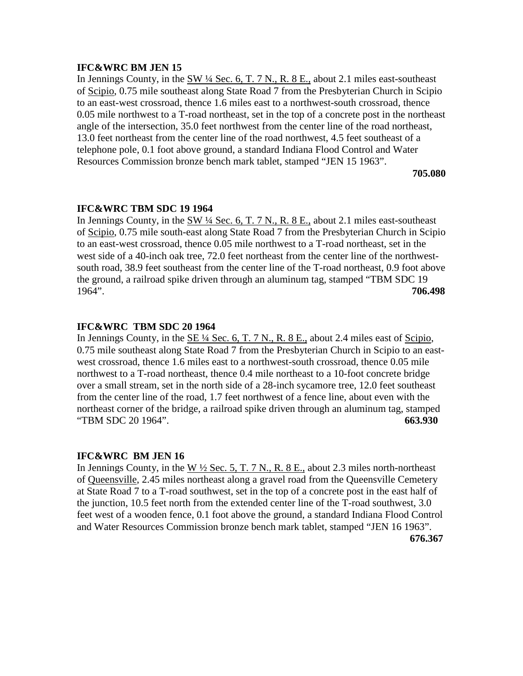### **IFC&WRC BM JEN 15**

In Jennings County, in the  $\frac{SW 14 \text{ Sec. } 6, T. 7 N., R. 8 E.,}$  about 2.1 miles east-southeast of Scipio, 0.75 mile southeast along State Road 7 from the Presbyterian Church in Scipio to an east-west crossroad, thence 1.6 miles east to a northwest-south crossroad, thence 0.05 mile northwest to a T-road northeast, set in the top of a concrete post in the northeast angle of the intersection, 35.0 feet northwest from the center line of the road northeast, 13.0 feet northeast from the center line of the road northwest, 4.5 feet southeast of a telephone pole, 0.1 foot above ground, a standard Indiana Flood Control and Water Resources Commission bronze bench mark tablet, stamped "JEN 15 1963".

**705.080**

# **IFC&WRC TBM SDC 19 1964**

In Jennings County, in the  $\frac{SW 14 \text{ Sec. } 6, T. 7 N., R. 8 E.,}$  about 2.1 miles east-southeast of Scipio, 0.75 mile south-east along State Road 7 from the Presbyterian Church in Scipio to an east-west crossroad, thence 0.05 mile northwest to a T-road northeast, set in the west side of a 40-inch oak tree, 72.0 feet northeast from the center line of the northwestsouth road, 38.9 feet southeast from the center line of the T-road northeast, 0.9 foot above the ground, a railroad spike driven through an aluminum tag, stamped "TBM SDC 19 1964". **706.498**

### **IFC&WRC TBM SDC 20 1964**

In Jennings County, in the  $SE\frac{1}{4}$  Sec. 6, T. 7 N., R. 8 E., about 2.4 miles east of Scipio, 0.75 mile southeast along State Road 7 from the Presbyterian Church in Scipio to an eastwest crossroad, thence 1.6 miles east to a northwest-south crossroad, thence 0.05 mile northwest to a T-road northeast, thence 0.4 mile northeast to a 10-foot concrete bridge over a small stream, set in the north side of a 28-inch sycamore tree, 12.0 feet southeast from the center line of the road, 1.7 feet northwest of a fence line, about even with the northeast corner of the bridge, a railroad spike driven through an aluminum tag, stamped "TBM SDC 20 1964". **663.930**

### **IFC&WRC BM JEN 16**

In Jennings County, in the W  $\frac{1}{2}$  Sec. 5, T. 7 N., R. 8 E., about 2.3 miles north-northeast of Queensville, 2.45 miles northeast along a gravel road from the Queensville Cemetery at State Road 7 to a T-road southwest, set in the top of a concrete post in the east half of the junction, 10.5 feet north from the extended center line of the T-road southwest, 3.0 feet west of a wooden fence, 0.1 foot above the ground, a standard Indiana Flood Control and Water Resources Commission bronze bench mark tablet, stamped "JEN 16 1963". **676.367**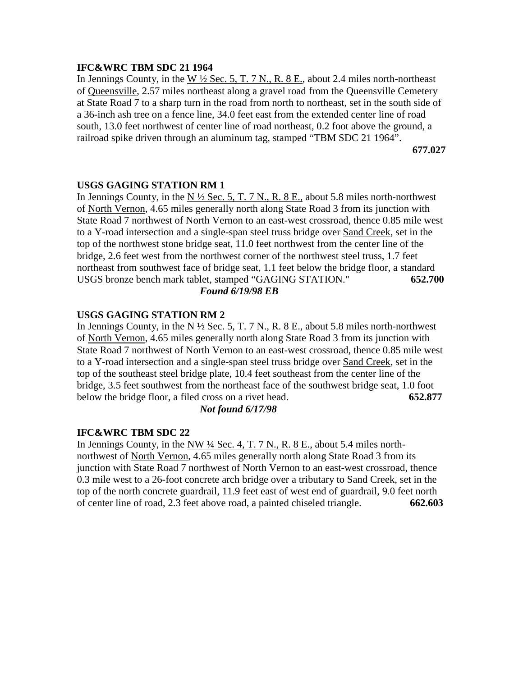# **IFC&WRC TBM SDC 21 1964**

In Jennings County, in the W  $\frac{1}{2}$  Sec. 5, T. 7 N., R. 8 E., about 2.4 miles north-northeast of Queensville, 2.57 miles northeast along a gravel road from the Queensville Cemetery at State Road 7 to a sharp turn in the road from north to northeast, set in the south side of a 36-inch ash tree on a fence line, 34.0 feet east from the extended center line of road south, 13.0 feet northwest of center line of road northeast, 0.2 foot above the ground, a railroad spike driven through an aluminum tag, stamped "TBM SDC 21 1964".

**677.027**

# **USGS GAGING STATION RM 1**

In Jennings County, in the N  $\frac{1}{2}$  Sec. 5, T. 7 N., R. 8 E., about 5.8 miles north-northwest of North Vernon, 4.65 miles generally north along State Road 3 from its junction with State Road 7 northwest of North Vernon to an east-west crossroad, thence 0.85 mile west to a Y-road intersection and a single-span steel truss bridge over Sand Creek, set in the top of the northwest stone bridge seat, 11.0 feet northwest from the center line of the bridge, 2.6 feet west from the northwest corner of the northwest steel truss, 1.7 feet northeast from southwest face of bridge seat, 1.1 feet below the bridge floor, a standard USGS bronze bench mark tablet, stamped "GAGING STATION." **652.700** *Found 6/19/98 EB*

# **USGS GAGING STATION RM 2**

In Jennings County, in the N  $\frac{1}{2}$  Sec. 5, T. 7 N., R. 8 E., about 5.8 miles north-northwest of North Vernon, 4.65 miles generally north along State Road 3 from its junction with State Road 7 northwest of North Vernon to an east-west crossroad, thence 0.85 mile west to a Y-road intersection and a single-span steel truss bridge over Sand Creek, set in the top of the southeast steel bridge plate, 10.4 feet southeast from the center line of the bridge, 3.5 feet southwest from the northeast face of the southwest bridge seat, 1.0 foot below the bridge floor, a filed cross on a rivet head. **652.877**

# *Not found 6/17/98*

### **IFC&WRC TBM SDC 22**

In Jennings County, in the NW ¼ Sec. 4, T. 7 N., R. 8 E., about 5.4 miles northnorthwest of North Vernon, 4.65 miles generally north along State Road 3 from its junction with State Road 7 northwest of North Vernon to an east-west crossroad, thence 0.3 mile west to a 26-foot concrete arch bridge over a tributary to Sand Creek, set in the top of the north concrete guardrail, 11.9 feet east of west end of guardrail, 9.0 feet north of center line of road, 2.3 feet above road, a painted chiseled triangle. **662.603**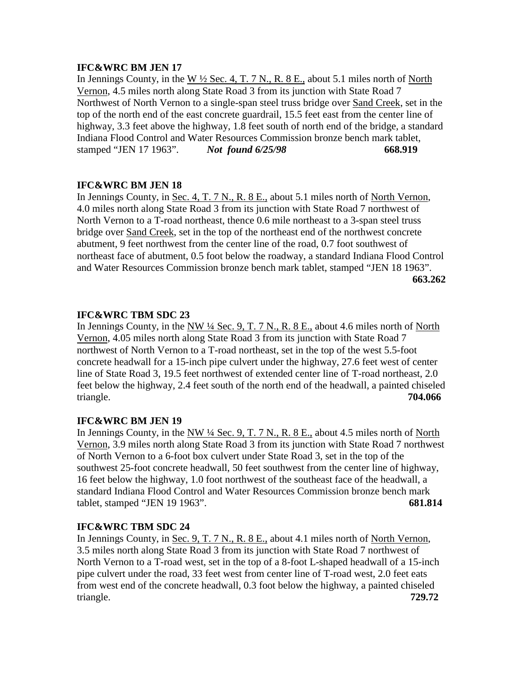# **IFC&WRC BM JEN 17**

In Jennings County, in the W  $\frac{1}{2}$  Sec. 4, T. 7 N., R. 8 E., about 5.1 miles north of North Vernon, 4.5 miles north along State Road 3 from its junction with State Road 7 Northwest of North Vernon to a single-span steel truss bridge over Sand Creek, set in the top of the north end of the east concrete guardrail, 15.5 feet east from the center line of highway, 3.3 feet above the highway, 1.8 feet south of north end of the bridge, a standard Indiana Flood Control and Water Resources Commission bronze bench mark tablet, stamped "JEN 17 1963". *Not found 6/25/98* **668.919**

# **IFC&WRC BM JEN 18**

In Jennings County, in <u>Sec. 4, T. 7 N., R. 8 E.,</u> about 5.1 miles north of <u>North Vernon</u>, 4.0 miles north along State Road 3 from its junction with State Road 7 northwest of North Vernon to a T-road northeast, thence 0.6 mile northeast to a 3-span steel truss bridge over Sand Creek, set in the top of the northeast end of the northwest concrete abutment, 9 feet northwest from the center line of the road, 0.7 foot southwest of northeast face of abutment, 0.5 foot below the roadway, a standard Indiana Flood Control and Water Resources Commission bronze bench mark tablet, stamped "JEN 18 1963". **663.262**

# **IFC&WRC TBM SDC 23**

In Jennings County, in the NW ¼ Sec. 9, T. 7 N., R. 8 E., about 4.6 miles north of North Vernon, 4.05 miles north along State Road 3 from its junction with State Road 7 northwest of North Vernon to a T-road northeast, set in the top of the west 5.5-foot concrete headwall for a 15-inch pipe culvert under the highway, 27.6 feet west of center line of State Road 3, 19.5 feet northwest of extended center line of T-road northeast, 2.0 feet below the highway, 2.4 feet south of the north end of the headwall, a painted chiseled triangle. **704.066**

# **IFC&WRC BM JEN 19**

In Jennings County, in the NW  $\frac{1}{4}$  Sec. 9, T. 7 N., R. 8 E., about 4.5 miles north of North Vernon, 3.9 miles north along State Road 3 from its junction with State Road 7 northwest of North Vernon to a 6-foot box culvert under State Road 3, set in the top of the southwest 25-foot concrete headwall, 50 feet southwest from the center line of highway, 16 feet below the highway, 1.0 foot northwest of the southeast face of the headwall, a standard Indiana Flood Control and Water Resources Commission bronze bench mark tablet, stamped "JEN 19 1963". **681.814**

# **IFC&WRC TBM SDC 24**

In Jennings County, in <u>Sec. 9, T. 7 N., R. 8 E.,</u> about 4.1 miles north of <u>North Vernon</u>, 3.5 miles north along State Road 3 from its junction with State Road 7 northwest of North Vernon to a T-road west, set in the top of a 8-foot L-shaped headwall of a 15-inch pipe culvert under the road, 33 feet west from center line of T-road west, 2.0 feet eats from west end of the concrete headwall, 0.3 foot below the highway, a painted chiseled triangle. **729.72**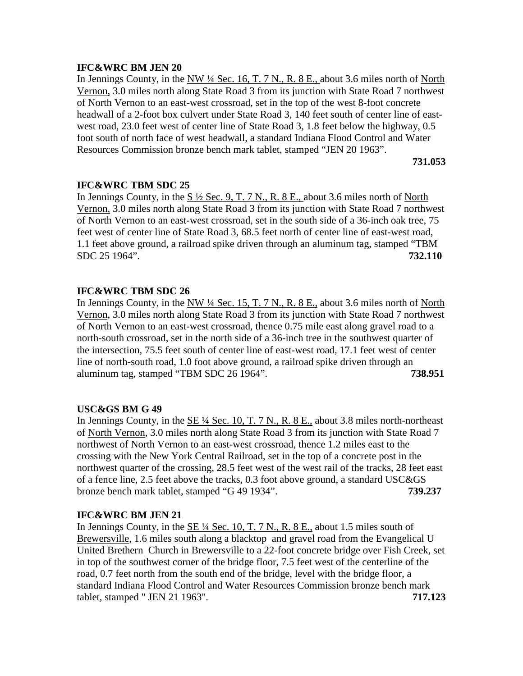# **IFC&WRC BM JEN 20**

In Jennings County, in the NW  $\frac{1}{4}$  Sec. 16, T. 7 N., R. 8 E., about 3.6 miles north of North Vernon, 3.0 miles north along State Road 3 from its junction with State Road 7 northwest of North Vernon to an east-west crossroad, set in the top of the west 8-foot concrete headwall of a 2-foot box culvert under State Road 3, 140 feet south of center line of eastwest road, 23.0 feet west of center line of State Road 3, 1.8 feet below the highway, 0.5 foot south of north face of west headwall, a standard Indiana Flood Control and Water Resources Commission bronze bench mark tablet, stamped "JEN 20 1963".

**731.053**

# **IFC&WRC TBM SDC 25**

In Jennings County, in the  $S\frac{1}{2}$  Sec. 9, T. 7 N., R. 8 E., about 3.6 miles north of North Vernon, 3.0 miles north along State Road 3 from its junction with State Road 7 northwest of North Vernon to an east-west crossroad, set in the south side of a 36-inch oak tree, 75 feet west of center line of State Road 3, 68.5 feet north of center line of east-west road, 1.1 feet above ground, a railroad spike driven through an aluminum tag, stamped "TBM SDC 25 1964". **732.110**

# **IFC&WRC TBM SDC 26**

In Jennings County, in the NW ¼ Sec. 15, T. 7 N., R. 8 E., about 3.6 miles north of North Vernon, 3.0 miles north along State Road 3 from its junction with State Road 7 northwest of North Vernon to an east-west crossroad, thence 0.75 mile east along gravel road to a north-south crossroad, set in the north side of a 36-inch tree in the southwest quarter of the intersection, 75.5 feet south of center line of east-west road, 17.1 feet west of center line of north-south road, 1.0 foot above ground, a railroad spike driven through an aluminum tag, stamped "TBM SDC 26 1964". **738.951**

# **USC&GS BM G 49**

In Jennings County, in the SE ¼ Sec. 10, T. 7 N., R. 8 E., about 3.8 miles north-northeast of North Vernon, 3.0 miles north along State Road 3 from its junction with State Road 7 northwest of North Vernon to an east-west crossroad, thence 1.2 miles east to the crossing with the New York Central Railroad, set in the top of a concrete post in the northwest quarter of the crossing, 28.5 feet west of the west rail of the tracks, 28 feet east of a fence line, 2.5 feet above the tracks, 0.3 foot above ground, a standard USC&GS bronze bench mark tablet, stamped "G 49 1934". **739.237**

# **IFC&WRC BM JEN 21**

In Jennings County, in the SE ¼ Sec. 10, T. 7 N., R. 8 E., about 1.5 miles south of Brewersville, 1.6 miles south along a blacktop and gravel road from the Evangelical U United Brethern Church in Brewersville to a 22-foot concrete bridge over Fish Creek, set in top of the southwest corner of the bridge floor, 7.5 feet west of the centerline of the road, 0.7 feet north from the south end of the bridge, level with the bridge floor, a standard Indiana Flood Control and Water Resources Commission bronze bench mark tablet, stamped " JEN 21 1963". **717.123**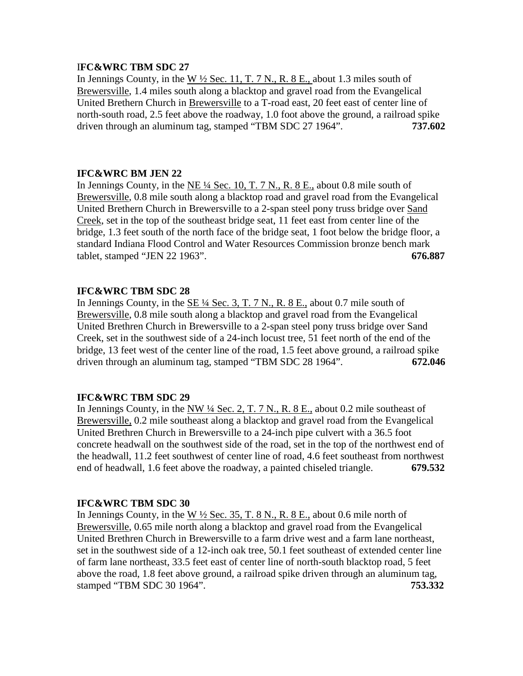# I**FC&WRC TBM SDC 27**

In Jennings County, in the W  $\frac{1}{2}$  Sec. 11, T. 7 N., R. 8 E., about 1.3 miles south of Brewersville, 1.4 miles south along a blacktop and gravel road from the Evangelical United Brethern Church in Brewersville to a T-road east, 20 feet east of center line of north-south road, 2.5 feet above the roadway, 1.0 foot above the ground, a railroad spike driven through an aluminum tag, stamped "TBM SDC 27 1964". **737.602**

# **IFC&WRC BM JEN 22**

In Jennings County, in the NE ¼ Sec. 10, T. 7 N., R. 8 E., about 0.8 mile south of Brewersville, 0.8 mile south along a blacktop road and gravel road from the Evangelical United Brethern Church in Brewersville to a 2-span steel pony truss bridge over Sand Creek, set in the top of the southeast bridge seat, 11 feet east from center line of the bridge, 1.3 feet south of the north face of the bridge seat, 1 foot below the bridge floor, a standard Indiana Flood Control and Water Resources Commission bronze bench mark tablet, stamped "JEN 22 1963". **676.887**

# **IFC&WRC TBM SDC 28**

In Jennings County, in the SE ¼ Sec. 3, T. 7 N., R. 8 E., about 0.7 mile south of Brewersville, 0.8 mile south along a blacktop and gravel road from the Evangelical United Brethren Church in Brewersville to a 2-span steel pony truss bridge over Sand Creek, set in the southwest side of a 24-inch locust tree, 51 feet north of the end of the bridge, 13 feet west of the center line of the road, 1.5 feet above ground, a railroad spike driven through an aluminum tag, stamped "TBM SDC 28 1964". **672.046**

### **IFC&WRC TBM SDC 29**

In Jennings County, in the NW ¼ Sec. 2, T. 7 N., R. 8 E., about 0.2 mile southeast of Brewersville, 0.2 mile southeast along a blacktop and gravel road from the Evangelical United Brethren Church in Brewersville to a 24-inch pipe culvert with a 36.5 foot concrete headwall on the southwest side of the road, set in the top of the northwest end of the headwall, 11.2 feet southwest of center line of road, 4.6 feet southeast from northwest end of headwall, 1.6 feet above the roadway, a painted chiseled triangle. **679.532**

# **IFC&WRC TBM SDC 30**

In Jennings County, in the W  $\frac{1}{2}$  Sec. 35, T. 8 N., R. 8 E., about 0.6 mile north of Brewersville, 0.65 mile north along a blacktop and gravel road from the Evangelical United Brethren Church in Brewersville to a farm drive west and a farm lane northeast, set in the southwest side of a 12-inch oak tree, 50.1 feet southeast of extended center line of farm lane northeast, 33.5 feet east of center line of north-south blacktop road, 5 feet above the road, 1.8 feet above ground, a railroad spike driven through an aluminum tag, stamped "TBM SDC 30 1964". **753.332**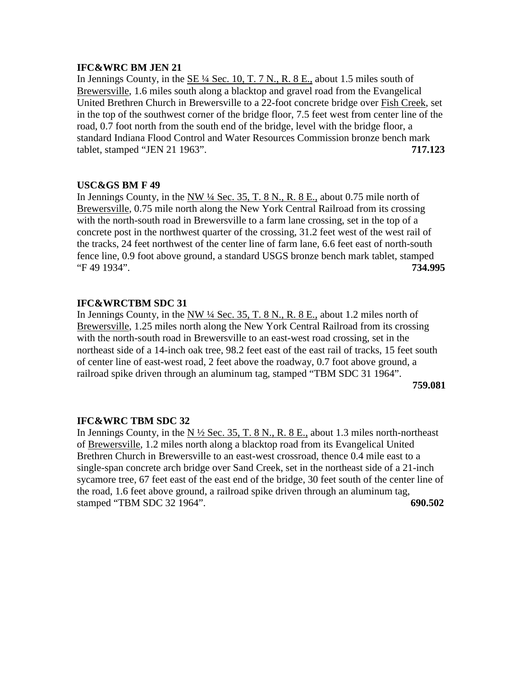# **IFC&WRC BM JEN 21**

In Jennings County, in the  $SE\frac{1}{4}$  Sec. 10, T. 7 N., R. 8 E., about 1.5 miles south of Brewersville, 1.6 miles south along a blacktop and gravel road from the Evangelical United Brethren Church in Brewersville to a 22-foot concrete bridge over Fish Creek, set in the top of the southwest corner of the bridge floor, 7.5 feet west from center line of the road, 0.7 foot north from the south end of the bridge, level with the bridge floor, a standard Indiana Flood Control and Water Resources Commission bronze bench mark tablet, stamped "JEN 21 1963". **717.123**

# **USC&GS BM F 49**

In Jennings County, in the NW  $\frac{1}{4}$  Sec. 35, T. 8 N., R. 8 E., about 0.75 mile north of Brewersville, 0.75 mile north along the New York Central Railroad from its crossing with the north-south road in Brewersville to a farm lane crossing, set in the top of a concrete post in the northwest quarter of the crossing, 31.2 feet west of the west rail of the tracks, 24 feet northwest of the center line of farm lane, 6.6 feet east of north-south fence line, 0.9 foot above ground, a standard USGS bronze bench mark tablet, stamped "F 49 1934". **734.995**

# **IFC&WRCTBM SDC 31**

In Jennings County, in the NW ¼ Sec. 35, T. 8 N., R. 8 E., about 1.2 miles north of Brewersville, 1.25 miles north along the New York Central Railroad from its crossing with the north-south road in Brewersville to an east-west road crossing, set in the northeast side of a 14-inch oak tree, 98.2 feet east of the east rail of tracks, 15 feet south of center line of east-west road, 2 feet above the roadway, 0.7 foot above ground, a railroad spike driven through an aluminum tag, stamped "TBM SDC 31 1964".

 **759.081**

# **IFC&WRC TBM SDC 32**

In Jennings County, in the N  $\frac{1}{2}$  Sec. 35, T. 8 N., R. 8 E., about 1.3 miles north-northeast of Brewersville, 1.2 miles north along a blacktop road from its Evangelical United Brethren Church in Brewersville to an east-west crossroad, thence 0.4 mile east to a single-span concrete arch bridge over Sand Creek, set in the northeast side of a 21-inch sycamore tree, 67 feet east of the east end of the bridge, 30 feet south of the center line of the road, 1.6 feet above ground, a railroad spike driven through an aluminum tag, stamped "TBM SDC 32 1964". **690.502**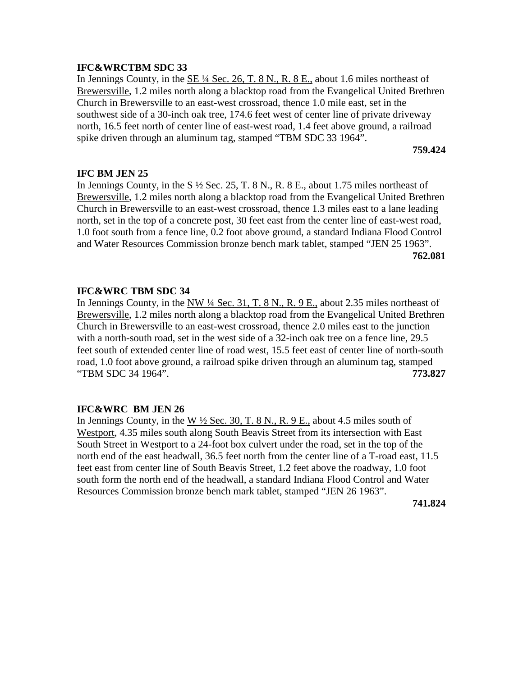# **IFC&WRCTBM SDC 33**

In Jennings County, in the  $SE\frac{1}{4}$  Sec. 26, T. 8 N., R. 8 E., about 1.6 miles northeast of Brewersville, 1.2 miles north along a blacktop road from the Evangelical United Brethren Church in Brewersville to an east-west crossroad, thence 1.0 mile east, set in the southwest side of a 30-inch oak tree, 174.6 feet west of center line of private driveway north, 16.5 feet north of center line of east-west road, 1.4 feet above ground, a railroad spike driven through an aluminum tag, stamped "TBM SDC 33 1964".

**759.424**

# **IFC BM JEN 25**

In Jennings County, in the S ½ Sec. 25, T. 8 N., R. 8 E., about 1.75 miles northeast of Brewersville, 1.2 miles north along a blacktop road from the Evangelical United Brethren Church in Brewersville to an east-west crossroad, thence 1.3 miles east to a lane leading north, set in the top of a concrete post, 30 feet east from the center line of east-west road, 1.0 foot south from a fence line, 0.2 foot above ground, a standard Indiana Flood Control and Water Resources Commission bronze bench mark tablet, stamped "JEN 25 1963". **762.081**

# **IFC&WRC TBM SDC 34**

In Jennings County, in the NW ¼ Sec. 31, T. 8 N., R. 9 E., about 2.35 miles northeast of Brewersville, 1.2 miles north along a blacktop road from the Evangelical United Brethren Church in Brewersville to an east-west crossroad, thence 2.0 miles east to the junction with a north-south road, set in the west side of a 32-inch oak tree on a fence line, 29.5 feet south of extended center line of road west, 15.5 feet east of center line of north-south road, 1.0 foot above ground, a railroad spike driven through an aluminum tag, stamped "TBM SDC 34 1964". **773.827**

# **IFC&WRC BM JEN 26**

In Jennings County, in the W  $\frac{1}{2}$  Sec. 30, T. 8 N., R. 9 E., about 4.5 miles south of Westport, 4.35 miles south along South Beavis Street from its intersection with East South Street in Westport to a 24-foot box culvert under the road, set in the top of the north end of the east headwall, 36.5 feet north from the center line of a T-road east, 11.5 feet east from center line of South Beavis Street, 1.2 feet above the roadway, 1.0 foot south form the north end of the headwall, a standard Indiana Flood Control and Water Resources Commission bronze bench mark tablet, stamped "JEN 26 1963".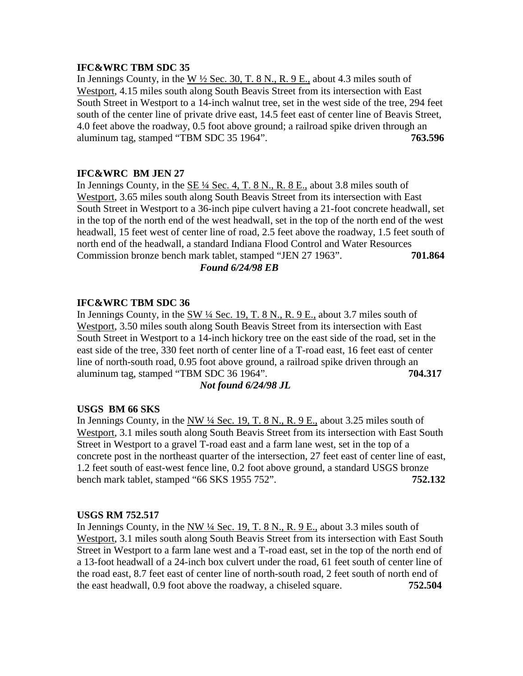# **IFC&WRC TBM SDC 35**

In Jennings County, in the W  $\frac{1}{2}$  Sec. 30, T. 8 N., R. 9 E., about 4.3 miles south of Westport, 4.15 miles south along South Beavis Street from its intersection with East South Street in Westport to a 14-inch walnut tree, set in the west side of the tree, 294 feet south of the center line of private drive east, 14.5 feet east of center line of Beavis Street, 4.0 feet above the roadway, 0.5 foot above ground; a railroad spike driven through an aluminum tag, stamped "TBM SDC 35 1964". **763.596**

# **IFC&WRC BM JEN 27**

In Jennings County, in the  $SE\frac{1}{4}$  Sec. 4, T. 8 N., R. 8 E., about 3.8 miles south of Westport, 3.65 miles south along South Beavis Street from its intersection with East South Street in Westport to a 36-inch pipe culvert having a 21-foot concrete headwall, set in the top of the north end of the west headwall, set in the top of the north end of the west headwall, 15 feet west of center line of road, 2.5 feet above the roadway, 1.5 feet south of north end of the headwall, a standard Indiana Flood Control and Water Resources Commission bronze bench mark tablet, stamped "JEN 27 1963". **701.864** *Found 6/24/98 EB*

# **IFC&WRC TBM SDC 36**

In Jennings County, in the SW ¼ Sec. 19, T. 8 N., R. 9 E., about 3.7 miles south of Westport, 3.50 miles south along South Beavis Street from its intersection with East South Street in Westport to a 14-inch hickory tree on the east side of the road, set in the east side of the tree, 330 feet north of center line of a T-road east, 16 feet east of center line of north-south road, 0.95 foot above ground, a railroad spike driven through an aluminum tag, stamped "TBM SDC 36 1964". **704.317**

### *Not found 6/24/98 JL*

### **USGS BM 66 SKS**

In Jennings County, in the NW ¼ Sec. 19, T. 8 N., R. 9 E., about 3.25 miles south of Westport, 3.1 miles south along South Beavis Street from its intersection with East South Street in Westport to a gravel T-road east and a farm lane west, set in the top of a concrete post in the northeast quarter of the intersection, 27 feet east of center line of east, 1.2 feet south of east-west fence line, 0.2 foot above ground, a standard USGS bronze bench mark tablet, stamped "66 SKS 1955 752". **752.132**

### **USGS RM 752.517**

In Jennings County, in the NW ¼ Sec. 19, T. 8 N., R. 9 E., about 3.3 miles south of Westport, 3.1 miles south along South Beavis Street from its intersection with East South Street in Westport to a farm lane west and a T-road east, set in the top of the north end of a 13-foot headwall of a 24-inch box culvert under the road, 61 feet south of center line of the road east, 8.7 feet east of center line of north-south road, 2 feet south of north end of the east headwall, 0.9 foot above the roadway, a chiseled square. **752.504**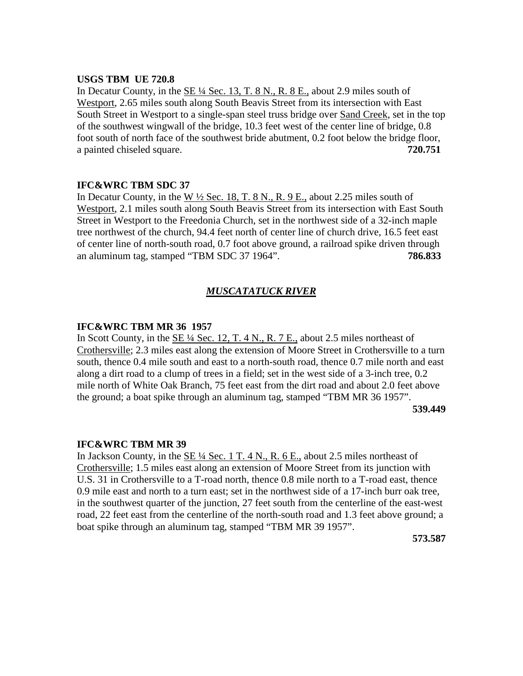### **USGS TBM UE 720.8**

In Decatur County, in the SE ¼ Sec. 13, T. 8 N., R. 8 E., about 2.9 miles south of Westport, 2.65 miles south along South Beavis Street from its intersection with East South Street in Westport to a single-span steel truss bridge over Sand Creek, set in the top of the southwest wingwall of the bridge, 10.3 feet west of the center line of bridge, 0.8 foot south of north face of the southwest bride abutment, 0.2 foot below the bridge floor, a painted chiseled square. **720.751**

# **IFC&WRC TBM SDC 37**

In Decatur County, in the W  $\frac{1}{2}$  Sec. 18, T. 8 N., R. 9 E., about 2.25 miles south of Westport, 2.1 miles south along South Beavis Street from its intersection with East South Street in Westport to the Freedonia Church, set in the northwest side of a 32-inch maple tree northwest of the church, 94.4 feet north of center line of church drive, 16.5 feet east of center line of north-south road, 0.7 foot above ground, a railroad spike driven through an aluminum tag, stamped "TBM SDC 37 1964". **786.833**

# *MUSCATATUCK RIVER*

# **IFC&WRC TBM MR 36 1957**

In Scott County, in the SE ¼ Sec. 12, T. 4 N., R. 7 E., about 2.5 miles northeast of Crothersville; 2.3 miles east along the extension of Moore Street in Crothersville to a turn south, thence 0.4 mile south and east to a north-south road, thence 0.7 mile north and east along a dirt road to a clump of trees in a field; set in the west side of a 3-inch tree, 0.2 mile north of White Oak Branch, 75 feet east from the dirt road and about 2.0 feet above the ground; a boat spike through an aluminum tag, stamped "TBM MR 36 1957". **539.449**

### **IFC&WRC TBM MR 39**

In Jackson County, in the SE ¼ Sec. 1 T. 4 N., R. 6 E., about 2.5 miles northeast of Crothersville; 1.5 miles east along an extension of Moore Street from its junction with U.S. 31 in Crothersville to a T-road north, thence 0.8 mile north to a T-road east, thence 0.9 mile east and north to a turn east; set in the northwest side of a 17-inch burr oak tree, in the southwest quarter of the junction, 27 feet south from the centerline of the east-west road, 22 feet east from the centerline of the north-south road and 1.3 feet above ground; a boat spike through an aluminum tag, stamped "TBM MR 39 1957".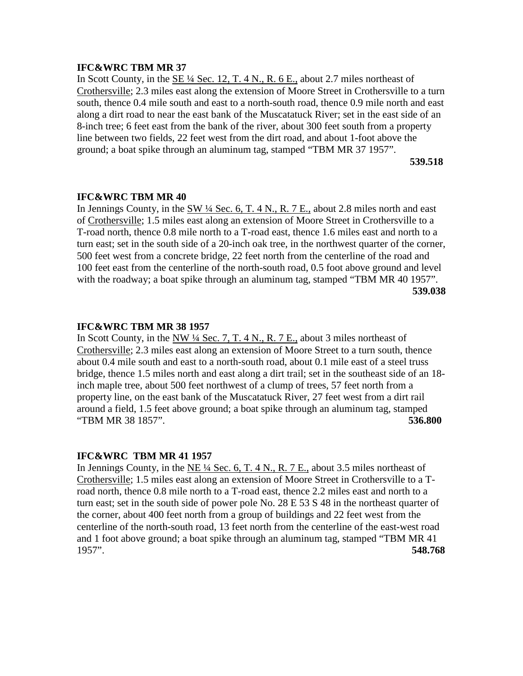# **IFC&WRC TBM MR 37**

In Scott County, in the  $SE\frac{1}{4}$  Sec. 12, T. 4 N., R. 6 E., about 2.7 miles northeast of Crothersville; 2.3 miles east along the extension of Moore Street in Crothersville to a turn south, thence 0.4 mile south and east to a north-south road, thence 0.9 mile north and east along a dirt road to near the east bank of the Muscatatuck River; set in the east side of an 8-inch tree; 6 feet east from the bank of the river, about 300 feet south from a property line between two fields, 22 feet west from the dirt road, and about 1-foot above the ground; a boat spike through an aluminum tag, stamped "TBM MR 37 1957".

**539.518**

### **IFC&WRC TBM MR 40**

In Jennings County, in the SW ¼ Sec. 6, T. 4 N., R. 7 E., about 2.8 miles north and east of Crothersville; 1.5 miles east along an extension of Moore Street in Crothersville to a T-road north, thence 0.8 mile north to a T-road east, thence 1.6 miles east and north to a turn east; set in the south side of a 20-inch oak tree, in the northwest quarter of the corner, 500 feet west from a concrete bridge, 22 feet north from the centerline of the road and 100 feet east from the centerline of the north-south road, 0.5 foot above ground and level with the roadway; a boat spike through an aluminum tag, stamped "TBM MR 40 1957". **539.038**

### **IFC&WRC TBM MR 38 1957**

In Scott County, in the NW  $\frac{1}{4}$  Sec. 7, T. 4 N., R. 7 E., about 3 miles northeast of Crothersville; 2.3 miles east along an extension of Moore Street to a turn south, thence about 0.4 mile south and east to a north-south road, about 0.1 mile east of a steel truss bridge, thence 1.5 miles north and east along a dirt trail; set in the southeast side of an 18 inch maple tree, about 500 feet northwest of a clump of trees, 57 feet north from a property line, on the east bank of the Muscatatuck River, 27 feet west from a dirt rail around a field, 1.5 feet above ground; a boat spike through an aluminum tag, stamped "TBM MR 38 1857". **536.800**

### **IFC&WRC TBM MR 41 1957**

In Jennings County, in the  $NE\frac{1}{4}$  Sec. 6, T. 4 N., R. 7 E., about 3.5 miles northeast of Crothersville; 1.5 miles east along an extension of Moore Street in Crothersville to a Troad north, thence 0.8 mile north to a T-road east, thence 2.2 miles east and north to a turn east; set in the south side of power pole No.  $28 \text{ E } 53 \text{ S } 48$  in the northeast quarter of the corner, about 400 feet north from a group of buildings and 22 feet west from the centerline of the north-south road, 13 feet north from the centerline of the east-west road and 1 foot above ground; a boat spike through an aluminum tag, stamped "TBM MR 41 1957". **548.768**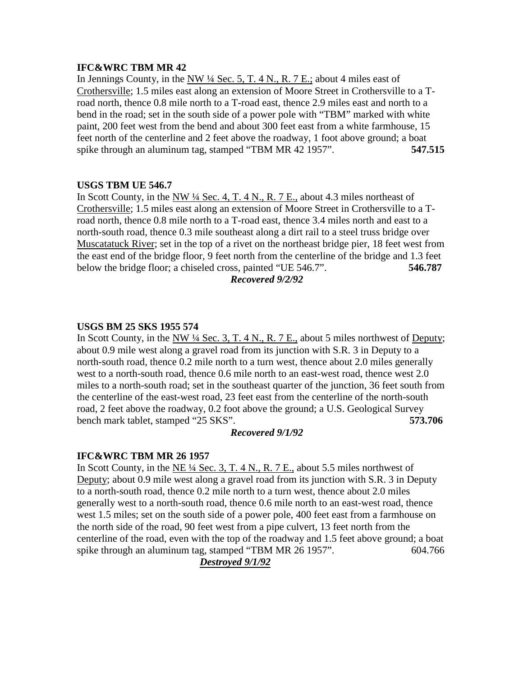# **IFC&WRC TBM MR 42**

In Jennings County, in the NW  $\frac{1}{4}$  Sec. 5, T. 4 N., R. 7 E.; about 4 miles east of Crothersville; 1.5 miles east along an extension of Moore Street in Crothersville to a Troad north, thence 0.8 mile north to a T-road east, thence 2.9 miles east and north to a bend in the road; set in the south side of a power pole with "TBM" marked with white paint, 200 feet west from the bend and about 300 feet east from a white farmhouse, 15 feet north of the centerline and 2 feet above the roadway, 1 foot above ground; a boat spike through an aluminum tag, stamped "TBM MR 42 1957". **547.515**

# **USGS TBM UE 546.7**

In Scott County, in the NW  $\frac{1}{4}$  Sec. 4, T. 4 N., R. 7 E., about 4.3 miles northeast of Crothersville; 1.5 miles east along an extension of Moore Street in Crothersville to a Troad north, thence 0.8 mile north to a T-road east, thence 3.4 miles north and east to a north-south road, thence 0.3 mile southeast along a dirt rail to a steel truss bridge over Muscatatuck River; set in the top of a rivet on the northeast bridge pier, 18 feet west from the east end of the bridge floor, 9 feet north from the centerline of the bridge and 1.3 feet below the bridge floor; a chiseled cross, painted "UE 546.7". **546.787**

# *Recovered 9/2/92*

# **USGS BM 25 SKS 1955 574**

In Scott County, in the NW ¼ Sec. 3, T. 4 N., R. 7 E., about 5 miles northwest of Deputy; about 0.9 mile west along a gravel road from its junction with S.R. 3 in Deputy to a north-south road, thence 0.2 mile north to a turn west, thence about 2.0 miles generally west to a north-south road, thence 0.6 mile north to an east-west road, thence west 2.0 miles to a north-south road; set in the southeast quarter of the junction, 36 feet south from the centerline of the east-west road, 23 feet east from the centerline of the north-south road, 2 feet above the roadway, 0.2 foot above the ground; a U.S. Geological Survey bench mark tablet, stamped "25 SKS". **573.706**

# *Recovered 9/1/92*

# **IFC&WRC TBM MR 26 1957**

In Scott County, in the NE  $\frac{1}{4}$  Sec. 3, T. 4 N., R. 7 E., about 5.5 miles northwest of Deputy; about 0.9 mile west along a gravel road from its junction with S.R. 3 in Deputy to a north-south road, thence 0.2 mile north to a turn west, thence about 2.0 miles generally west to a north-south road, thence 0.6 mile north to an east-west road, thence west 1.5 miles; set on the south side of a power pole, 400 feet east from a farmhouse on the north side of the road, 90 feet west from a pipe culvert, 13 feet north from the centerline of the road, even with the top of the roadway and 1.5 feet above ground; a boat spike through an aluminum tag, stamped "TBM MR 26 1957". 604.766

# *Destroyed 9/1/92*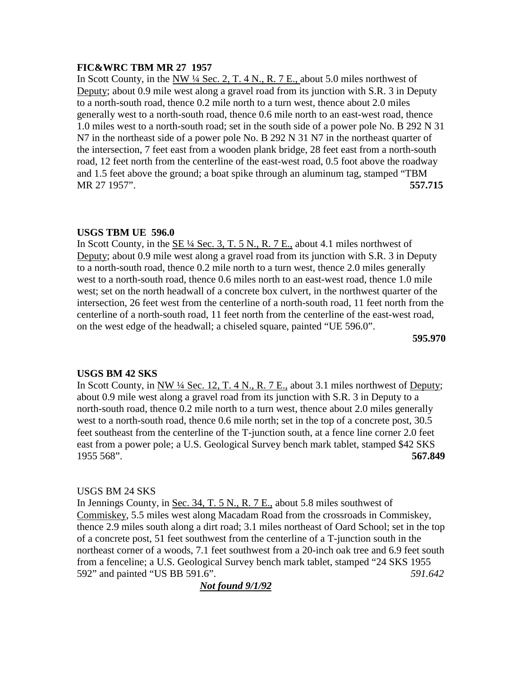# **FIC&WRC TBM MR 27 1957**

In Scott County, in the NW <sup>1</sup>/4 Sec. 2, T. 4 N., R. 7 E., about 5.0 miles northwest of Deputy; about 0.9 mile west along a gravel road from its junction with S.R. 3 in Deputy to a north-south road, thence 0.2 mile north to a turn west, thence about 2.0 miles generally west to a north-south road, thence 0.6 mile north to an east-west road, thence 1.0 miles west to a north-south road; set in the south side of a power pole No. B 292 N 31 N7 in the northeast side of a power pole No. B 292 N 31 N7 in the northeast quarter of the intersection, 7 feet east from a wooden plank bridge, 28 feet east from a north-south road, 12 feet north from the centerline of the east-west road, 0.5 foot above the roadway and 1.5 feet above the ground; a boat spike through an aluminum tag, stamped "TBM MR 27 1957". **557.715**

# **USGS TBM UE 596.0**

In Scott County, in the SE ¼ Sec. 3, T. 5 N., R. 7 E., about 4.1 miles northwest of Deputy; about 0.9 mile west along a gravel road from its junction with S.R. 3 in Deputy to a north-south road, thence 0.2 mile north to a turn west, thence 2.0 miles generally west to a north-south road, thence 0.6 miles north to an east-west road, thence 1.0 mile west; set on the north headwall of a concrete box culvert, in the northwest quarter of the intersection, 26 feet west from the centerline of a north-south road, 11 feet north from the centerline of a north-south road, 11 feet north from the centerline of the east-west road, on the west edge of the headwall; a chiseled square, painted "UE 596.0".

**595.970**

# **USGS BM 42 SKS**

In Scott County, in NW ¼ Sec. 12, T. 4 N., R. 7 E., about 3.1 miles northwest of Deputy; about 0.9 mile west along a gravel road from its junction with S.R. 3 in Deputy to a north-south road, thence 0.2 mile north to a turn west, thence about 2.0 miles generally west to a north-south road, thence 0.6 mile north; set in the top of a concrete post, 30.5 feet southeast from the centerline of the T-junction south, at a fence line corner 2.0 feet east from a power pole; a U.S. Geological Survey bench mark tablet, stamped \$42 SKS 1955 568". **567.849**

# USGS BM 24 SKS

In Jennings County, in Sec. 34, T. 5 N., R. 7 E., about 5.8 miles southwest of Commiskey, 5.5 miles west along Macadam Road from the crossroads in Commiskey, thence 2.9 miles south along a dirt road; 3.1 miles northeast of Oard School; set in the top of a concrete post, 51 feet southwest from the centerline of a T-junction south in the northeast corner of a woods, 7.1 feet southwest from a 20-inch oak tree and 6.9 feet south from a fenceline; a U.S. Geological Survey bench mark tablet, stamped "24 SKS 1955 592" and painted "US BB 591.6". *591.642*

*Not found 9/1/92*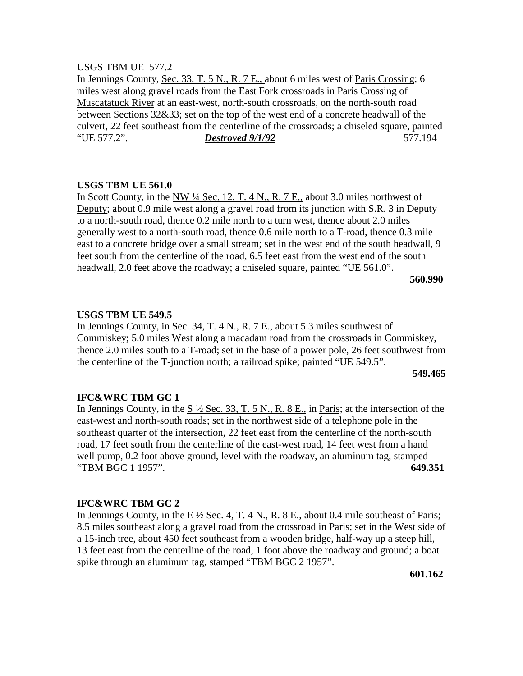### USGS TBM UE 577.2

In Jennings County, Sec. 33, T. 5 N., R. 7 E., about 6 miles west of Paris Crossing; 6 miles west along gravel roads from the East Fork crossroads in Paris Crossing of Muscatatuck River at an east-west, north-south crossroads, on the north-south road between Sections 32&33; set on the top of the west end of a concrete headwall of the culvert, 22 feet southeast from the centerline of the crossroads; a chiseled square, painted "UE 577.2". *Destroyed 9/1/92* 577.194

### **USGS TBM UE 561.0**

In Scott County, in the NW <sup>1</sup>/4 Sec. 12, T. 4 N., R. 7 E., about 3.0 miles northwest of Deputy; about 0.9 mile west along a gravel road from its junction with S.R. 3 in Deputy to a north-south road, thence 0.2 mile north to a turn west, thence about 2.0 miles generally west to a north-south road, thence 0.6 mile north to a T-road, thence 0.3 mile east to a concrete bridge over a small stream; set in the west end of the south headwall, 9 feet south from the centerline of the road, 6.5 feet east from the west end of the south headwall, 2.0 feet above the roadway; a chiseled square, painted "UE 561.0".

 **560.990**

## **USGS TBM UE 549.5**

In Jennings County, in Sec. 34, T. 4 N., R. 7 E., about 5.3 miles southwest of Commiskey; 5.0 miles West along a macadam road from the crossroads in Commiskey, thence 2.0 miles south to a T-road; set in the base of a power pole, 26 feet southwest from the centerline of the T-junction north; a railroad spike; painted "UE 549.5".

**549.465**

### **IFC&WRC TBM GC 1**

In Jennings County, in the  $S\frac{1}{2}$  Sec. 33, T. 5 N., R. 8 E., in Paris; at the intersection of the east-west and north-south roads; set in the northwest side of a telephone pole in the southeast quarter of the intersection, 22 feet east from the centerline of the north-south road, 17 feet south from the centerline of the east-west road, 14 feet west from a hand well pump, 0.2 foot above ground, level with the roadway, an aluminum tag, stamped "TBM BGC 1 1957". **649.351**

# **IFC&WRC TBM GC 2**

In Jennings County, in the E  $\frac{1}{2}$  Sec. 4, T. 4 N., R. 8 E., about 0.4 mile southeast of Paris; 8.5 miles southeast along a gravel road from the crossroad in Paris; set in the West side of a 15-inch tree, about 450 feet southeast from a wooden bridge, half-way up a steep hill, 13 feet east from the centerline of the road, 1 foot above the roadway and ground; a boat spike through an aluminum tag, stamped "TBM BGC 2 1957".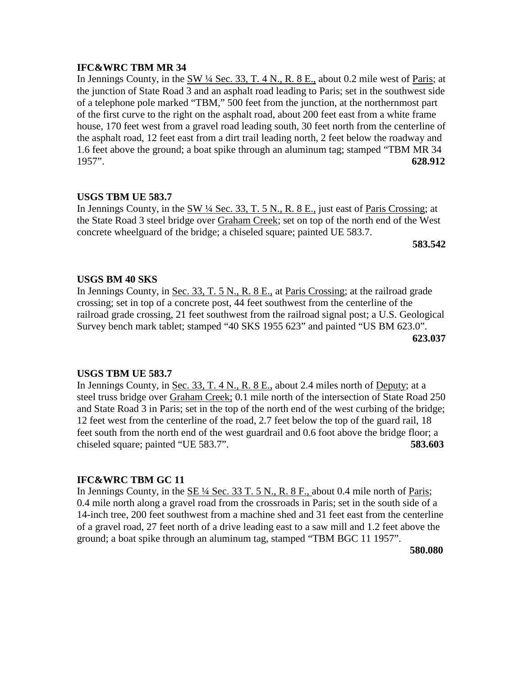# **IFC&WRC TBM MR 34**

In Jennings County, in the  $\frac{SW 14 \text{ Sec. 33, T. 4 N.}}{R. 8 E.}$  about 0.2 mile west of Paris; at the junction of State Road 3 and an asphalt road leading to Paris; set in the southwest side of a telephone pole marked "TBM," 500 feet from the junction, at the northernmost part of the first curve to the right on the asphalt road, about 200 feet east from a white frame house, 170 feet west from a gravel road leading south, 30 feet north from the centerline of the asphalt road, 12 feet east from a dirt trail leading north, 2 feet below the roadway and 1.6 feet above the ground; a boat spike through an aluminum tag; stamped "TBM MR 34 1957". **628.912**

# **USGS TBM UE 583.7**

In Jennings County, in the SW ¼ Sec. 33, T. 5 N., R. 8 E., just east of Paris Crossing; at the State Road 3 steel bridge over Graham Creek; set on top of the north end of the West concrete wheelguard of the bridge; a chiseled square; painted UE 583.7.

 **583.542**

# **USGS BM 40 SKS**

In Jennings County, in <u>Sec. 33, T. 5 N., R. 8 E.,</u> at Paris Crossing; at the railroad grade crossing; set in top of a concrete post, 44 feet southwest from the centerline of the railroad grade crossing, 21 feet southwest from the railroad signal post; a U.S. Geological Survey bench mark tablet; stamped "40 SKS 1955 623" and painted "US BM 623.0". **623.037**

# **USGS TBM UE 583.7**

In Jennings County, in Sec. 33, T. 4 N., R. 8 E., about 2.4 miles north of Deputy; at a steel truss bridge over Graham Creek; 0.1 mile north of the intersection of State Road 250 and State Road 3 in Paris; set in the top of the north end of the west curbing of the bridge; 12 feet west from the centerline of the road, 2.7 feet below the top of the guard rail, 18 feet south from the north end of the west guardrail and 0.6 foot above the bridge floor; a chiseled square; painted "UE 583.7". **583.603**

# **IFC&WRC TBM GC 11**

In Jennings County, in the  $SE\frac{1}{4}$  Sec. 33 T. 5 N., R. 8 F., about 0.4 mile north of Paris; 0.4 mile north along a gravel road from the crossroads in Paris; set in the south side of a 14-inch tree, 200 feet southwest from a machine shed and 31 feet east from the centerline of a gravel road, 27 feet north of a drive leading east to a saw mill and 1.2 feet above the ground; a boat spike through an aluminum tag, stamped "TBM BGC 11 1957".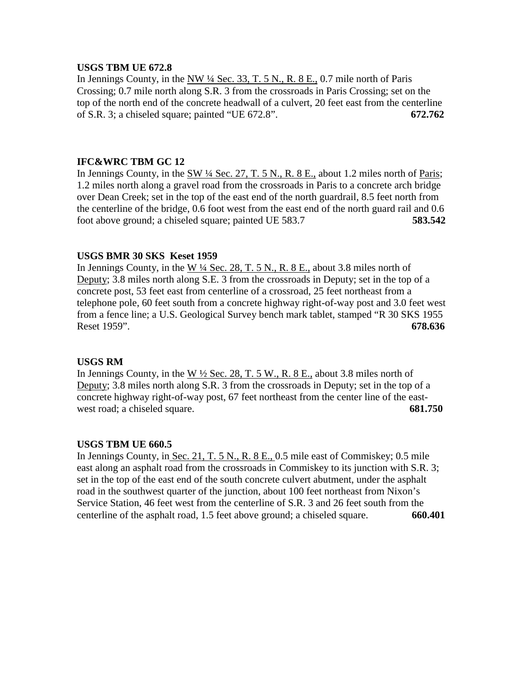# **USGS TBM UE 672.8**

In Jennings County, in the  $NW$  <sup> $1/4$ </sup> Sec. 33, T. 5 N., R. 8 E., 0.7 mile north of Paris Crossing; 0.7 mile north along S.R. 3 from the crossroads in Paris Crossing; set on the top of the north end of the concrete headwall of a culvert, 20 feet east from the centerline of S.R. 3; a chiseled square; painted "UE 672.8". **672.762**

# **IFC&WRC TBM GC 12**

In Jennings County, in the  $SW\frac{1}{4}$  Sec. 27, T. 5 N., R. 8 E., about 1.2 miles north of Paris; 1.2 miles north along a gravel road from the crossroads in Paris to a concrete arch bridge over Dean Creek; set in the top of the east end of the north guardrail, 8.5 feet north from the centerline of the bridge, 0.6 foot west from the east end of the north guard rail and 0.6 foot above ground; a chiseled square; painted UE 583.7 **583.542**

# **USGS BMR 30 SKS Keset 1959**

In Jennings County, in the W ¼ Sec. 28, T. 5 N., R. 8 E., about 3.8 miles north of Deputy; 3.8 miles north along S.E. 3 from the crossroads in Deputy; set in the top of a concrete post, 53 feet east from centerline of a crossroad, 25 feet northeast from a telephone pole, 60 feet south from a concrete highway right-of-way post and 3.0 feet west from a fence line; a U.S. Geological Survey bench mark tablet, stamped "R 30 SKS 1955 Reset 1959". **678.636**

# **USGS RM**

In Jennings County, in the W  $\frac{1}{2}$  Sec. 28, T. 5 W., R. 8 E., about 3.8 miles north of Deputy; 3.8 miles north along S.R. 3 from the crossroads in Deputy; set in the top of a concrete highway right-of-way post, 67 feet northeast from the center line of the eastwest road; a chiseled square. **681.750** 

# **USGS TBM UE 660.5**

In Jennings County, in Sec. 21, T. 5 N., R. 8 E., 0.5 mile east of Commiskey; 0.5 mile east along an asphalt road from the crossroads in Commiskey to its junction with S.R. 3; set in the top of the east end of the south concrete culvert abutment, under the asphalt road in the southwest quarter of the junction, about 100 feet northeast from Nixon's Service Station, 46 feet west from the centerline of S.R. 3 and 26 feet south from the centerline of the asphalt road, 1.5 feet above ground; a chiseled square. **660.401**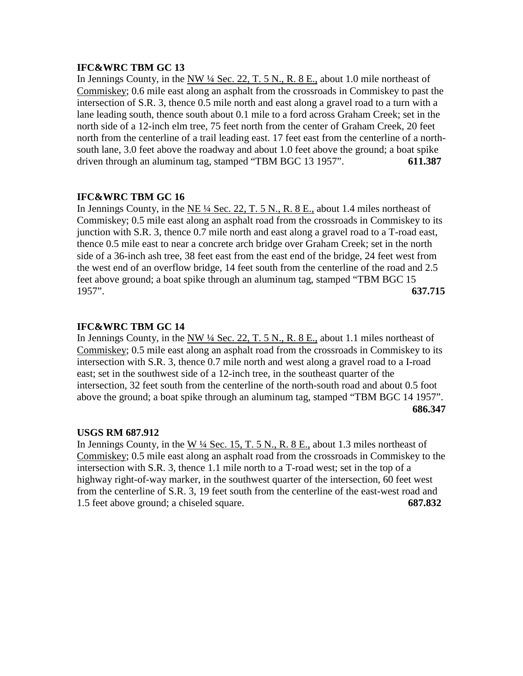# **IFC&WRC TBM GC 13**

In Jennings County, in the  $NW$  <sup> $1/4$ </sup> Sec. 22, T. 5 N., R. 8 E., about 1.0 mile northeast of Commiskey; 0.6 mile east along an asphalt from the crossroads in Commiskey to past the intersection of S.R. 3, thence 0.5 mile north and east along a gravel road to a turn with a lane leading south, thence south about 0.1 mile to a ford across Graham Creek; set in the north side of a 12-inch elm tree, 75 feet north from the center of Graham Creek, 20 feet north from the centerline of a trail leading east. 17 feet east from the centerline of a northsouth lane, 3.0 feet above the roadway and about 1.0 feet above the ground; a boat spike driven through an aluminum tag, stamped "TBM BGC 13 1957". **611.387**

# **IFC&WRC TBM GC 16**

In Jennings County, in the NE ¼ Sec. 22, T. 5 N., R. 8 E., about 1.4 miles northeast of Commiskey; 0.5 mile east along an asphalt road from the crossroads in Commiskey to its junction with S.R. 3, thence 0.7 mile north and east along a gravel road to a T-road east, thence 0.5 mile east to near a concrete arch bridge over Graham Creek; set in the north side of a 36-inch ash tree, 38 feet east from the east end of the bridge, 24 feet west from the west end of an overflow bridge, 14 feet south from the centerline of the road and 2.5 feet above ground; a boat spike through an aluminum tag, stamped "TBM BGC 15 1957". **637.715**

# **IFC&WRC TBM GC 14**

In Jennings County, in the NW ¼ Sec. 22, T. 5 N., R. 8 E., about 1.1 miles northeast of Commiskey; 0.5 mile east along an asphalt road from the crossroads in Commiskey to its intersection with S.R. 3, thence 0.7 mile north and west along a gravel road to a I-road east; set in the southwest side of a 12-inch tree, in the southeast quarter of the intersection, 32 feet south from the centerline of the north-south road and about 0.5 foot above the ground; a boat spike through an aluminum tag, stamped "TBM BGC 14 1957". **686.347**

# **USGS RM 687.912**

In Jennings County, in the W ¼ Sec. 15, T. 5 N., R. 8 E., about 1.3 miles northeast of Commiskey; 0.5 mile east along an asphalt road from the crossroads in Commiskey to the intersection with S.R. 3, thence 1.1 mile north to a T-road west; set in the top of a highway right-of-way marker, in the southwest quarter of the intersection, 60 feet west from the centerline of S.R. 3, 19 feet south from the centerline of the east-west road and 1.5 feet above ground; a chiseled square. **687.832**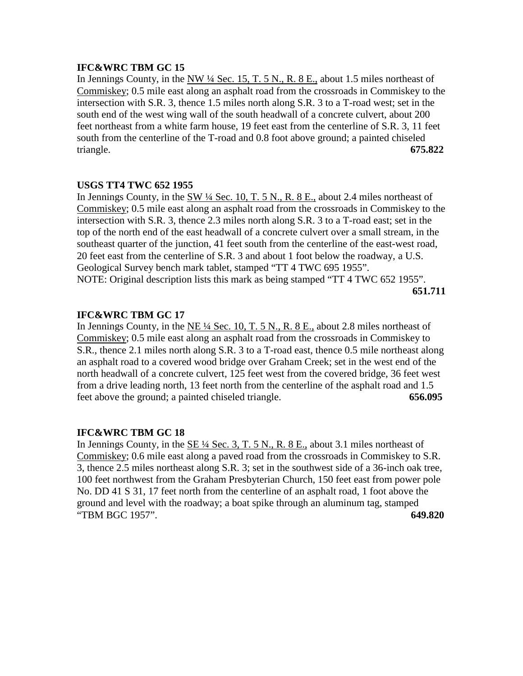# **IFC&WRC TBM GC 15**

In Jennings County, in the  $\frac{NW 14}$  Sec. 15, T. 5 N., R. 8 E., about 1.5 miles northeast of Commiskey; 0.5 mile east along an asphalt road from the crossroads in Commiskey to the intersection with S.R. 3, thence 1.5 miles north along S.R. 3 to a T-road west; set in the south end of the west wing wall of the south headwall of a concrete culvert, about 200 feet northeast from a white farm house, 19 feet east from the centerline of S.R. 3, 11 feet south from the centerline of the T-road and 0.8 foot above ground; a painted chiseled triangle. **675.822**

# **USGS TT4 TWC 652 1955**

In Jennings County, in the  $\frac{SW 1}{4}$  Sec. 10, T. 5 N., R. 8 E., about 2.4 miles northeast of Commiskey; 0.5 mile east along an asphalt road from the crossroads in Commiskey to the intersection with S.R. 3, thence 2.3 miles north along S.R. 3 to a T-road east; set in the top of the north end of the east headwall of a concrete culvert over a small stream, in the southeast quarter of the junction, 41 feet south from the centerline of the east-west road, 20 feet east from the centerline of S.R. 3 and about 1 foot below the roadway, a U.S. Geological Survey bench mark tablet, stamped "TT 4 TWC 695 1955". NOTE: Original description lists this mark as being stamped "TT 4 TWC 652 1955".

**651.711**

# **IFC&WRC TBM GC 17**

In Jennings County, in the NE ¼ Sec. 10, T. 5 N., R. 8 E., about 2.8 miles northeast of Commiskey; 0.5 mile east along an asphalt road from the crossroads in Commiskey to S.R., thence 2.1 miles north along S.R. 3 to a T-road east, thence 0.5 mile northeast along an asphalt road to a covered wood bridge over Graham Creek; set in the west end of the north headwall of a concrete culvert, 125 feet west from the covered bridge, 36 feet west from a drive leading north, 13 feet north from the centerline of the asphalt road and 1.5 feet above the ground; a painted chiseled triangle. **656.095**

# **IFC&WRC TBM GC 18**

In Jennings County, in the SE ¼ Sec. 3, T. 5 N., R. 8 E., about 3.1 miles northeast of Commiskey; 0.6 mile east along a paved road from the crossroads in Commiskey to S.R. 3, thence 2.5 miles northeast along S.R. 3; set in the southwest side of a 36-inch oak tree, 100 feet northwest from the Graham Presbyterian Church, 150 feet east from power pole No. DD 41 S 31, 17 feet north from the centerline of an asphalt road, 1 foot above the ground and level with the roadway; a boat spike through an aluminum tag, stamped "TBM BGC 1957". **649.820**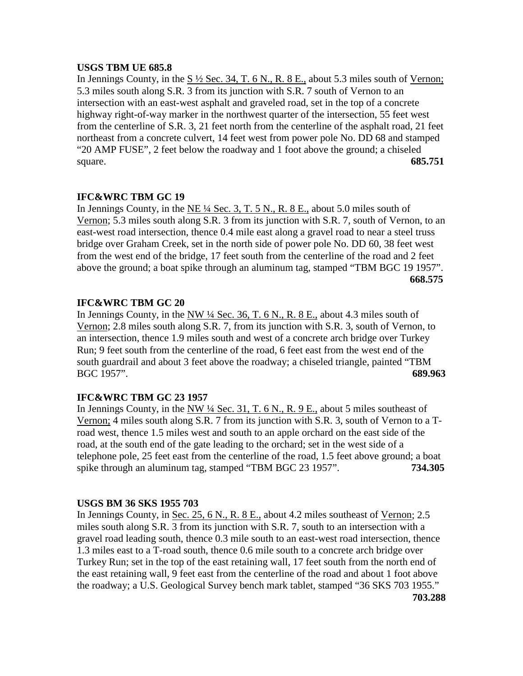# **USGS TBM UE 685.8**

In Jennings County, in the  $S\frac{1}{2}$  Sec. 34, T. 6 N., R. 8 E., about 5.3 miles south of Vernon; 5.3 miles south along S.R. 3 from its junction with S.R. 7 south of Vernon to an intersection with an east-west asphalt and graveled road, set in the top of a concrete highway right-of-way marker in the northwest quarter of the intersection, 55 feet west from the centerline of S.R. 3, 21 feet north from the centerline of the asphalt road, 21 feet northeast from a concrete culvert, 14 feet west from power pole No. DD 68 and stamped "20 AMP FUSE", 2 feet below the roadway and 1 foot above the ground; a chiseled square. **685.751**

# **IFC&WRC TBM GC 19**

In Jennings County, in the NE ¼ Sec. 3, T. 5 N., R. 8 E., about 5.0 miles south of Vernon; 5.3 miles south along S.R. 3 from its junction with S.R. 7, south of Vernon, to an east-west road intersection, thence 0.4 mile east along a gravel road to near a steel truss bridge over Graham Creek, set in the north side of power pole No. DD 60, 38 feet west from the west end of the bridge, 17 feet south from the centerline of the road and 2 feet above the ground; a boat spike through an aluminum tag, stamped "TBM BGC 19 1957". **668.575**

# **IFC&WRC TBM GC 20**

In Jennings County, in the NW ¼ Sec. 36, T. 6 N., R. 8 E., about 4.3 miles south of Vernon; 2.8 miles south along S.R. 7, from its junction with S.R. 3, south of Vernon, to an intersection, thence 1.9 miles south and west of a concrete arch bridge over Turkey Run; 9 feet south from the centerline of the road, 6 feet east from the west end of the south guardrail and about 3 feet above the roadway; a chiseled triangle, painted "TBM BGC 1957". **689.963**

# **IFC&WRC TBM GC 23 1957**

In Jennings County, in the NW  $\frac{1}{4}$  Sec. 31, T. 6 N., R. 9 E., about 5 miles southeast of Vernon; 4 miles south along S.R. 7 from its junction with S.R. 3, south of Vernon to a Troad west, thence 1.5 miles west and south to an apple orchard on the east side of the road, at the south end of the gate leading to the orchard; set in the west side of a telephone pole, 25 feet east from the centerline of the road, 1.5 feet above ground; a boat spike through an aluminum tag, stamped "TBM BGC 23 1957". **734.305**

# **USGS BM 36 SKS 1955 703**

In Jennings County, in Sec. 25, 6 N., R. 8 E., about 4.2 miles southeast of Vernon; 2.5 miles south along S.R. 3 from its junction with S.R. 7, south to an intersection with a gravel road leading south, thence 0.3 mile south to an east-west road intersection, thence 1.3 miles east to a T-road south, thence 0.6 mile south to a concrete arch bridge over Turkey Run; set in the top of the east retaining wall, 17 feet south from the north end of the east retaining wall, 9 feet east from the centerline of the road and about 1 foot above the roadway; a U.S. Geological Survey bench mark tablet, stamped "36 SKS 703 1955." **703.288**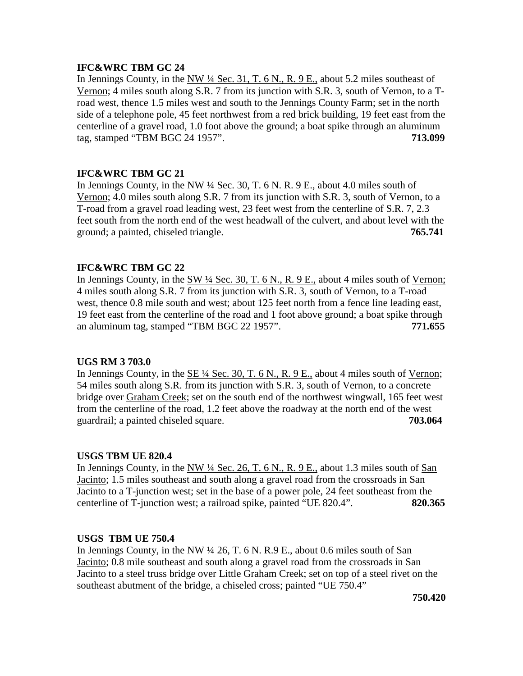# **IFC&WRC TBM GC 24**

In Jennings County, in the NW  $\frac{1}{4}$  Sec. 31, T. 6 N., R. 9 E., about 5.2 miles southeast of Vernon; 4 miles south along S.R. 7 from its junction with S.R. 3, south of Vernon, to a Troad west, thence 1.5 miles west and south to the Jennings County Farm; set in the north side of a telephone pole, 45 feet northwest from a red brick building, 19 feet east from the centerline of a gravel road, 1.0 foot above the ground; a boat spike through an aluminum tag, stamped "TBM BGC 24 1957". **713.099**

# **IFC&WRC TBM GC 21**

In Jennings County, in the NW ¼ Sec. 30, T. 6 N. R. 9 E., about 4.0 miles south of Vernon; 4.0 miles south along S.R. 7 from its junction with S.R. 3, south of Vernon, to a T-road from a gravel road leading west, 23 feet west from the centerline of S.R. 7, 2.3 feet south from the north end of the west headwall of the culvert, and about level with the ground; a painted, chiseled triangle. **765.741**

# **IFC&WRC TBM GC 22**

In Jennings County, in the  $\frac{SW 14 \text{ Sec. 30, T. 6 N.}}{R. 9 E.}$  about 4 miles south of Vernon; 4 miles south along S.R. 7 from its junction with S.R. 3, south of Vernon, to a T-road west, thence 0.8 mile south and west; about 125 feet north from a fence line leading east, 19 feet east from the centerline of the road and 1 foot above ground; a boat spike through an aluminum tag, stamped "TBM BGC 22 1957". **771.655**

# **UGS RM 3 703.0**

In Jennings County, in the  $SE\frac{1}{4}$  Sec. 30, T. 6 N., R. 9 E., about 4 miles south of Vernon; 54 miles south along S.R. from its junction with S.R. 3, south of Vernon, to a concrete bridge over Graham Creek; set on the south end of the northwest wingwall, 165 feet west from the centerline of the road, 1.2 feet above the roadway at the north end of the west guardrail; a painted chiseled square. **703.064**

# **USGS TBM UE 820.4**

In Jennings County, in the NW  $\frac{1}{4}$  Sec. 26, T. 6 N., R. 9 E., about 1.3 miles south of San Jacinto; 1.5 miles southeast and south along a gravel road from the crossroads in San Jacinto to a T-junction west; set in the base of a power pole, 24 feet southeast from the centerline of T-junction west; a railroad spike, painted "UE 820.4". **820.365**

### **USGS TBM UE 750.4**

In Jennings County, in the  $NW$   $\frac{1}{4}$  26, T. 6 N. R. 9 E., about 0.6 miles south of San Jacinto; 0.8 mile southeast and south along a gravel road from the crossroads in San Jacinto to a steel truss bridge over Little Graham Creek; set on top of a steel rivet on the southeast abutment of the bridge, a chiseled cross; painted "UE 750.4"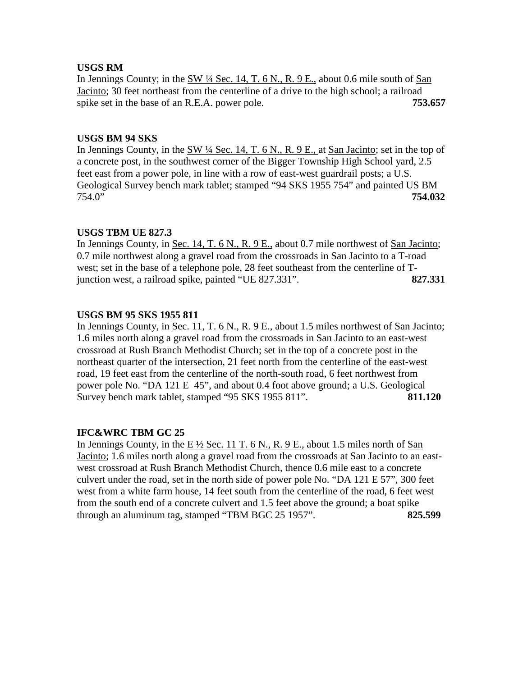# **USGS RM**

In Jennings County; in the  $\frac{SW 14 \text{ Sec. } 14, T. 6 N., R. 9 E.,$  about 0.6 mile south of  $\frac{San }{2}$ Jacinto; 30 feet northeast from the centerline of a drive to the high school; a railroad spike set in the base of an R.E.A. power pole. **753.657** 

# **USGS BM 94 SKS**

In Jennings County, in the SW ¼ Sec. 14, T. 6 N., R. 9 E., at San Jacinto; set in the top of a concrete post, in the southwest corner of the Bigger Township High School yard, 2.5 feet east from a power pole, in line with a row of east-west guardrail posts; a U.S. Geological Survey bench mark tablet; stamped "94 SKS 1955 754" and painted US BM 754.0" **754.032**

# **USGS TBM UE 827.3**

In Jennings County, in Sec. 14, T. 6 N., R. 9 E., about 0.7 mile northwest of San Jacinto; 0.7 mile northwest along a gravel road from the crossroads in San Jacinto to a T-road west; set in the base of a telephone pole, 28 feet southeast from the centerline of Tjunction west, a railroad spike, painted "UE 827.331". **827.331**

# **USGS BM 95 SKS 1955 811**

In Jennings County, in Sec. 11, T. 6 N., R. 9 E., about 1.5 miles northwest of San Jacinto; 1.6 miles north along a gravel road from the crossroads in San Jacinto to an east-west crossroad at Rush Branch Methodist Church; set in the top of a concrete post in the northeast quarter of the intersection, 21 feet north from the centerline of the east-west road, 19 feet east from the centerline of the north-south road, 6 feet northwest from power pole No. "DA 121 E 45", and about 0.4 foot above ground; a U.S. Geological Survey bench mark tablet, stamped "95 SKS 1955 811". **811.120**

# **IFC&WRC TBM GC 25**

In Jennings County, in the E  $\frac{1}{2}$  Sec. 11 T. 6 N., R. 9 E., about 1.5 miles north of San Jacinto; 1.6 miles north along a gravel road from the crossroads at San Jacinto to an eastwest crossroad at Rush Branch Methodist Church, thence 0.6 mile east to a concrete culvert under the road, set in the north side of power pole No. "DA 121 E 57", 300 feet west from a white farm house, 14 feet south from the centerline of the road, 6 feet west from the south end of a concrete culvert and 1.5 feet above the ground; a boat spike through an aluminum tag, stamped "TBM BGC 25 1957". **825.599**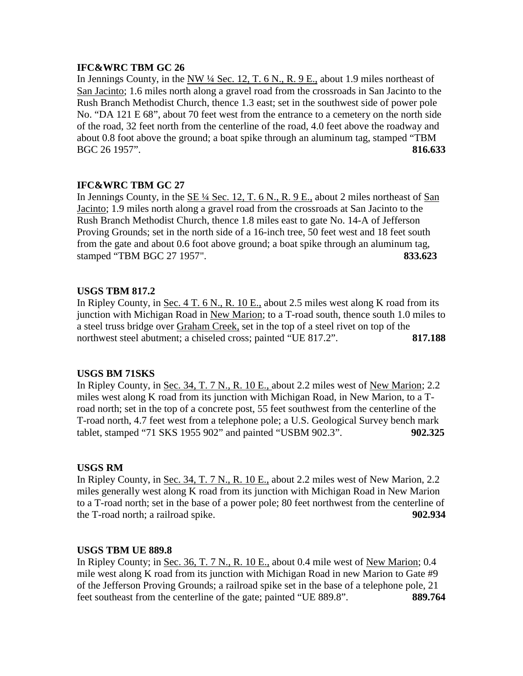# **IFC&WRC TBM GC 26**

In Jennings County, in the NW  $\frac{1}{4}$  Sec. 12, T. 6 N., R. 9 E., about 1.9 miles northeast of San Jacinto; 1.6 miles north along a gravel road from the crossroads in San Jacinto to the Rush Branch Methodist Church, thence 1.3 east; set in the southwest side of power pole No. "DA 121 E 68", about 70 feet west from the entrance to a cemetery on the north side of the road, 32 feet north from the centerline of the road, 4.0 feet above the roadway and about 0.8 foot above the ground; a boat spike through an aluminum tag, stamped "TBM BGC 26 1957". **816.633**

# **IFC&WRC TBM GC 27**

In Jennings County, in the  $SE\frac{1}{4}$  Sec. 12, T. 6 N., R. 9 E., about 2 miles northeast of San Jacinto; 1.9 miles north along a gravel road from the crossroads at San Jacinto to the Rush Branch Methodist Church, thence 1.8 miles east to gate No. 14-A of Jefferson Proving Grounds; set in the north side of a 16-inch tree, 50 feet west and 18 feet south from the gate and about 0.6 foot above ground; a boat spike through an aluminum tag, stamped "TBM BGC 27 1957". **833.623**

# **USGS TBM 817.2**

In Ripley County, in Sec. 4 T. 6 N., R. 10 E., about 2.5 miles west along K road from its junction with Michigan Road in New Marion; to a T-road south, thence south 1.0 miles to a steel truss bridge over Graham Creek, set in the top of a steel rivet on top of the northwest steel abutment; a chiseled cross; painted "UE 817.2". 817.188

# **USGS BM 71SKS**

In Ripley County, in Sec. 34, T. 7 N., R. 10 E., about 2.2 miles west of New Marion; 2.2 miles west along K road from its junction with Michigan Road, in New Marion, to a Troad north; set in the top of a concrete post, 55 feet southwest from the centerline of the T-road north, 4.7 feet west from a telephone pole; a U.S. Geological Survey bench mark tablet, stamped "71 SKS 1955 902" and painted "USBM 902.3". **902.325**

# **USGS RM**

In Ripley County, in Sec. 34, T. 7 N., R. 10 E., about 2.2 miles west of New Marion, 2.2 miles generally west along K road from its junction with Michigan Road in New Marion to a T-road north; set in the base of a power pole; 80 feet northwest from the centerline of the T-road north; a railroad spike. **902.934**

# **USGS TBM UE 889.8**

In Ripley County; in Sec. 36, T. 7 N., R. 10 E., about 0.4 mile west of New Marion; 0.4 mile west along K road from its junction with Michigan Road in new Marion to Gate #9 of the Jefferson Proving Grounds; a railroad spike set in the base of a telephone pole, 21 feet southeast from the centerline of the gate; painted "UE 889.8". **889.764**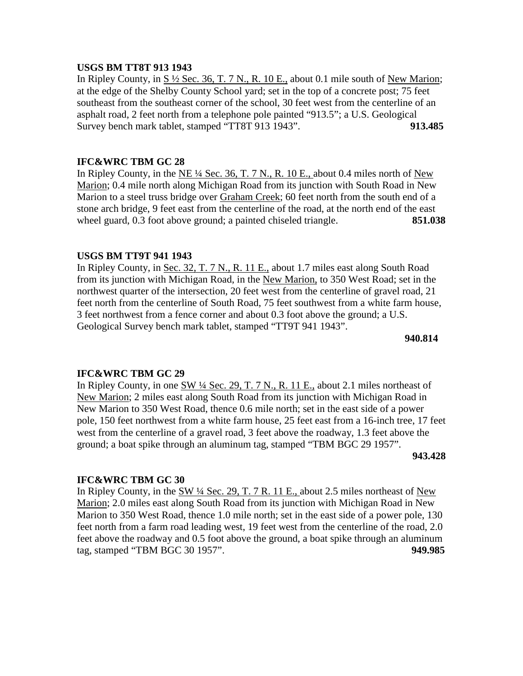### **USGS BM TT8T 913 1943**

In Ripley County, in  $S\frac{1}{2}$  Sec. 36, T. 7 N., R. 10 E., about 0.1 mile south of New Marion; at the edge of the Shelby County School yard; set in the top of a concrete post; 75 feet southeast from the southeast corner of the school, 30 feet west from the centerline of an asphalt road, 2 feet north from a telephone pole painted "913.5"; a U.S. Geological Survey bench mark tablet, stamped "TT8T 913 1943". **913.485**

# **IFC&WRC TBM GC 28**

In Ripley County, in the NE  $\frac{1}{4}$  Sec. 36, T. 7 N., R. 10 E., about 0.4 miles north of New Marion; 0.4 mile north along Michigan Road from its junction with South Road in New Marion to a steel truss bridge over Graham Creek; 60 feet north from the south end of a stone arch bridge, 9 feet east from the centerline of the road, at the north end of the east wheel guard, 0.3 foot above ground; a painted chiseled triangle. **851.038** 

# **USGS BM TT9T 941 1943**

In Ripley County, in Sec. 32, T. 7 N., R. 11 E., about 1.7 miles east along South Road from its junction with Michigan Road, in the New Marion, to 350 West Road; set in the northwest quarter of the intersection, 20 feet west from the centerline of gravel road, 21 feet north from the centerline of South Road, 75 feet southwest from a white farm house, 3 feet northwest from a fence corner and about 0.3 foot above the ground; a U.S. Geological Survey bench mark tablet, stamped "TT9T 941 1943".

**940.814**

# **IFC&WRC TBM GC 29**

In Ripley County, in one SW ¼ Sec. 29, T. 7 N., R. 11 E., about 2.1 miles northeast of New Marion; 2 miles east along South Road from its junction with Michigan Road in New Marion to 350 West Road, thence 0.6 mile north; set in the east side of a power pole, 150 feet northwest from a white farm house, 25 feet east from a 16-inch tree, 17 feet west from the centerline of a gravel road, 3 feet above the roadway, 1.3 feet above the ground; a boat spike through an aluminum tag, stamped "TBM BGC 29 1957".

**943.428**

# **IFC&WRC TBM GC 30**

In Ripley County, in the  $\frac{SW 14 \text{ Sec. 29, T. 7 R. 11 E.,}$  about 2.5 miles northeast of  $\frac{New}{New}$ Marion; 2.0 miles east along South Road from its junction with Michigan Road in New Marion to 350 West Road, thence 1.0 mile north; set in the east side of a power pole, 130 feet north from a farm road leading west, 19 feet west from the centerline of the road, 2.0 feet above the roadway and 0.5 foot above the ground, a boat spike through an aluminum tag, stamped "TBM BGC 30 1957". **949.985**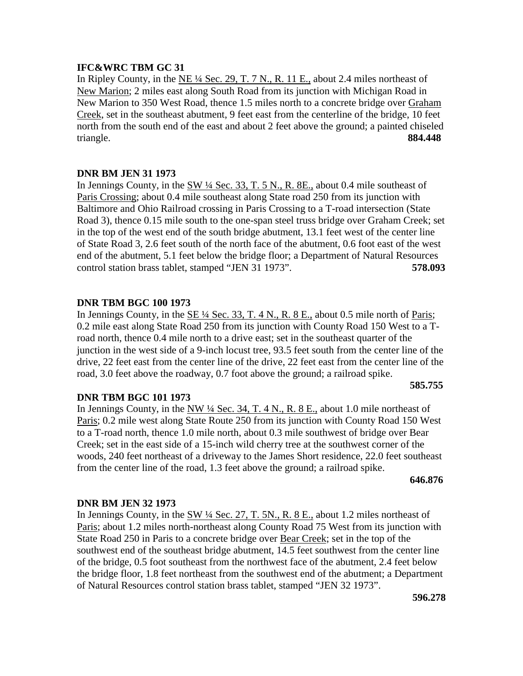# **IFC&WRC TBM GC 31**

In Ripley County, in the  $NE\frac{1}{4}$  Sec. 29, T. 7 N., R. 11 E., about 2.4 miles northeast of New Marion; 2 miles east along South Road from its junction with Michigan Road in New Marion to 350 West Road, thence 1.5 miles north to a concrete bridge over Graham Creek, set in the southeast abutment, 9 feet east from the centerline of the bridge, 10 feet north from the south end of the east and about 2 feet above the ground; a painted chiseled triangle. **884.448**

# **DNR BM JEN 31 1973**

In Jennings County, in the  $\frac{SW 14 \text{ Sec. 33, T. 5 N. R. 8E.}}{R}$  about 0.4 mile southeast of Paris Crossing; about 0.4 mile southeast along State road 250 from its junction with Baltimore and Ohio Railroad crossing in Paris Crossing to a T-road intersection (State Road 3), thence 0.15 mile south to the one-span steel truss bridge over Graham Creek; set in the top of the west end of the south bridge abutment, 13.1 feet west of the center line of State Road 3, 2.6 feet south of the north face of the abutment, 0.6 foot east of the west end of the abutment, 5.1 feet below the bridge floor; a Department of Natural Resources control station brass tablet, stamped "JEN 31 1973". **578.093**

# **DNR TBM BGC 100 1973**

In Jennings County, in the SE ¼ Sec. 33, T. 4 N., R. 8 E., about 0.5 mile north of Paris; 0.2 mile east along State Road 250 from its junction with County Road 150 West to a Troad north, thence 0.4 mile north to a drive east; set in the southeast quarter of the junction in the west side of a 9-inch locust tree, 93.5 feet south from the center line of the drive, 22 feet east from the center line of the drive, 22 feet east from the center line of the road, 3.0 feet above the roadway, 0.7 foot above the ground; a railroad spike.

### **585.755**

### **DNR TBM BGC 101 1973**

In Jennings County, in the NW  $\frac{1}{4}$  Sec. 34, T. 4 N., R. 8 E., about 1.0 mile northeast of Paris; 0.2 mile west along State Route 250 from its junction with County Road 150 West to a T-road north, thence 1.0 mile north, about 0.3 mile southwest of bridge over Bear Creek; set in the east side of a 15-inch wild cherry tree at the southwest corner of the woods, 240 feet northeast of a driveway to the James Short residence, 22.0 feet southeast from the center line of the road, 1.3 feet above the ground; a railroad spike.

### **646.876**

# **DNR BM JEN 32 1973**

In Jennings County, in the SW ¼ Sec. 27, T. 5N., R. 8 E., about 1.2 miles northeast of Paris; about 1.2 miles north-northeast along County Road 75 West from its junction with State Road 250 in Paris to a concrete bridge over Bear Creek; set in the top of the southwest end of the southeast bridge abutment, 14.5 feet southwest from the center line of the bridge, 0.5 foot southeast from the northwest face of the abutment, 2.4 feet below the bridge floor, 1.8 feet northeast from the southwest end of the abutment; a Department of Natural Resources control station brass tablet, stamped "JEN 32 1973".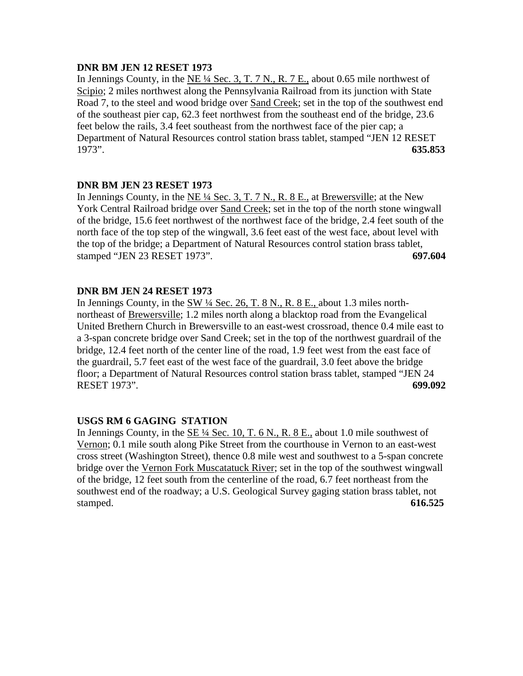# **DNR BM JEN 12 RESET 1973**

In Jennings County, in the NE  $\frac{1}{4}$  Sec. 3, T. 7 N., R. 7 E., about 0.65 mile northwest of Scipio; 2 miles northwest along the Pennsylvania Railroad from its junction with State Road 7, to the steel and wood bridge over Sand Creek; set in the top of the southwest end of the southeast pier cap, 62.3 feet northwest from the southeast end of the bridge, 23.6 feet below the rails, 3.4 feet southeast from the northwest face of the pier cap; a Department of Natural Resources control station brass tablet, stamped "JEN 12 RESET 1973". **635.853**

# **DNR BM JEN 23 RESET 1973**

In Jennings County, in the  $NE\frac{1}{4}$  Sec. 3, T. 7 N., R. 8 E., at Brewersville; at the New York Central Railroad bridge over Sand Creek; set in the top of the north stone wingwall of the bridge, 15.6 feet northwest of the northwest face of the bridge, 2.4 feet south of the north face of the top step of the wingwall, 3.6 feet east of the west face, about level with the top of the bridge; a Department of Natural Resources control station brass tablet, stamped "JEN 23 RESET 1973". **697.604**

# **DNR BM JEN 24 RESET 1973**

In Jennings County, in the SW ¼ Sec. 26, T. 8 N., R. 8 E., about 1.3 miles northnortheast of Brewersville; 1.2 miles north along a blacktop road from the Evangelical United Brethern Church in Brewersville to an east-west crossroad, thence 0.4 mile east to a 3-span concrete bridge over Sand Creek; set in the top of the northwest guardrail of the bridge, 12.4 feet north of the center line of the road, 1.9 feet west from the east face of the guardrail, 5.7 feet east of the west face of the guardrail, 3.0 feet above the bridge floor; a Department of Natural Resources control station brass tablet, stamped "JEN 24 RESET 1973". **699.092**

# **USGS RM 6 GAGING STATION**

In Jennings County, in the  $\underline{SE \frac{1}{4} \text{Sec. 10, T. 6 N.}}$ , R. 8 E., about 1.0 mile southwest of Vernon; 0.1 mile south along Pike Street from the courthouse in Vernon to an east-west cross street (Washington Street), thence 0.8 mile west and southwest to a 5-span concrete bridge over the Vernon Fork Muscatatuck River; set in the top of the southwest wingwall of the bridge, 12 feet south from the centerline of the road, 6.7 feet northeast from the southwest end of the roadway; a U.S. Geological Survey gaging station brass tablet, not stamped. **616.525**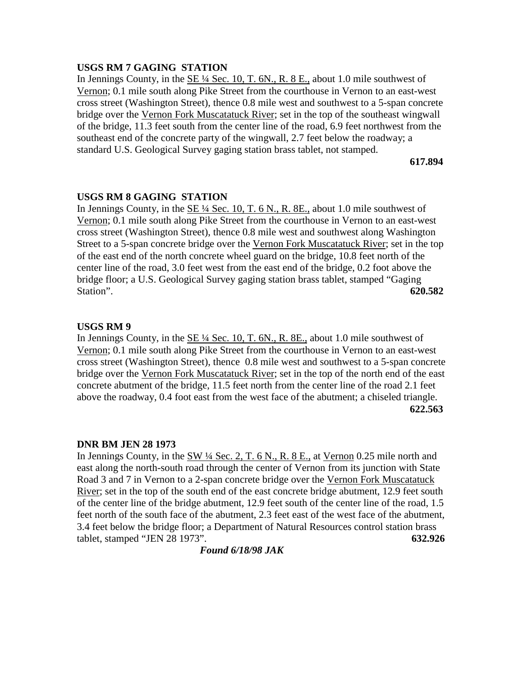# **USGS RM 7 GAGING STATION**

In Jennings County, in the  $SE\frac{1}{4}$  Sec. 10, T. 6N., R. 8 E., about 1.0 mile southwest of Vernon; 0.1 mile south along Pike Street from the courthouse in Vernon to an east-west cross street (Washington Street), thence 0.8 mile west and southwest to a 5-span concrete bridge over the Vernon Fork Muscatatuck River; set in the top of the southeast wingwall of the bridge, 11.3 feet south from the center line of the road, 6.9 feet northwest from the southeast end of the concrete party of the wingwall, 2.7 feet below the roadway; a standard U.S. Geological Survey gaging station brass tablet, not stamped.

**617.894**

# **USGS RM 8 GAGING STATION**

In Jennings County, in the SE ¼ Sec. 10, T. 6 N., R. 8E., about 1.0 mile southwest of Vernon; 0.1 mile south along Pike Street from the courthouse in Vernon to an east-west cross street (Washington Street), thence 0.8 mile west and southwest along Washington Street to a 5-span concrete bridge over the Vernon Fork Muscatatuck River; set in the top of the east end of the north concrete wheel guard on the bridge, 10.8 feet north of the center line of the road, 3.0 feet west from the east end of the bridge, 0.2 foot above the bridge floor; a U.S. Geological Survey gaging station brass tablet, stamped "Gaging Station". **620.582**

### **USGS RM 9**

In Jennings County, in the SE ¼ Sec. 10, T. 6N., R. 8E., about 1.0 mile southwest of Vernon; 0.1 mile south along Pike Street from the courthouse in Vernon to an east-west cross street (Washington Street), thence 0.8 mile west and southwest to a 5-span concrete bridge over the Vernon Fork Muscatatuck River; set in the top of the north end of the east concrete abutment of the bridge, 11.5 feet north from the center line of the road 2.1 feet above the roadway, 0.4 foot east from the west face of the abutment; a chiseled triangle. **622.563**

### **DNR BM JEN 28 1973**

In Jennings County, in the SW ¼ Sec. 2, T. 6 N., R. 8 E., at Vernon 0.25 mile north and east along the north-south road through the center of Vernon from its junction with State Road 3 and 7 in Vernon to a 2-span concrete bridge over the Vernon Fork Muscatatuck River; set in the top of the south end of the east concrete bridge abutment, 12.9 feet south of the center line of the bridge abutment, 12.9 feet south of the center line of the road, 1.5 feet north of the south face of the abutment, 2.3 feet east of the west face of the abutment, 3.4 feet below the bridge floor; a Department of Natural Resources control station brass tablet, stamped "JEN 28 1973". **632.926**

*Found 6/18/98 JAK*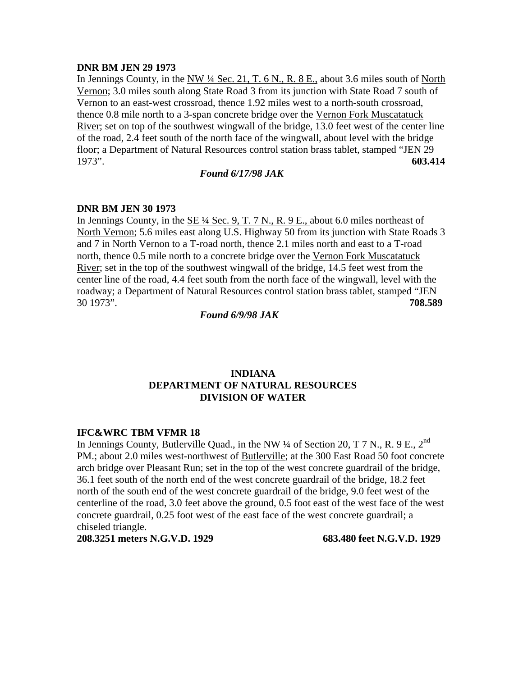### **DNR BM JEN 29 1973**

In Jennings County, in the NW  $\frac{1}{4}$  Sec. 21, T. 6 N., R. 8 E., about 3.6 miles south of North Vernon; 3.0 miles south along State Road 3 from its junction with State Road 7 south of Vernon to an east-west crossroad, thence 1.92 miles west to a north-south crossroad, thence 0.8 mile north to a 3-span concrete bridge over the Vernon Fork Muscatatuck River; set on top of the southwest wingwall of the bridge, 13.0 feet west of the center line of the road, 2.4 feet south of the north face of the wingwall, about level with the bridge floor; a Department of Natural Resources control station brass tablet, stamped "JEN 29 1973". **603.414**

### *Found 6/17/98 JAK*

### **DNR BM JEN 30 1973**

In Jennings County, in the  $SE\frac{1}{4}$  Sec. 9, T. 7 N., R. 9 E., about 6.0 miles northeast of North Vernon; 5.6 miles east along U.S. Highway 50 from its junction with State Roads 3 and 7 in North Vernon to a T-road north, thence 2.1 miles north and east to a T-road north, thence 0.5 mile north to a concrete bridge over the Vernon Fork Muscatatuck River; set in the top of the southwest wingwall of the bridge, 14.5 feet west from the center line of the road, 4.4 feet south from the north face of the wingwall, level with the roadway; a Department of Natural Resources control station brass tablet, stamped "JEN 30 1973". **708.589**

*Found 6/9/98 JAK*

# **INDIANA DEPARTMENT OF NATURAL RESOURCES DIVISION OF WATER**

# **IFC&WRC TBM VFMR 18**

In Jennings County, Butlerville Quad., in the NW  $\frac{1}{4}$  of Section 20, T 7 N., R. 9 E., 2<sup>nd</sup> PM.; about 2.0 miles west-northwest of Butlerville; at the 300 East Road 50 foot concrete arch bridge over Pleasant Run; set in the top of the west concrete guardrail of the bridge, 36.1 feet south of the north end of the west concrete guardrail of the bridge, 18.2 feet north of the south end of the west concrete guardrail of the bridge, 9.0 feet west of the centerline of the road, 3.0 feet above the ground, 0.5 foot east of the west face of the west concrete guardrail, 0.25 foot west of the east face of the west concrete guardrail; a chiseled triangle.

**208.3251 meters N.G.V.D. 1929 683.480 feet N.G.V.D. 1929**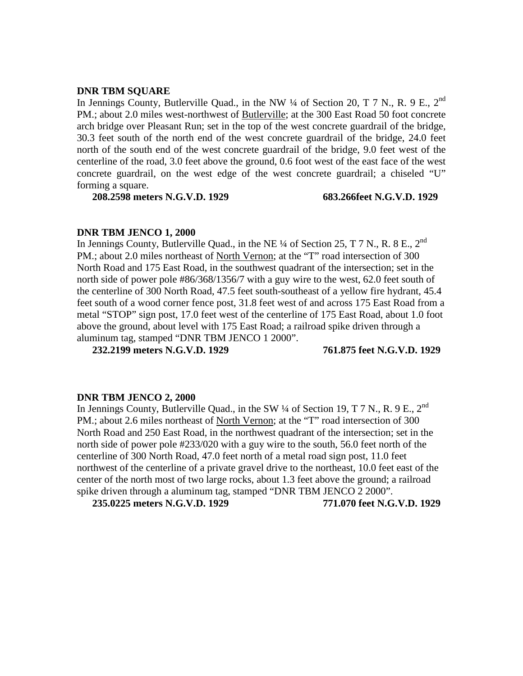### **DNR TBM SQUARE**

In Jennings County, Butlerville Quad., in the NW  $\frac{1}{4}$  of Section 20, T 7 N., R. 9 E., 2<sup>nd</sup> PM.; about 2.0 miles west-northwest of Butlerville; at the 300 East Road 50 foot concrete arch bridge over Pleasant Run; set in the top of the west concrete guardrail of the bridge, 30.3 feet south of the north end of the west concrete guardrail of the bridge, 24.0 feet north of the south end of the west concrete guardrail of the bridge, 9.0 feet west of the centerline of the road, 3.0 feet above the ground, 0.6 foot west of the east face of the west concrete guardrail, on the west edge of the west concrete guardrail; a chiseled "U" forming a square.

**208.2598 meters N.G.V.D. 1929 683.266feet N.G.V.D. 1929**

### **DNR TBM JENCO 1, 2000**

In Jennings County, Butlerville Quad., in the NE  $\frac{1}{4}$  of Section 25, T 7 N., R. 8 E., 2<sup>nd</sup> PM.; about 2.0 miles northeast of North Vernon; at the "T" road intersection of 300 North Road and 175 East Road, in the southwest quadrant of the intersection; set in the north side of power pole #86/368/1356/7 with a guy wire to the west, 62.0 feet south of the centerline of 300 North Road, 47.5 feet south-southeast of a yellow fire hydrant, 45.4 feet south of a wood corner fence post, 31.8 feet west of and across 175 East Road from a metal "STOP" sign post, 17.0 feet west of the centerline of 175 East Road, about 1.0 foot above the ground, about level with 175 East Road; a railroad spike driven through a aluminum tag, stamped "DNR TBM JENCO 1 2000".

**232.2199 meters N.G.V.D. 1929 761.875 feet N.G.V.D. 1929**

### **DNR TBM JENCO 2, 2000**

In Jennings County, Butlerville Quad., in the SW  $\frac{1}{4}$  of Section 19, T 7 N., R. 9 E., 2<sup>nd</sup> PM.; about 2.6 miles northeast of North Vernon; at the "T" road intersection of 300 North Road and 250 East Road, in the northwest quadrant of the intersection; set in the north side of power pole #233/020 with a guy wire to the south, 56.0 feet north of the centerline of 300 North Road, 47.0 feet north of a metal road sign post, 11.0 feet northwest of the centerline of a private gravel drive to the northeast, 10.0 feet east of the center of the north most of two large rocks, about 1.3 feet above the ground; a railroad spike driven through a aluminum tag, stamped "DNR TBM JENCO 2 2000".

**235.0225 meters N.G.V.D. 1929 771.070 feet N.G.V.D. 1929**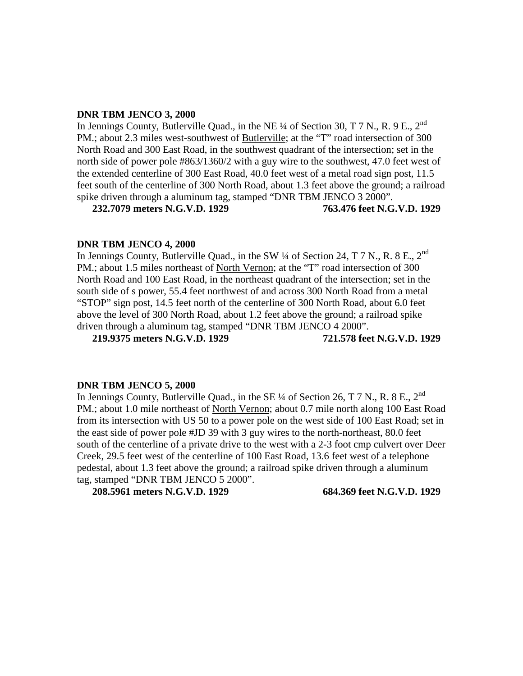### **DNR TBM JENCO 3, 2000**

In Jennings County, Butlerville Quad., in the NE  $\frac{1}{4}$  of Section 30, T 7 N., R. 9 E., 2<sup>nd</sup> PM.; about 2.3 miles west-southwest of Butlerville; at the "T" road intersection of 300 North Road and 300 East Road, in the southwest quadrant of the intersection; set in the north side of power pole #863/1360/2 with a guy wire to the southwest, 47.0 feet west of the extended centerline of 300 East Road, 40.0 feet west of a metal road sign post, 11.5 feet south of the centerline of 300 North Road, about 1.3 feet above the ground; a railroad spike driven through a aluminum tag, stamped "DNR TBM JENCO 3 2000".

**232.7079 meters N.G.V.D. 1929 763.476 feet N.G.V.D. 1929**

### **DNR TBM JENCO 4, 2000**

In Jennings County, Butlerville Quad., in the SW  $\frac{1}{4}$  of Section 24, T 7 N., R. 8 E., 2<sup>nd</sup> PM.; about 1.5 miles northeast of North Vernon; at the "T" road intersection of 300 North Road and 100 East Road, in the northeast quadrant of the intersection; set in the south side of s power, 55.4 feet northwest of and across 300 North Road from a metal "STOP" sign post, 14.5 feet north of the centerline of 300 North Road, about 6.0 feet above the level of 300 North Road, about 1.2 feet above the ground; a railroad spike driven through a aluminum tag, stamped "DNR TBM JENCO 4 2000".

**219.9375 meters N.G.V.D. 1929 721.578 feet N.G.V.D. 1929**

### **DNR TBM JENCO 5, 2000**

In Jennings County, Butlerville Quad., in the SE 1/4 of Section 26, T 7 N., R. 8 E., 2<sup>nd</sup> PM.; about 1.0 mile northeast of North Vernon; about 0.7 mile north along 100 East Road from its intersection with US 50 to a power pole on the west side of 100 East Road; set in the east side of power pole #JD 39 with 3 guy wires to the north-northeast, 80.0 feet south of the centerline of a private drive to the west with a 2-3 foot cmp culvert over Deer Creek, 29.5 feet west of the centerline of 100 East Road, 13.6 feet west of a telephone pedestal, about 1.3 feet above the ground; a railroad spike driven through a aluminum tag, stamped "DNR TBM JENCO 5 2000".

**208.5961 meters N.G.V.D. 1929 684.369 feet N.G.V.D. 1929**